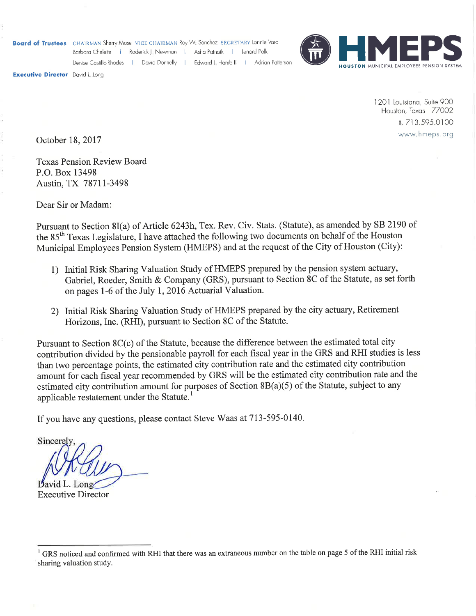Board of Trustees CHAIRMAN Sherry Mose VICE CHAIRMAN Roy W. Sanchez SECRETARY Lonnie Vara

Barbara Chelette | Roderick J., Newman | Asha Patnaik | Lenard Polk

Denise Castillo-Rhodes | David Donnelly | Edward J, Hamb II | Adrian Patterson



**Executive Director** David Lalong

1201 Louisiana, Suite 900 Houston, Texas 77002 1.713.595.0100 www.hmeps.org

October 18, 2017

**Texas Pension Review Board** P.O. Box 13498 Austin, TX 78711-3498

Dear Sir or Madam:

Pursuant to Section 8I(a) of Article 6243h, Tex. Rev. Civ. Stats. (Statute), as amended by SB 2190 of the 85<sup>th</sup> Texas Legislature, I have attached the following two documents on behalf of the Houston Municipal Employees Pension System (HMEPS) and at the request of the City of Houston (City):

- 1) Initial Risk Sharing Valuation Study of HMEPS prepared by the pension system actuary, Gabriel, Roeder, Smith & Company (GRS), pursuant to Section 8C of the Statute, as set forth on pages 1-6 of the July 1, 2016 Actuarial Valuation.
- 2) Initial Risk Sharing Valuation Study of HMEPS prepared by the city actuary, Retirement Horizons, Inc. (RHI), pursuant to Section 8C of the Statute.

Pursuant to Section 8C(c) of the Statute, because the difference between the estimated total city contribution divided by the pensionable payroll for each fiscal year in the GRS and RHI studies is less than two percentage points, the estimated city contribution rate and the estimated city contribution amount for each fiscal year recommended by GRS will be the estimated city contribution rate and the estimated city contribution amount for purposes of Section 8B(a)(5) of the Statute, subject to any applicable restatement under the Statute.<sup>1</sup>

If you have any questions, please contact Steve Waas at 713-595-0140.

Sincerely

**Executive Director** 

<sup>&</sup>lt;sup>1</sup> GRS noticed and confirmed with RHI that there was an extraneous number on the table on page 5 of the RHI initial risk sharing valuation study.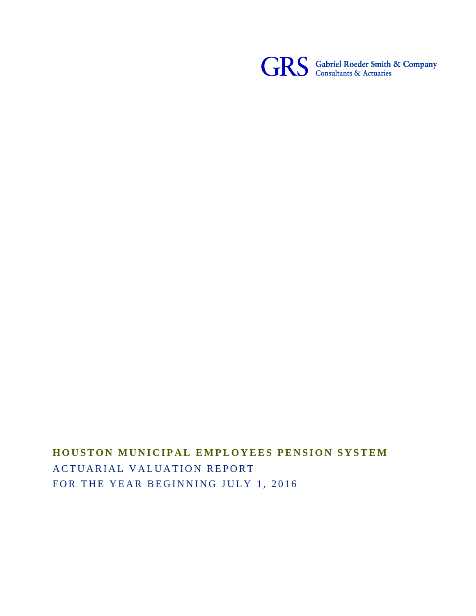

# **HOUSTON MUNICIPAL EMPLOYEES PENSION SYSTEM** ACTUARIAL VALUATION REPORT FOR THE YEAR BEGINNING JULY 1, 2016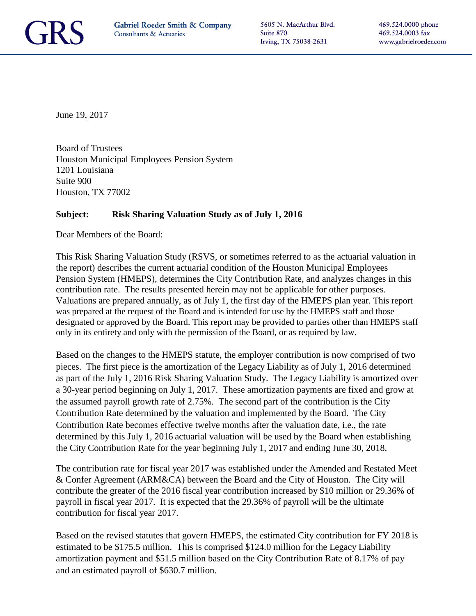

5605 N. MacArthur Blvd. Suite 870 Irving, TX 75038-2631

June 19, 2017

Board of Trustees Houston Municipal Employees Pension System 1201 Louisiana Suite 900 Houston, TX 77002

#### **Subject: Risk Sharing Valuation Study as of July 1, 2016**

Dear Members of the Board:

This Risk Sharing Valuation Study (RSVS, or sometimes referred to as the actuarial valuation in the report) describes the current actuarial condition of the Houston Municipal Employees Pension System (HMEPS), determines the City Contribution Rate, and analyzes changes in this contribution rate. The results presented herein may not be applicable for other purposes. Valuations are prepared annually, as of July 1, the first day of the HMEPS plan year. This report was prepared at the request of the Board and is intended for use by the HMEPS staff and those designated or approved by the Board. This report may be provided to parties other than HMEPS staff only in its entirety and only with the permission of the Board, or as required by law.

Based on the changes to the HMEPS statute, the employer contribution is now comprised of two pieces. The first piece is the amortization of the Legacy Liability as of July 1, 2016 determined as part of the July 1, 2016 Risk Sharing Valuation Study. The Legacy Liability is amortized over a 30-year period beginning on July 1, 2017. These amortization payments are fixed and grow at the assumed payroll growth rate of 2.75%. The second part of the contribution is the City Contribution Rate determined by the valuation and implemented by the Board. The City Contribution Rate becomes effective twelve months after the valuation date, i.e., the rate determined by this July 1, 2016 actuarial valuation will be used by the Board when establishing the City Contribution Rate for the year beginning July 1, 2017 and ending June 30, 2018.

The contribution rate for fiscal year 2017 was established under the Amended and Restated Meet & Confer Agreement (ARM&CA) between the Board and the City of Houston. The City will contribute the greater of the 2016 fiscal year contribution increased by \$10 million or 29.36% of payroll in fiscal year 2017. It is expected that the 29.36% of payroll will be the ultimate contribution for fiscal year 2017.

Based on the revised statutes that govern HMEPS, the estimated City contribution for FY 2018 is estimated to be \$175.5 million. This is comprised \$124.0 million for the Legacy Liability amortization payment and \$51.5 million based on the City Contribution Rate of 8.17% of pay and an estimated payroll of \$630.7 million.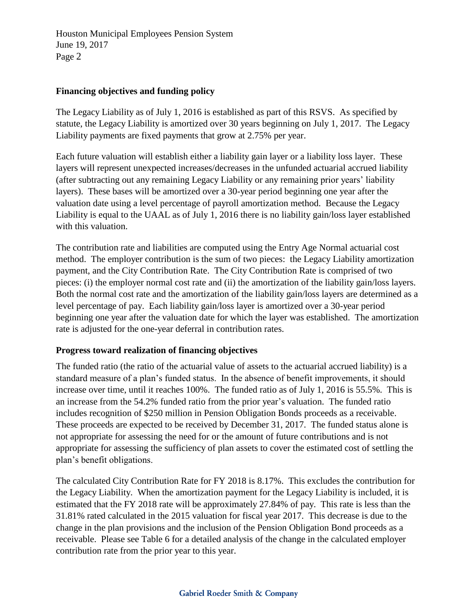#### **Financing objectives and funding policy**

The Legacy Liability as of July 1, 2016 is established as part of this RSVS. As specified by statute, the Legacy Liability is amortized over 30 years beginning on July 1, 2017. The Legacy Liability payments are fixed payments that grow at 2.75% per year.

Each future valuation will establish either a liability gain layer or a liability loss layer. These layers will represent unexpected increases/decreases in the unfunded actuarial accrued liability (after subtracting out any remaining Legacy Liability or any remaining prior years' liability layers). These bases will be amortized over a 30-year period beginning one year after the valuation date using a level percentage of payroll amortization method. Because the Legacy Liability is equal to the UAAL as of July 1, 2016 there is no liability gain/loss layer established with this valuation.

The contribution rate and liabilities are computed using the Entry Age Normal actuarial cost method. The employer contribution is the sum of two pieces: the Legacy Liability amortization payment, and the City Contribution Rate. The City Contribution Rate is comprised of two pieces: (i) the employer normal cost rate and (ii) the amortization of the liability gain/loss layers. Both the normal cost rate and the amortization of the liability gain/loss layers are determined as a level percentage of pay. Each liability gain/loss layer is amortized over a 30-year period beginning one year after the valuation date for which the layer was established. The amortization rate is adjusted for the one-year deferral in contribution rates.

#### **Progress toward realization of financing objectives**

The funded ratio (the ratio of the actuarial value of assets to the actuarial accrued liability) is a standard measure of a plan's funded status. In the absence of benefit improvements, it should increase over time, until it reaches 100%. The funded ratio as of July 1, 2016 is 55.5%. This is an increase from the 54.2% funded ratio from the prior year's valuation. The funded ratio includes recognition of \$250 million in Pension Obligation Bonds proceeds as a receivable. These proceeds are expected to be received by December 31, 2017. The funded status alone is not appropriate for assessing the need for or the amount of future contributions and is not appropriate for assessing the sufficiency of plan assets to cover the estimated cost of settling the plan's benefit obligations.

The calculated City Contribution Rate for FY 2018 is 8.17%. This excludes the contribution for the Legacy Liability. When the amortization payment for the Legacy Liability is included, it is estimated that the FY 2018 rate will be approximately 27.84% of pay. This rate is less than the 31.81% rated calculated in the 2015 valuation for fiscal year 2017. This decrease is due to the change in the plan provisions and the inclusion of the Pension Obligation Bond proceeds as a receivable. Please see Table 6 for a detailed analysis of the change in the calculated employer contribution rate from the prior year to this year.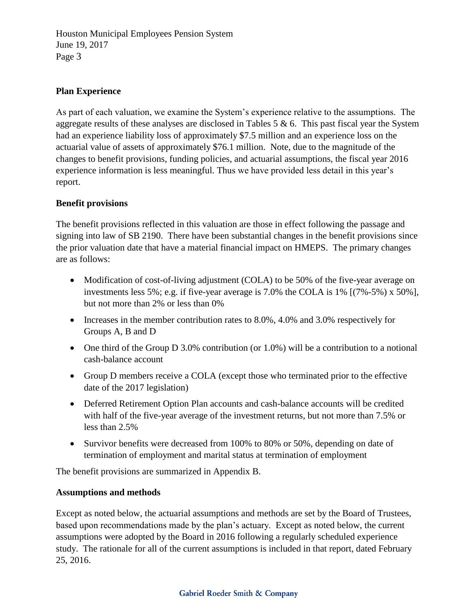#### **Plan Experience**

As part of each valuation, we examine the System's experience relative to the assumptions. The aggregate results of these analyses are disclosed in Tables  $5 \& 6$ . This past fiscal year the System had an experience liability loss of approximately \$7.5 million and an experience loss on the actuarial value of assets of approximately \$76.1 million. Note, due to the magnitude of the changes to benefit provisions, funding policies, and actuarial assumptions, the fiscal year 2016 experience information is less meaningful. Thus we have provided less detail in this year's report.

#### **Benefit provisions**

The benefit provisions reflected in this valuation are those in effect following the passage and signing into law of SB 2190. There have been substantial changes in the benefit provisions since the prior valuation date that have a material financial impact on HMEPS. The primary changes are as follows:

- Modification of cost-of-living adjustment (COLA) to be 50% of the five-year average on investments less 5%; e.g. if five-year average is 7.0% the COLA is 1% [(7%-5%) x 50%], but not more than 2% or less than 0%
- Increases in the member contribution rates to 8.0%, 4.0% and 3.0% respectively for Groups A, B and D
- One third of the Group D 3.0% contribution (or  $1.0\%$ ) will be a contribution to a notional cash-balance account
- Group D members receive a COLA (except those who terminated prior to the effective date of the 2017 legislation)
- Deferred Retirement Option Plan accounts and cash-balance accounts will be credited with half of the five-year average of the investment returns, but not more than 7.5% or less than 2.5%
- Survivor benefits were decreased from 100% to 80% or 50%, depending on date of termination of employment and marital status at termination of employment

The benefit provisions are summarized in Appendix B.

#### **Assumptions and methods**

Except as noted below, the actuarial assumptions and methods are set by the Board of Trustees, based upon recommendations made by the plan's actuary. Except as noted below, the current assumptions were adopted by the Board in 2016 following a regularly scheduled experience study. The rationale for all of the current assumptions is included in that report, dated February 25, 2016.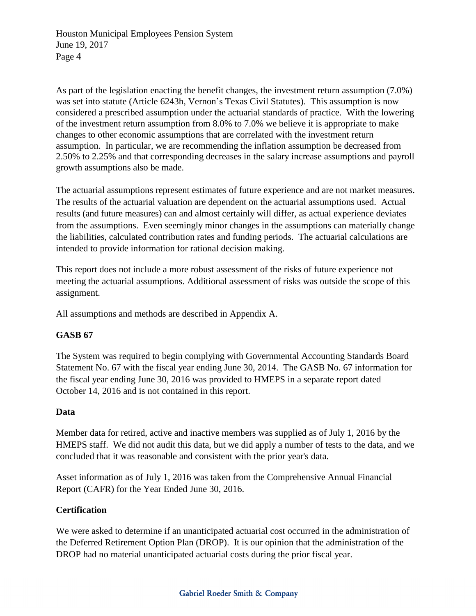As part of the legislation enacting the benefit changes, the investment return assumption (7.0%) was set into statute (Article 6243h, Vernon's Texas Civil Statutes). This assumption is now considered a prescribed assumption under the actuarial standards of practice. With the lowering of the investment return assumption from 8.0% to 7.0% we believe it is appropriate to make changes to other economic assumptions that are correlated with the investment return assumption. In particular, we are recommending the inflation assumption be decreased from 2.50% to 2.25% and that corresponding decreases in the salary increase assumptions and payroll growth assumptions also be made.

The actuarial assumptions represent estimates of future experience and are not market measures. The results of the actuarial valuation are dependent on the actuarial assumptions used. Actual results (and future measures) can and almost certainly will differ, as actual experience deviates from the assumptions. Even seemingly minor changes in the assumptions can materially change the liabilities, calculated contribution rates and funding periods. The actuarial calculations are intended to provide information for rational decision making.

This report does not include a more robust assessment of the risks of future experience not meeting the actuarial assumptions. Additional assessment of risks was outside the scope of this assignment.

All assumptions and methods are described in Appendix A.

#### **GASB 67**

The System was required to begin complying with Governmental Accounting Standards Board Statement No. 67 with the fiscal year ending June 30, 2014. The GASB No. 67 information for the fiscal year ending June 30, 2016 was provided to HMEPS in a separate report dated October 14, 2016 and is not contained in this report.

#### **Data**

Member data for retired, active and inactive members was supplied as of July 1, 2016 by the HMEPS staff. We did not audit this data, but we did apply a number of tests to the data, and we concluded that it was reasonable and consistent with the prior year's data.

Asset information as of July 1, 2016 was taken from the Comprehensive Annual Financial Report (CAFR) for the Year Ended June 30, 2016.

#### **Certification**

We were asked to determine if an unanticipated actuarial cost occurred in the administration of the Deferred Retirement Option Plan (DROP). It is our opinion that the administration of the DROP had no material unanticipated actuarial costs during the prior fiscal year.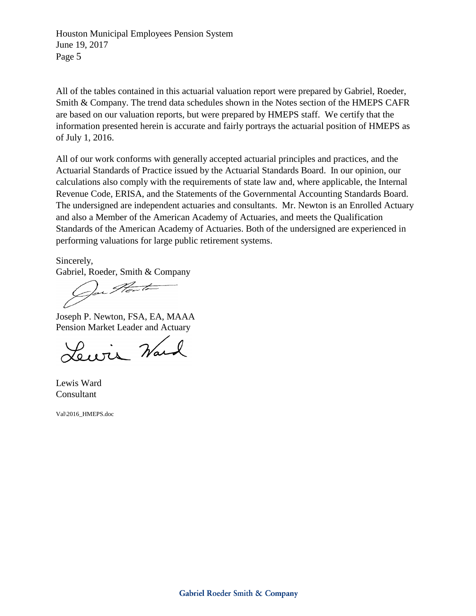All of the tables contained in this actuarial valuation report were prepared by Gabriel, Roeder, Smith & Company. The trend data schedules shown in the Notes section of the HMEPS CAFR are based on our valuation reports, but were prepared by HMEPS staff. We certify that the information presented herein is accurate and fairly portrays the actuarial position of HMEPS as of July 1, 2016.

All of our work conforms with generally accepted actuarial principles and practices, and the Actuarial Standards of Practice issued by the Actuarial Standards Board. In our opinion, our calculations also comply with the requirements of state law and, where applicable, the Internal Revenue Code, ERISA, and the Statements of the Governmental Accounting Standards Board. The undersigned are independent actuaries and consultants. Mr. Newton is an Enrolled Actuary and also a Member of the American Academy of Actuaries, and meets the Qualification Standards of the American Academy of Actuaries. Both of the undersigned are experienced in performing valuations for large public retirement systems.

Sincerely,

Gabriel, Roeder, Smith & Company

Joseph P. Newton, FSA, EA, MAAA Pension Market Leader and Actuary

Lewis Ward

Lewis Ward Consultant

Val\2016\_HMEPS.doc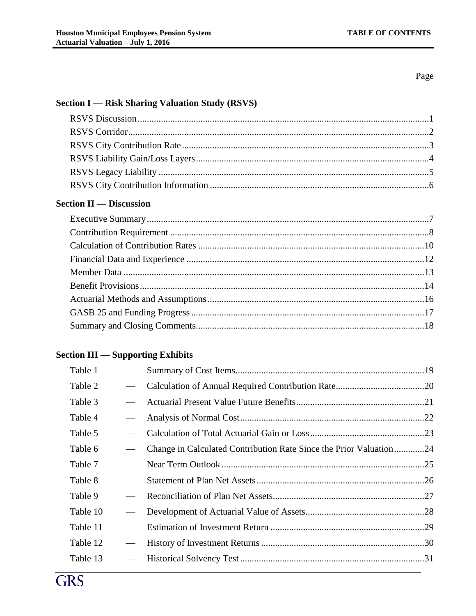Page

#### **Section I — Risk Sharing Valuation Study (RSVS)**

## **Section II — Discussion**

## **Section III — Supporting Exhibits**

| $\overline{\phantom{0}}$ |                                                                    |  |
|--------------------------|--------------------------------------------------------------------|--|
|                          |                                                                    |  |
|                          | Change in Calculated Contribution Rate Since the Prior Valuation24 |  |
|                          |                                                                    |  |
|                          |                                                                    |  |
|                          |                                                                    |  |
|                          |                                                                    |  |
|                          |                                                                    |  |
|                          |                                                                    |  |
|                          |                                                                    |  |
|                          |                                                                    |  |

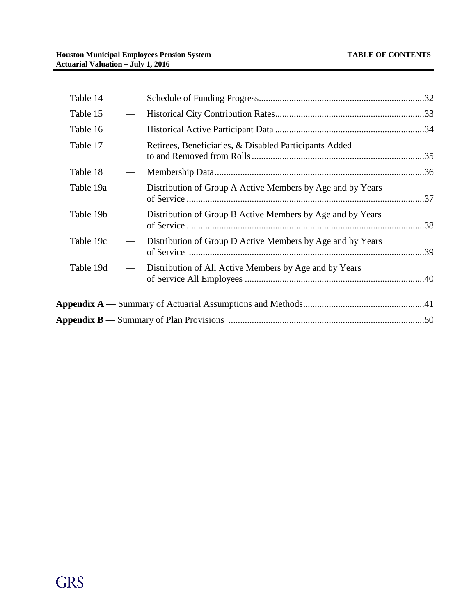| Table 14  |                                                            |  |
|-----------|------------------------------------------------------------|--|
| Table 15  |                                                            |  |
| Table 16  |                                                            |  |
| Table 17  | Retirees, Beneficiaries, & Disabled Participants Added     |  |
| Table 18  |                                                            |  |
| Table 19a | Distribution of Group A Active Members by Age and by Years |  |
| Table 19b | Distribution of Group B Active Members by Age and by Years |  |
| Table 19c | Distribution of Group D Active Members by Age and by Years |  |
| Table 19d | Distribution of All Active Members by Age and by Years     |  |
|           |                                                            |  |
|           |                                                            |  |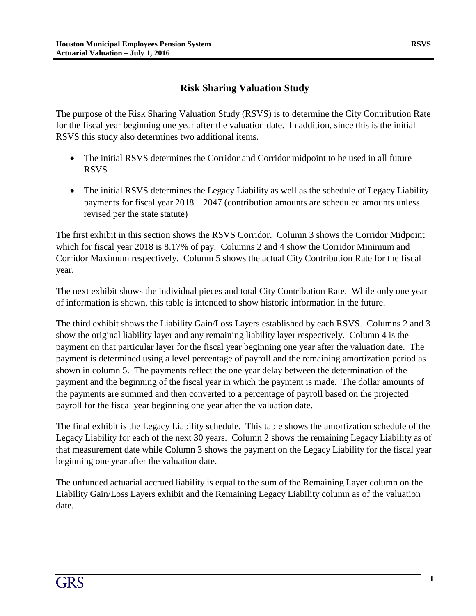#### **Risk Sharing Valuation Study**

The purpose of the Risk Sharing Valuation Study (RSVS) is to determine the City Contribution Rate for the fiscal year beginning one year after the valuation date. In addition, since this is the initial RSVS this study also determines two additional items.

- The initial RSVS determines the Corridor and Corridor midpoint to be used in all future RSVS
- The initial RSVS determines the Legacy Liability as well as the schedule of Legacy Liability payments for fiscal year 2018 – 2047 (contribution amounts are scheduled amounts unless revised per the state statute)

The first exhibit in this section shows the RSVS Corridor. Column 3 shows the Corridor Midpoint which for fiscal year 2018 is 8.17% of pay. Columns 2 and 4 show the Corridor Minimum and Corridor Maximum respectively. Column 5 shows the actual City Contribution Rate for the fiscal year.

The next exhibit shows the individual pieces and total City Contribution Rate. While only one year of information is shown, this table is intended to show historic information in the future.

The third exhibit shows the Liability Gain/Loss Layers established by each RSVS. Columns 2 and 3 show the original liability layer and any remaining liability layer respectively. Column 4 is the payment on that particular layer for the fiscal year beginning one year after the valuation date. The payment is determined using a level percentage of payroll and the remaining amortization period as shown in column 5. The payments reflect the one year delay between the determination of the payment and the beginning of the fiscal year in which the payment is made. The dollar amounts of the payments are summed and then converted to a percentage of payroll based on the projected payroll for the fiscal year beginning one year after the valuation date.

The final exhibit is the Legacy Liability schedule. This table shows the amortization schedule of the Legacy Liability for each of the next 30 years. Column 2 shows the remaining Legacy Liability as of that measurement date while Column 3 shows the payment on the Legacy Liability for the fiscal year beginning one year after the valuation date.

The unfunded actuarial accrued liability is equal to the sum of the Remaining Layer column on the Liability Gain/Loss Layers exhibit and the Remaining Legacy Liability column as of the valuation date.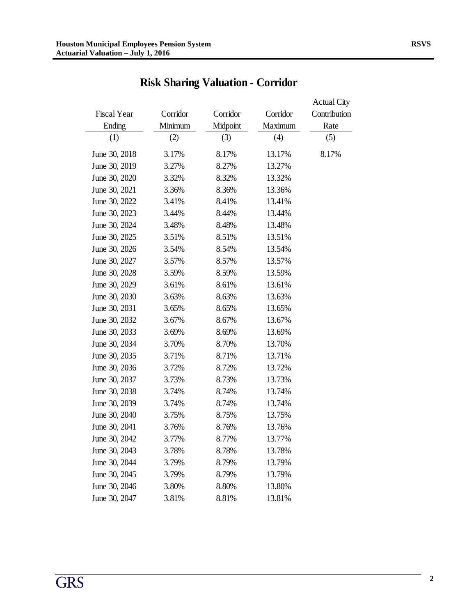| <b>Fiscal Year</b> | Corridor | Corridor | Corridor | <b>Actual City</b><br>Contribution |
|--------------------|----------|----------|----------|------------------------------------|
| Ending             | Minimum  | Midpoint | Maximum  | Rate                               |
| (1)                | (2)      | (3)      | (4)      | (5)                                |
| June 30, 2018      | 3.17%    | 8.17%    | 13.17%   | 8.17%                              |
| June 30, 2019      | 3.27%    | 8.27%    | 13.27%   |                                    |
| June 30, 2020      | 3.32%    | 8.32%    | 13.32%   |                                    |
| June 30, 2021      | 3.36%    | 8.36%    | 13.36%   |                                    |
| June 30, 2022      | 3.41%    | 8.41%    | 13.41%   |                                    |
| June 30, 2023      | 3.44%    | 8.44%    | 13.44%   |                                    |
| June 30, 2024      | 3.48%    | 8.48%    | 13.48%   |                                    |
| June 30, 2025      | 3.51%    | 8.51%    | 13.51%   |                                    |
| June 30, 2026      | 3.54%    | 8.54%    | 13.54%   |                                    |
| June 30, 2027      | 3.57%    | 8.57%    | 13.57%   |                                    |
| June 30, 2028      | 3.59%    | 8.59%    | 13.59%   |                                    |
| June 30, 2029      | 3.61%    | 8.61%    | 13.61%   |                                    |
| June 30, 2030      | 3.63%    | 8.63%    | 13.63%   |                                    |
| June 30, 2031      | 3.65%    | 8.65%    | 13.65%   |                                    |
| June 30, 2032      | 3.67%    | 8.67%    | 13.67%   |                                    |
| June 30, 2033      | 3.69%    | 8.69%    | 13.69%   |                                    |
| June 30, 2034      | 3.70%    | 8.70%    | 13.70%   |                                    |
| June 30, 2035      | 3.71%    | 8.71%    | 13.71%   |                                    |
| June 30, 2036      | 3.72%    | 8.72%    | 13.72%   |                                    |
| June 30, 2037      | 3.73%    | 8.73%    | 13.73%   |                                    |
| June 30, 2038      | 3.74%    | 8.74%    | 13.74%   |                                    |
| June 30, 2039      | 3.74%    | 8.74%    | 13.74%   |                                    |
| June 30, 2040      | 3.75%    | 8.75%    | 13.75%   |                                    |
| June 30, 2041      | 3.76%    | 8.76%    | 13.76%   |                                    |
| June 30, 2042      | 3.77%    | 8.77%    | 13.77%   |                                    |
| June 30, 2043      | 3.78%    | 8.78%    | 13.78%   |                                    |
| June 30, 2044      | 3.79%    | 8.79%    | 13.79%   |                                    |
| June 30, 2045      | 3.79%    | 8.79%    | 13.79%   |                                    |
| June 30, 2046      | 3.80%    | 8.80%    | 13.80%   |                                    |
| June 30, 2047      | 3.81%    | 8.81%    | 13.81%   |                                    |

# **Risk Sharing Valuation - Corridor**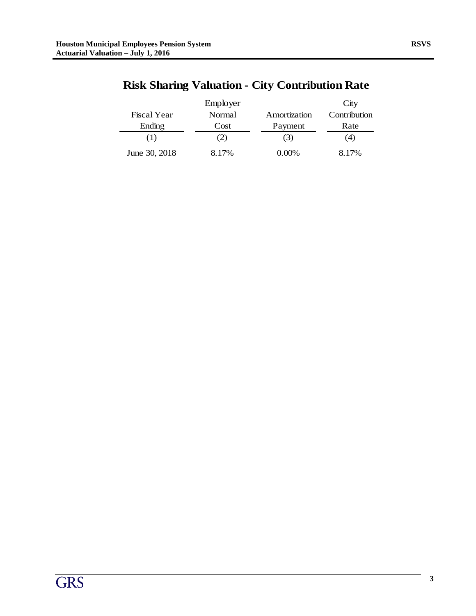|                    | Employer      |              | City         |
|--------------------|---------------|--------------|--------------|
| <b>Fiscal Year</b> | <b>Normal</b> | Amortization | Contribution |
| Ending             | Cost          | Payment      | Rate         |
| (1)                | (2)           | (3)          | (4)          |
| June 30, 2018      | 8.17%         | 0.00%        | 8.17%        |

# **Risk Sharing Valuation - City Contribution Rate**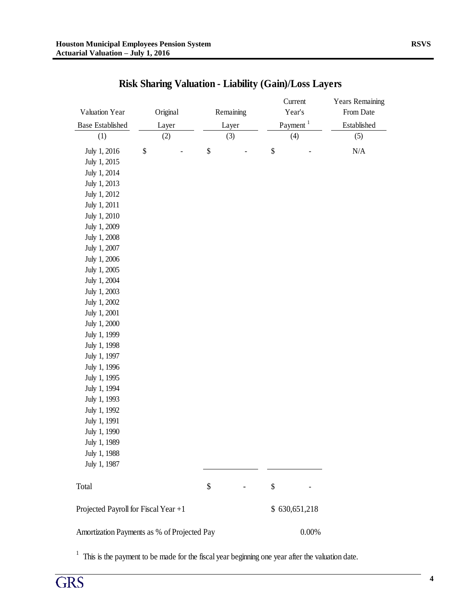| Valuation Year                              | Original | Remaining | Current<br>Year's    | <b>Years Remaining</b><br>From Date |  |  |
|---------------------------------------------|----------|-----------|----------------------|-------------------------------------|--|--|
| <b>Base Established</b>                     | Layer    | Layer     | Payment <sup>1</sup> | Established                         |  |  |
| (1)                                         | (2)      | (3)       | (4)                  | (5)                                 |  |  |
| \$<br>July 1, 2016                          |          | \$        | \$                   | N/A                                 |  |  |
| July 1, 2015                                |          |           |                      |                                     |  |  |
| July 1, 2014                                |          |           |                      |                                     |  |  |
| July 1, 2013                                |          |           |                      |                                     |  |  |
| July 1, 2012                                |          |           |                      |                                     |  |  |
| July 1, 2011                                |          |           |                      |                                     |  |  |
| July 1, 2010                                |          |           |                      |                                     |  |  |
| July 1, 2009                                |          |           |                      |                                     |  |  |
| July 1, 2008                                |          |           |                      |                                     |  |  |
| July 1, 2007                                |          |           |                      |                                     |  |  |
| July 1, 2006                                |          |           |                      |                                     |  |  |
| July 1, 2005                                |          |           |                      |                                     |  |  |
| July 1, 2004                                |          |           |                      |                                     |  |  |
| July 1, 2003                                |          |           |                      |                                     |  |  |
| July 1, 2002                                |          |           |                      |                                     |  |  |
| July 1, 2001                                |          |           |                      |                                     |  |  |
| July 1, 2000                                |          |           |                      |                                     |  |  |
| July 1, 1999                                |          |           |                      |                                     |  |  |
| July 1, 1998                                |          |           |                      |                                     |  |  |
| July 1, 1997                                |          |           |                      |                                     |  |  |
| July 1, 1996                                |          |           |                      |                                     |  |  |
| July 1, 1995                                |          |           |                      |                                     |  |  |
| July 1, 1994                                |          |           |                      |                                     |  |  |
| July 1, 1993                                |          |           |                      |                                     |  |  |
| July 1, 1992                                |          |           |                      |                                     |  |  |
| July 1, 1991                                |          |           |                      |                                     |  |  |
| July 1, 1990                                |          |           |                      |                                     |  |  |
| July 1, 1989                                |          |           |                      |                                     |  |  |
| July 1, 1988                                |          |           |                      |                                     |  |  |
| July 1, 1987                                |          |           |                      |                                     |  |  |
| Total                                       |          | \$        | \$                   |                                     |  |  |
| Projected Payroll for Fiscal Year +1        |          |           | \$630,651,218        |                                     |  |  |
| Amortization Payments as % of Projected Pay |          |           | 0.00%                |                                     |  |  |

# **Risk Sharing Valuation - Liability (Gain)/Loss Layers**

 $1$  This is the payment to be made for the fiscal year beginning one year after the valuation date.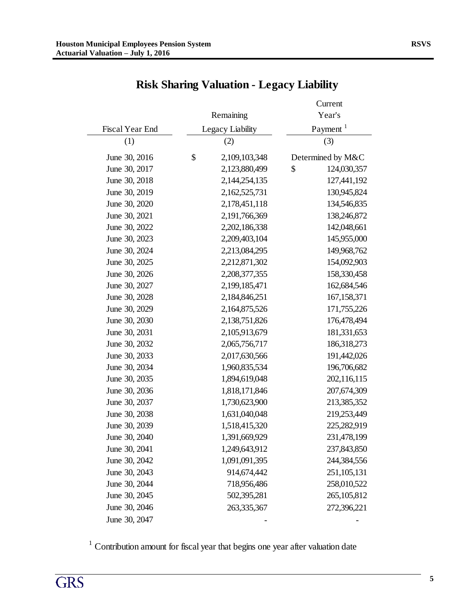|                 |                     | Current              |
|-----------------|---------------------|----------------------|
|                 | Remaining           | Year's               |
| Fiscal Year End | Legacy Liability    | Payment <sup>1</sup> |
| (1)             | (2)                 | (3)                  |
| June 30, 2016   | \$<br>2,109,103,348 | Determined by M&C    |
| June 30, 2017   | 2,123,880,499       | \$<br>124,030,357    |
| June 30, 2018   | 2,144,254,135       | 127,441,192          |
| June 30, 2019   | 2,162,525,731       | 130,945,824          |
| June 30, 2020   | 2,178,451,118       | 134,546,835          |
| June 30, 2021   | 2,191,766,369       | 138,246,872          |
| June 30, 2022   | 2,202,186,338       | 142,048,661          |
| June 30, 2023   | 2,209,403,104       | 145,955,000          |
| June 30, 2024   | 2,213,084,295       | 149,968,762          |
| June 30, 2025   | 2,212,871,302       | 154,092,903          |
| June 30, 2026   | 2,208,377,355       | 158,330,458          |
| June 30, 2027   | 2,199,185,471       | 162,684,546          |
| June 30, 2028   | 2,184,846,251       | 167, 158, 371        |
| June 30, 2029   | 2,164,875,526       | 171,755,226          |
| June 30, 2030   | 2,138,751,826       | 176,478,494          |
| June 30, 2031   | 2,105,913,679       | 181,331,653          |
| June 30, 2032   | 2,065,756,717       | 186,318,273          |
| June 30, 2033   | 2,017,630,566       | 191,442,026          |
| June 30, 2034   | 1,960,835,534       | 196,706,682          |
| June 30, 2035   | 1,894,619,048       | 202,116,115          |
| June 30, 2036   | 1,818,171,846       | 207,674,309          |
| June 30, 2037   | 1,730,623,900       | 213,385,352          |
| June 30, 2038   | 1,631,040,048       | 219,253,449          |
| June 30, 2039   | 1,518,415,320       | 225,282,919          |
| June 30, 2040   | 1,391,669,929       | 231,478,199          |
| June 30, 2041   | 1,249,643,912       | 237,843,850          |
| June 30, 2042   | 1,091,091,395       | 244,384,556          |
| June 30, 2043   | 914,674,442         | 251, 105, 131        |
| June 30, 2044   | 718,956,486         | 258,010,522          |
| June 30, 2045   | 502,395,281         | 265, 105, 812        |
| June 30, 2046   | 263,335,367         | 272,396,221          |
| June 30, 2047   |                     |                      |

# **Risk Sharing Valuation - Legacy Liability**

 $1$  Contribution amount for fiscal year that begins one year after valuation date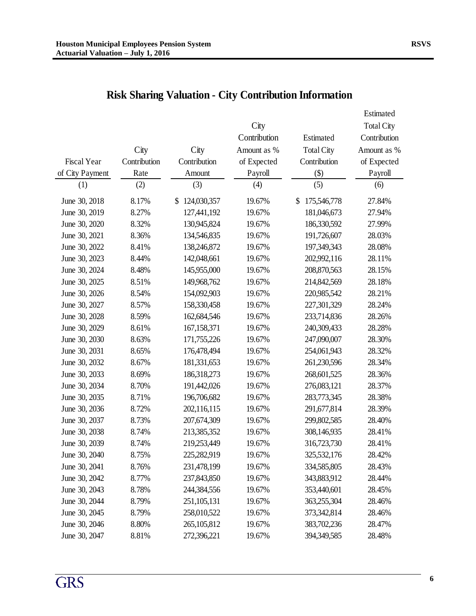|                 |              |                   |              |                   | Estimated    |
|-----------------|--------------|-------------------|--------------|-------------------|--------------|
|                 |              |                   | City         |                   | Total City   |
|                 |              |                   | Contribution | Estimated         | Contribution |
|                 | City         | City              | Amount as %  | <b>Total City</b> | Amount as %  |
| Fiscal Year     | Contribution | Contribution      | of Expected  | Contribution      | of Expected  |
| of City Payment | Rate         | Amount            | Payroll      | $(\$)$            | Payroll      |
| (1)             | (2)          | (3)               | (4)          | (5)               | (6)          |
| June 30, 2018   | 8.17%        | 124,030,357<br>\$ | 19.67%       | 175,546,778<br>\$ | 27.84%       |
| June 30, 2019   | 8.27%        | 127,441,192       | 19.67%       | 181,046,673       | 27.94%       |
| June 30, 2020   | 8.32%        | 130,945,824       | 19.67%       | 186,330,592       | 27.99%       |
| June 30, 2021   | 8.36%        | 134,546,835       | 19.67%       | 191,726,607       | 28.03%       |
| June 30, 2022   | 8.41%        | 138,246,872       | 19.67%       | 197,349,343       | 28.08%       |
| June 30, 2023   | 8.44%        | 142,048,661       | 19.67%       | 202,992,116       | 28.11%       |
| June 30, 2024   | 8.48%        | 145,955,000       | 19.67%       | 208,870,563       | 28.15%       |
| June 30, 2025   | 8.51%        | 149,968,762       | 19.67%       | 214,842,569       | 28.18%       |
| June 30, 2026   | 8.54%        | 154,092,903       | 19.67%       | 220,985,542       | 28.21%       |
| June 30, 2027   | 8.57%        | 158,330,458       | 19.67%       | 227,301,329       | 28.24%       |
| June 30, 2028   | 8.59%        | 162,684,546       | 19.67%       | 233,714,836       | 28.26%       |
| June 30, 2029   | 8.61%        | 167,158,371       | 19.67%       | 240,309,433       | 28.28%       |
| June 30, 2030   | 8.63%        | 171,755,226       | 19.67%       | 247,090,007       | 28.30%       |
| June 30, 2031   | 8.65%        | 176,478,494       | 19.67%       | 254,061,943       | 28.32%       |
| June 30, 2032   | 8.67%        | 181,331,653       | 19.67%       | 261,230,596       | 28.34%       |
| June 30, 2033   | 8.69%        | 186,318,273       | 19.67%       | 268,601,525       | 28.36%       |
| June 30, 2034   | 8.70%        | 191,442,026       | 19.67%       | 276,083,121       | 28.37%       |
| June 30, 2035   | 8.71%        | 196,706,682       | 19.67%       | 283,773,345       | 28.38%       |
| June 30, 2036   | 8.72%        | 202,116,115       | 19.67%       | 291,677,814       | 28.39%       |
| June 30, 2037   | 8.73%        | 207,674,309       | 19.67%       | 299,802,585       | 28.40%       |
| June 30, 2038   | 8.74%        | 213,385,352       | 19.67%       | 308,146,935       | 28.41%       |
| June 30, 2039   | 8.74%        | 219,253,449       | 19.67%       | 316,723,730       | 28.41%       |
| June 30, 2040   | 8.75%        | 225,282,919       | 19.67%       | 325,532,176       | 28.42%       |
| June 30, 2041   | 8.76%        | 231,478,199       | 19.67%       | 334,585,805       | 28.43%       |
| June 30, 2042   | 8.77%        | 237,843,850       | 19.67%       | 343,883,912       | 28.44%       |
| June 30, 2043   | 8.78%        | 244,384,556       | 19.67%       | 353,440,601       | 28.45%       |
| June 30, 2044   | 8.79%        | 251, 105, 131     | 19.67%       | 363,255,304       | 28.46%       |
| June 30, 2045   | 8.79%        | 258,010,522       | 19.67%       | 373,342,814       | 28.46%       |
| June 30, 2046   | 8.80%        | 265, 105, 812     | 19.67%       | 383,702,236       | 28.47%       |
| June 30, 2047   | 8.81%        | 272,396,221       | 19.67%       | 394,349,585       | 28.48%       |

# **Risk Sharing Valuation - City Contribution Information**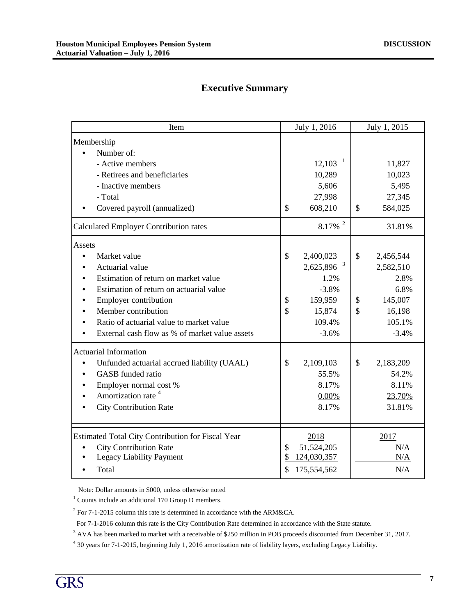# **Executive Summary**

| Item                                              |               | July 1, 2016           | July 1, 2015              |           |  |
|---------------------------------------------------|---------------|------------------------|---------------------------|-----------|--|
| Membership                                        |               |                        |                           |           |  |
| Number of:<br>- Active members                    |               | $\mathbf{1}$<br>12,103 |                           | 11,827    |  |
| - Retirees and beneficiaries                      |               | 10,289                 |                           | 10,023    |  |
| - Inactive members                                |               | 5,606                  |                           | 5,495     |  |
| - Total                                           |               | 27,998                 |                           | 27,345    |  |
| Covered payroll (annualized)                      | $\mathbb{S}$  | 608,210                | $\boldsymbol{\mathsf{S}}$ | 584,025   |  |
| <b>Calculated Employer Contribution rates</b>     |               | $8.17\%$ <sup>2</sup>  |                           | 31.81%    |  |
| Assets                                            |               |                        |                           |           |  |
| Market value                                      | $\mathcal{S}$ | 2,400,023              | $\boldsymbol{\mathsf{S}}$ | 2,456,544 |  |
| Actuarial value                                   |               | 2,625,896 <sup>3</sup> |                           | 2,582,510 |  |
| Estimation of return on market value              |               | 1.2%                   |                           | 2.8%      |  |
| Estimation of return on actuarial value           |               | $-3.8%$                |                           | 6.8%      |  |
| Employer contribution                             | \$            | 159,959                | \$                        | 145,007   |  |
| Member contribution                               | $\mathsf{\$}$ | 15,874                 | $\mathbb{S}$              | 16,198    |  |
| Ratio of actuarial value to market value          |               | 109.4%                 |                           | 105.1%    |  |
| External cash flow as % of market value assets    |               | $-3.6%$                |                           | $-3.4%$   |  |
| <b>Actuarial Information</b>                      |               |                        |                           |           |  |
| Unfunded actuarial accrued liability (UAAL)       | \$            | 2,109,103              | \$                        | 2,183,209 |  |
| GASB funded ratio                                 |               | 55.5%                  |                           | 54.2%     |  |
| Employer normal cost $\%$                         |               | 8.17%                  |                           | 8.11%     |  |
| Amortization rate <sup>4</sup>                    |               | 0.00%                  |                           | 23.70%    |  |
| <b>City Contribution Rate</b>                     |               | 8.17%                  |                           | 31.81%    |  |
|                                                   |               |                        |                           |           |  |
| Estimated Total City Contribution for Fiscal Year |               | 2018                   |                           | 2017      |  |
| <b>City Contribution Rate</b>                     | \$            | 51,524,205             |                           | N/A       |  |
| Legacy Liability Payment                          |               | 124,030,357            |                           | N/A       |  |
| Total                                             |               | 175,554,562            |                           | N/A       |  |

Note: Dollar amounts in \$000, unless otherwise noted

 $1$  Counts include an additional 170 Group D members.

<sup>2</sup> For 7-1-2015 column this rate is determined in accordance with the ARM&CA.

For 7-1-2016 column this rate is the City Contribution Rate determined in accordance with the State statute.

<sup>3</sup> AVA has been marked to market with a receivable of \$250 million in POB proceeds discounted from December 31, 2017.

4 30 years for 7-1-2015, beginning July 1, 2016 amortization rate of liability layers, excluding Legacy Liability.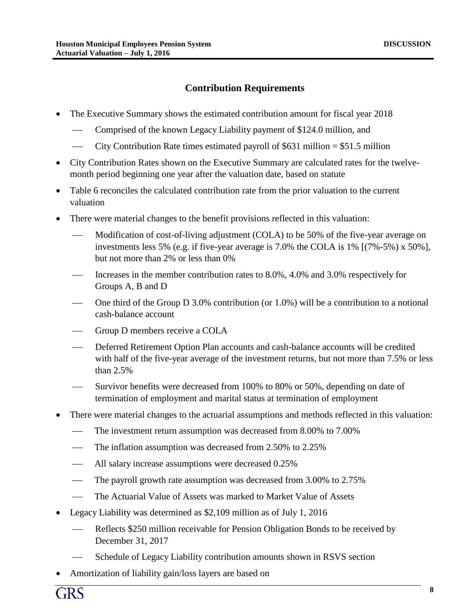## **Contribution Requirements**

- The Executive Summary shows the estimated contribution amount for fiscal year 2018
	- Comprised of the known Legacy Liability payment of \$124.0 million, and
	- City Contribution Rate times estimated payroll of \$631 million  $= $51.5$  million
- City Contribution Rates shown on the Executive Summary are calculated rates for the twelvemonth period beginning one year after the valuation date, based on statute
- Table 6 reconciles the calculated contribution rate from the prior valuation to the current valuation
- There were material changes to the benefit provisions reflected in this valuation:
	- Modification of cost-of-living adjustment (COLA) to be 50% of the five-year average on investments less 5% (e.g. if five-year average is 7.0% the COLA is 1% [(7%-5%) x 50%], but not more than 2% or less than 0%
	- Increases in the member contribution rates to 8.0%, 4.0% and 3.0% respectively for Groups A, B and D
	- One third of the Group D 3.0% contribution (or 1.0%) will be a contribution to a notional cash-balance account
	- Group D members receive a COLA
	- Deferred Retirement Option Plan accounts and cash-balance accounts will be credited with half of the five-year average of the investment returns, but not more than 7.5% or less than 2.5%
	- Survivor benefits were decreased from 100% to 80% or 50%, depending on date of termination of employment and marital status at termination of employment
- There were material changes to the actuarial assumptions and methods reflected in this valuation:
	- The investment return assumption was decreased from 8.00% to 7.00%
	- The inflation assumption was decreased from 2.50% to 2.25%
	- All salary increase assumptions were decreased 0.25%
	- The payroll growth rate assumption was decreased from 3.00% to 2.75%
	- The Actuarial Value of Assets was marked to Market Value of Assets
- Legacy Liability was determined as \$2,109 million as of July 1, 2016
	- Reflects \$250 million receivable for Pension Obligation Bonds to be received by December 31, 2017
	- Schedule of Legacy Liability contribution amounts shown in RSVS section
- Amortization of liability gain/loss layers are based on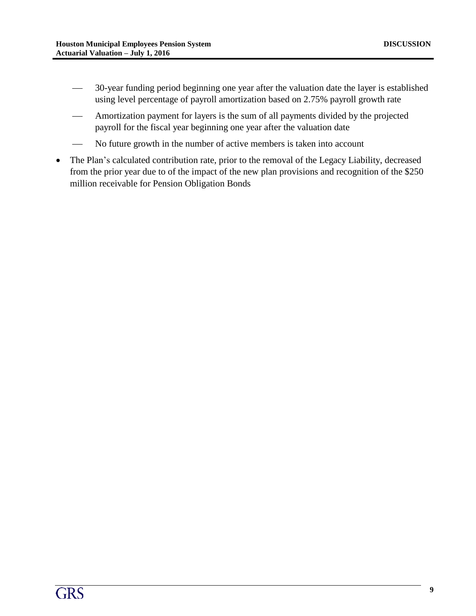- 30-year funding period beginning one year after the valuation date the layer is established using level percentage of payroll amortization based on 2.75% payroll growth rate
- Amortization payment for layers is the sum of all payments divided by the projected payroll for the fiscal year beginning one year after the valuation date
- No future growth in the number of active members is taken into account
- The Plan's calculated contribution rate, prior to the removal of the Legacy Liability, decreased from the prior year due to of the impact of the new plan provisions and recognition of the \$250 million receivable for Pension Obligation Bonds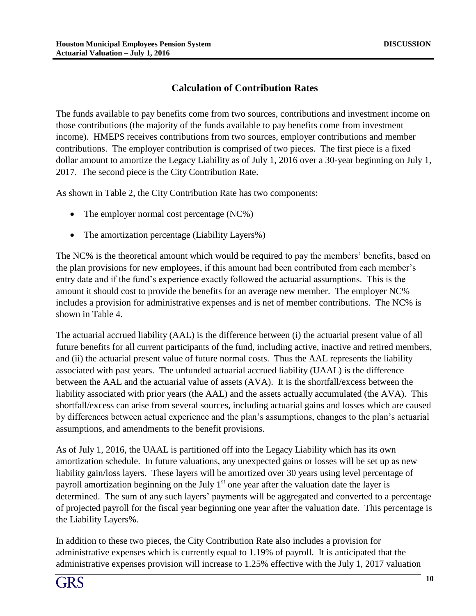## **Calculation of Contribution Rates**

The funds available to pay benefits come from two sources, contributions and investment income on those contributions (the majority of the funds available to pay benefits come from investment income). HMEPS receives contributions from two sources, employer contributions and member contributions. The employer contribution is comprised of two pieces. The first piece is a fixed dollar amount to amortize the Legacy Liability as of July 1, 2016 over a 30-year beginning on July 1, 2017. The second piece is the City Contribution Rate.

As shown in Table 2, the City Contribution Rate has two components:

- The employer normal cost percentage (NC%)
- The amortization percentage (Liability Layers%)

The NC% is the theoretical amount which would be required to pay the members' benefits, based on the plan provisions for new employees, if this amount had been contributed from each member's entry date and if the fund's experience exactly followed the actuarial assumptions. This is the amount it should cost to provide the benefits for an average new member. The employer NC% includes a provision for administrative expenses and is net of member contributions. The NC% is shown in Table 4.

The actuarial accrued liability (AAL) is the difference between (i) the actuarial present value of all future benefits for all current participants of the fund, including active, inactive and retired members, and (ii) the actuarial present value of future normal costs. Thus the AAL represents the liability associated with past years. The unfunded actuarial accrued liability (UAAL) is the difference between the AAL and the actuarial value of assets (AVA). It is the shortfall/excess between the liability associated with prior years (the AAL) and the assets actually accumulated (the AVA). This shortfall/excess can arise from several sources, including actuarial gains and losses which are caused by differences between actual experience and the plan's assumptions, changes to the plan's actuarial assumptions, and amendments to the benefit provisions.

As of July 1, 2016, the UAAL is partitioned off into the Legacy Liability which has its own amortization schedule. In future valuations, any unexpected gains or losses will be set up as new liability gain/loss layers. These layers will be amortized over 30 years using level percentage of payroll amortization beginning on the July  $1<sup>st</sup>$  one year after the valuation date the layer is determined. The sum of any such layers' payments will be aggregated and converted to a percentage of projected payroll for the fiscal year beginning one year after the valuation date. This percentage is the Liability Layers%.

In addition to these two pieces, the City Contribution Rate also includes a provision for administrative expenses which is currently equal to 1.19% of payroll. It is anticipated that the administrative expenses provision will increase to 1.25% effective with the July 1, 2017 valuation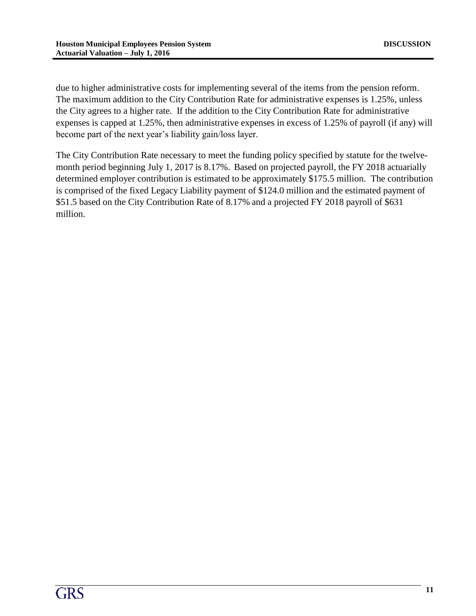due to higher administrative costs for implementing several of the items from the pension reform. The maximum addition to the City Contribution Rate for administrative expenses is 1.25%, unless the City agrees to a higher rate. If the addition to the City Contribution Rate for administrative expenses is capped at 1.25%, then administrative expenses in excess of 1.25% of payroll (if any) will become part of the next year's liability gain/loss layer.

The City Contribution Rate necessary to meet the funding policy specified by statute for the twelvemonth period beginning July 1, 2017 is 8.17%. Based on projected payroll, the FY 2018 actuarially determined employer contribution is estimated to be approximately \$175.5 million. The contribution is comprised of the fixed Legacy Liability payment of \$124.0 million and the estimated payment of \$51.5 based on the City Contribution Rate of 8.17% and a projected FY 2018 payroll of \$631 million.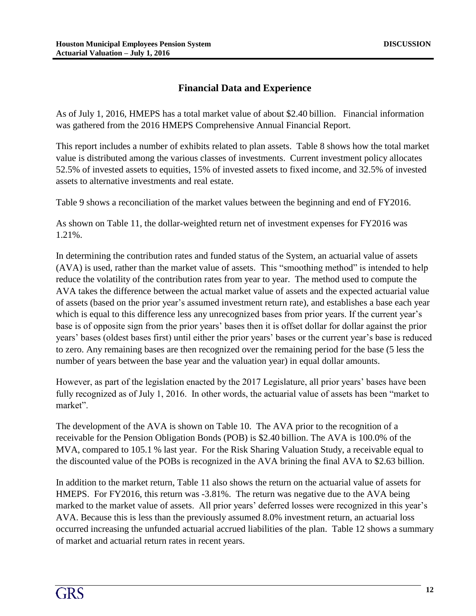## **Financial Data and Experience**

As of July 1, 2016, HMEPS has a total market value of about \$2.40 billion. Financial information was gathered from the 2016 HMEPS Comprehensive Annual Financial Report.

This report includes a number of exhibits related to plan assets. Table 8 shows how the total market value is distributed among the various classes of investments. Current investment policy allocates 52.5% of invested assets to equities, 15% of invested assets to fixed income, and 32.5% of invested assets to alternative investments and real estate.

Table 9 shows a reconciliation of the market values between the beginning and end of FY2016.

As shown on Table 11, the dollar-weighted return net of investment expenses for FY2016 was 1.21%.

In determining the contribution rates and funded status of the System, an actuarial value of assets (AVA) is used, rather than the market value of assets. This "smoothing method" is intended to help reduce the volatility of the contribution rates from year to year. The method used to compute the AVA takes the difference between the actual market value of assets and the expected actuarial value of assets (based on the prior year's assumed investment return rate), and establishes a base each year which is equal to this difference less any unrecognized bases from prior years. If the current year's base is of opposite sign from the prior years' bases then it is offset dollar for dollar against the prior years' bases (oldest bases first) until either the prior years' bases or the current year's base is reduced to zero. Any remaining bases are then recognized over the remaining period for the base (5 less the number of years between the base year and the valuation year) in equal dollar amounts.

However, as part of the legislation enacted by the 2017 Legislature, all prior years' bases have been fully recognized as of July 1, 2016. In other words, the actuarial value of assets has been "market to market".

The development of the AVA is shown on Table 10. The AVA prior to the recognition of a receivable for the Pension Obligation Bonds (POB) is \$2.40 billion. The AVA is 100.0% of the MVA, compared to 105.1 % last year. For the Risk Sharing Valuation Study, a receivable equal to the discounted value of the POBs is recognized in the AVA brining the final AVA to \$2.63 billion.

In addition to the market return, Table 11 also shows the return on the actuarial value of assets for HMEPS. For FY2016, this return was -3.81%. The return was negative due to the AVA being marked to the market value of assets. All prior years' deferred losses were recognized in this year's AVA. Because this is less than the previously assumed 8.0% investment return, an actuarial loss occurred increasing the unfunded actuarial accrued liabilities of the plan. Table 12 shows a summary of market and actuarial return rates in recent years.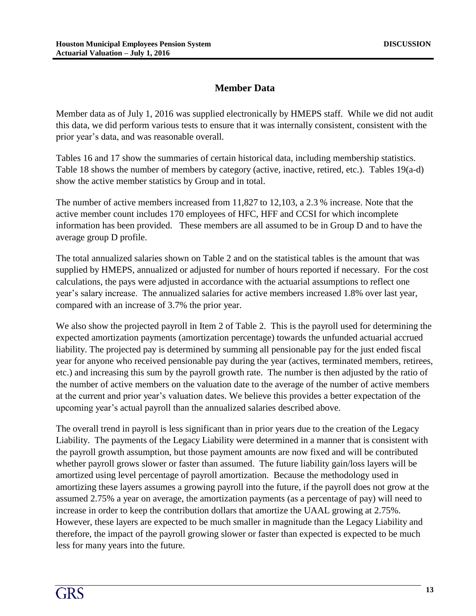# **Member Data**

Member data as of July 1, 2016 was supplied electronically by HMEPS staff. While we did not audit this data, we did perform various tests to ensure that it was internally consistent, consistent with the prior year's data, and was reasonable overall.

Tables 16 and 17 show the summaries of certain historical data, including membership statistics. Table 18 shows the number of members by category (active, inactive, retired, etc.). Tables 19(a-d) show the active member statistics by Group and in total.

The number of active members increased from 11,827 to 12,103, a 2.3 % increase. Note that the active member count includes 170 employees of HFC, HFF and CCSI for which incomplete information has been provided. These members are all assumed to be in Group D and to have the average group D profile.

The total annualized salaries shown on Table 2 and on the statistical tables is the amount that was supplied by HMEPS, annualized or adjusted for number of hours reported if necessary. For the cost calculations, the pays were adjusted in accordance with the actuarial assumptions to reflect one year's salary increase. The annualized salaries for active members increased 1.8% over last year, compared with an increase of 3.7% the prior year.

We also show the projected payroll in Item 2 of Table 2. This is the payroll used for determining the expected amortization payments (amortization percentage) towards the unfunded actuarial accrued liability. The projected pay is determined by summing all pensionable pay for the just ended fiscal year for anyone who received pensionable pay during the year (actives, terminated members, retirees, etc.) and increasing this sum by the payroll growth rate. The number is then adjusted by the ratio of the number of active members on the valuation date to the average of the number of active members at the current and prior year's valuation dates. We believe this provides a better expectation of the upcoming year's actual payroll than the annualized salaries described above.

The overall trend in payroll is less significant than in prior years due to the creation of the Legacy Liability. The payments of the Legacy Liability were determined in a manner that is consistent with the payroll growth assumption, but those payment amounts are now fixed and will be contributed whether payroll grows slower or faster than assumed. The future liability gain/loss layers will be amortized using level percentage of payroll amortization. Because the methodology used in amortizing these layers assumes a growing payroll into the future, if the payroll does not grow at the assumed 2.75% a year on average, the amortization payments (as a percentage of pay) will need to increase in order to keep the contribution dollars that amortize the UAAL growing at 2.75%. However, these layers are expected to be much smaller in magnitude than the Legacy Liability and therefore, the impact of the payroll growing slower or faster than expected is expected to be much less for many years into the future.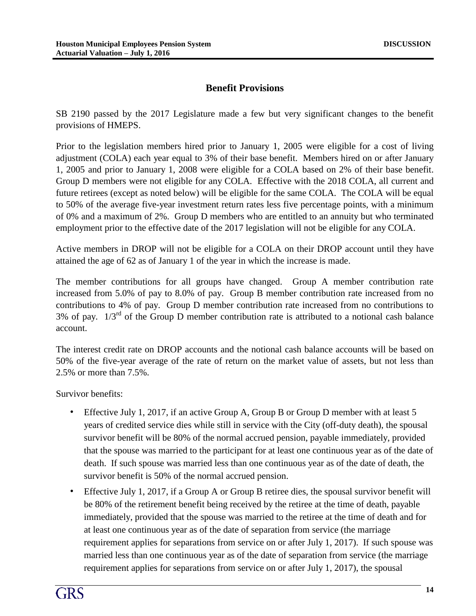## **Benefit Provisions**

SB 2190 passed by the 2017 Legislature made a few but very significant changes to the benefit provisions of HMEPS.

Prior to the legislation members hired prior to January 1, 2005 were eligible for a cost of living adjustment (COLA) each year equal to 3% of their base benefit. Members hired on or after January 1, 2005 and prior to January 1, 2008 were eligible for a COLA based on 2% of their base benefit. Group D members were not eligible for any COLA. Effective with the 2018 COLA, all current and future retirees (except as noted below) will be eligible for the same COLA. The COLA will be equal to 50% of the average five-year investment return rates less five percentage points, with a minimum of 0% and a maximum of 2%. Group D members who are entitled to an annuity but who terminated employment prior to the effective date of the 2017 legislation will not be eligible for any COLA.

Active members in DROP will not be eligible for a COLA on their DROP account until they have attained the age of 62 as of January 1 of the year in which the increase is made.

The member contributions for all groups have changed. Group A member contribution rate increased from 5.0% of pay to 8.0% of pay. Group B member contribution rate increased from no contributions to 4% of pay. Group D member contribution rate increased from no contributions to  $3\%$  of pay.  $1/3^{rd}$  of the Group D member contribution rate is attributed to a notional cash balance account.

The interest credit rate on DROP accounts and the notional cash balance accounts will be based on 50% of the five-year average of the rate of return on the market value of assets, but not less than 2.5% or more than 7.5%.

Survivor benefits:

- Effective July 1, 2017, if an active Group A, Group B or Group D member with at least 5 years of credited service dies while still in service with the City (off-duty death), the spousal survivor benefit will be 80% of the normal accrued pension, payable immediately, provided that the spouse was married to the participant for at least one continuous year as of the date of death. If such spouse was married less than one continuous year as of the date of death, the survivor benefit is 50% of the normal accrued pension.
- Effective July 1, 2017, if a Group A or Group B retiree dies, the spousal survivor benefit will be 80% of the retirement benefit being received by the retiree at the time of death, payable immediately, provided that the spouse was married to the retiree at the time of death and for at least one continuous year as of the date of separation from service (the marriage requirement applies for separations from service on or after July 1, 2017). If such spouse was married less than one continuous year as of the date of separation from service (the marriage requirement applies for separations from service on or after July 1, 2017), the spousal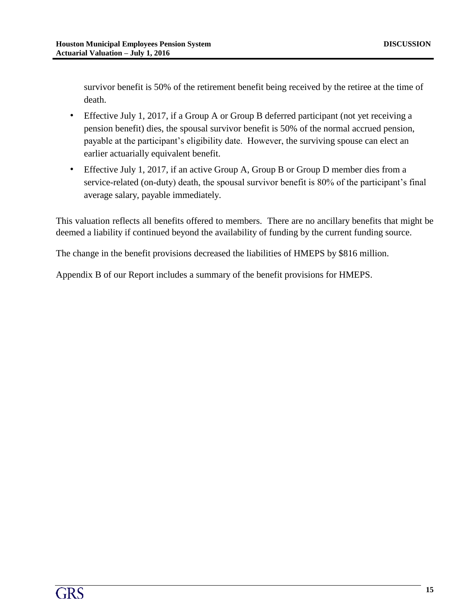survivor benefit is 50% of the retirement benefit being received by the retiree at the time of death.

- · Effective July 1, 2017, if a Group A or Group B deferred participant (not yet receiving a pension benefit) dies, the spousal survivor benefit is 50% of the normal accrued pension, payable at the participant's eligibility date. However, the surviving spouse can elect an earlier actuarially equivalent benefit.
- · Effective July 1, 2017, if an active Group A, Group B or Group D member dies from a service-related (on-duty) death, the spousal survivor benefit is 80% of the participant's final average salary, payable immediately.

This valuation reflects all benefits offered to members. There are no ancillary benefits that might be deemed a liability if continued beyond the availability of funding by the current funding source.

The change in the benefit provisions decreased the liabilities of HMEPS by \$816 million.

Appendix B of our Report includes a summary of the benefit provisions for HMEPS.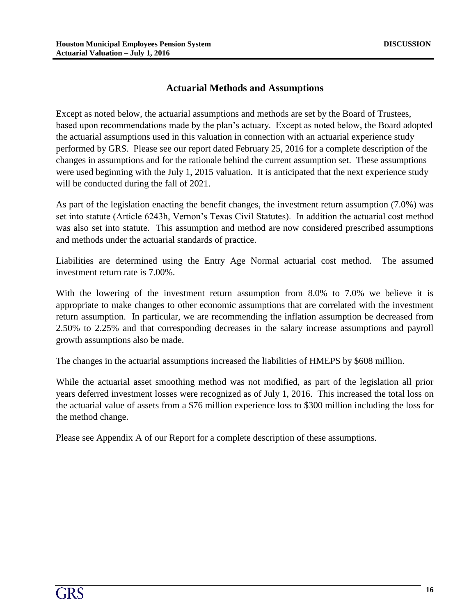#### **Actuarial Methods and Assumptions**

Except as noted below, the actuarial assumptions and methods are set by the Board of Trustees, based upon recommendations made by the plan's actuary. Except as noted below, the Board adopted the actuarial assumptions used in this valuation in connection with an actuarial experience study performed by GRS. Please see our report dated February 25, 2016 for a complete description of the changes in assumptions and for the rationale behind the current assumption set. These assumptions were used beginning with the July 1, 2015 valuation. It is anticipated that the next experience study will be conducted during the fall of 2021.

As part of the legislation enacting the benefit changes, the investment return assumption (7.0%) was set into statute (Article 6243h, Vernon's Texas Civil Statutes). In addition the actuarial cost method was also set into statute. This assumption and method are now considered prescribed assumptions and methods under the actuarial standards of practice.

Liabilities are determined using the Entry Age Normal actuarial cost method. The assumed investment return rate is 7.00%.

With the lowering of the investment return assumption from 8.0% to 7.0% we believe it is appropriate to make changes to other economic assumptions that are correlated with the investment return assumption. In particular, we are recommending the inflation assumption be decreased from 2.50% to 2.25% and that corresponding decreases in the salary increase assumptions and payroll growth assumptions also be made.

The changes in the actuarial assumptions increased the liabilities of HMEPS by \$608 million.

While the actuarial asset smoothing method was not modified, as part of the legislation all prior years deferred investment losses were recognized as of July 1, 2016. This increased the total loss on the actuarial value of assets from a \$76 million experience loss to \$300 million including the loss for the method change.

Please see Appendix A of our Report for a complete description of these assumptions.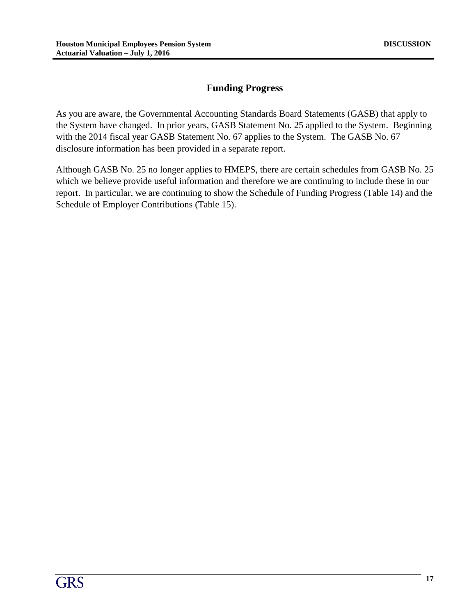# **Funding Progress**

As you are aware, the Governmental Accounting Standards Board Statements (GASB) that apply to the System have changed. In prior years, GASB Statement No. 25 applied to the System. Beginning with the 2014 fiscal year GASB Statement No. 67 applies to the System. The GASB No. 67 disclosure information has been provided in a separate report.

Although GASB No. 25 no longer applies to HMEPS, there are certain schedules from GASB No. 25 which we believe provide useful information and therefore we are continuing to include these in our report. In particular, we are continuing to show the Schedule of Funding Progress (Table 14) and the Schedule of Employer Contributions (Table 15).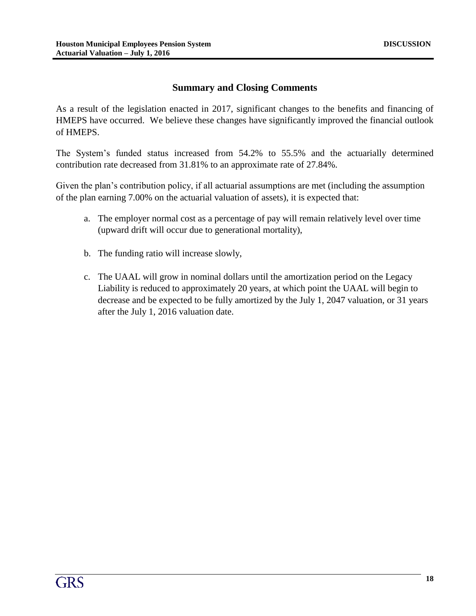#### **Summary and Closing Comments**

As a result of the legislation enacted in 2017, significant changes to the benefits and financing of HMEPS have occurred. We believe these changes have significantly improved the financial outlook of HMEPS.

The System's funded status increased from 54.2% to 55.5% and the actuarially determined contribution rate decreased from 31.81% to an approximate rate of 27.84%.

Given the plan's contribution policy, if all actuarial assumptions are met (including the assumption of the plan earning 7.00% on the actuarial valuation of assets), it is expected that:

- a. The employer normal cost as a percentage of pay will remain relatively level over time (upward drift will occur due to generational mortality),
- b. The funding ratio will increase slowly,
- c. The UAAL will grow in nominal dollars until the amortization period on the Legacy Liability is reduced to approximately 20 years, at which point the UAAL will begin to decrease and be expected to be fully amortized by the July 1, 2047 valuation, or 31 years after the July 1, 2016 valuation date.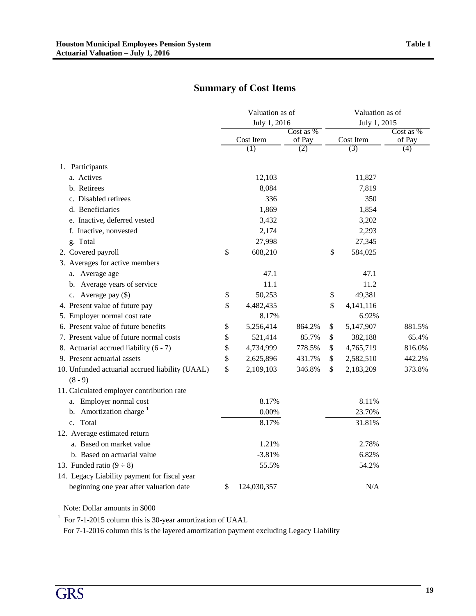# **Summary of Cost Items**

|                                                              | Valuation as of<br>July 1, 2016 |                     | Valuation as of<br>July 1, 2015 |                     |
|--------------------------------------------------------------|---------------------------------|---------------------|---------------------------------|---------------------|
|                                                              | Cost Item                       | Cost as %<br>of Pay | Cost Item                       | Cost as %<br>of Pay |
|                                                              | (1)                             | (2)                 | (3)                             | $\overline{(4)}$    |
| 1. Participants                                              |                                 |                     |                                 |                     |
| a. Actives                                                   | 12,103                          |                     | 11,827                          |                     |
| b. Retirees                                                  | 8,084                           |                     | 7,819                           |                     |
| c. Disabled retirees                                         | 336                             |                     | 350                             |                     |
| d. Beneficiaries                                             | 1,869                           |                     | 1,854                           |                     |
| e. Inactive, deferred vested                                 | 3,432                           |                     | 3,202                           |                     |
| f. Inactive, nonvested                                       | 2,174                           |                     | 2,293                           |                     |
| g. Total                                                     | 27,998                          |                     | 27,345                          |                     |
| 2. Covered payroll                                           | \$<br>608,210                   |                     | \$<br>584,025                   |                     |
| 3. Averages for active members                               |                                 |                     |                                 |                     |
| a. Average age                                               | 47.1                            |                     | 47.1                            |                     |
| b. Average years of service                                  | 11.1                            |                     | 11.2                            |                     |
| c. Average pay (\$)                                          | \$<br>50,253                    |                     | \$<br>49,381                    |                     |
| 4. Present value of future pay                               | \$<br>4,482,435                 |                     | \$<br>4,141,116                 |                     |
| 5. Employer normal cost rate                                 | 8.17%                           |                     | 6.92%                           |                     |
| 6. Present value of future benefits                          | \$<br>5,256,414                 | 864.2%              | \$<br>5,147,907                 | 881.5%              |
| 7. Present value of future normal costs                      | \$<br>521,414                   | 85.7%               | \$<br>382,188                   | 65.4%               |
| 8. Actuarial accrued liability (6 - 7)                       | \$<br>4,734,999                 | 778.5%              | \$<br>4,765,719                 | 816.0%              |
| 9. Present actuarial assets                                  | \$<br>2,625,896                 | 431.7%              | \$<br>2,582,510                 | 442.2%              |
| 10. Unfunded actuarial accrued liability (UAAL)<br>$(8 - 9)$ | \$<br>2,109,103                 | 346.8%              | \$<br>2,183,209                 | 373.8%              |
| 11. Calculated employer contribution rate                    |                                 |                     |                                 |                     |
| Employer normal cost<br>a.                                   | 8.17%                           |                     | 8.11%                           |                     |
| b. Amortization charge $1$                                   | $0.00\%$                        |                     | 23.70%                          |                     |
| c. Total                                                     | 8.17%                           |                     | 31.81%                          |                     |
| 12. Average estimated return                                 |                                 |                     |                                 |                     |
| a. Based on market value                                     | 1.21%                           |                     | 2.78%                           |                     |
| b. Based on actuarial value                                  | $-3.81%$                        |                     | 6.82%                           |                     |
| 13. Funded ratio $(9 \div 8)$                                | 55.5%                           |                     | 54.2%                           |                     |
| 14. Legacy Liability payment for fiscal year                 |                                 |                     |                                 |                     |
| beginning one year after valuation date                      | \$<br>124,030,357               |                     | N/A                             |                     |

Note: Dollar amounts in \$000

<sup>1</sup> For 7-1-2015 column this is 30-year amortization of UAAL

For 7-1-2016 column this is the layered amortization payment excluding Legacy Liability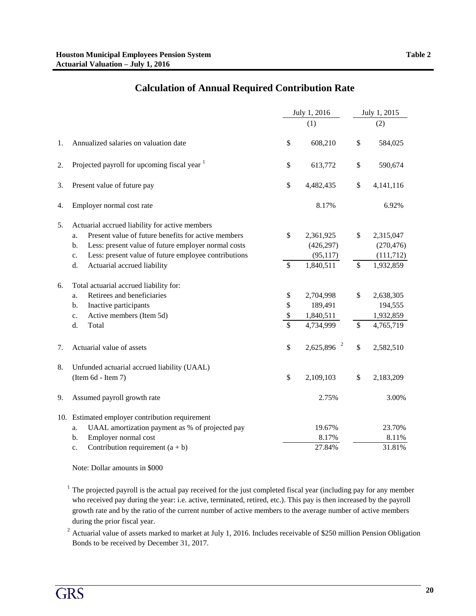|    |                                                                                                                                                                                                                                                                                            |                                           | July 1, 2016                                      |                                | July 1, 2015                                       |
|----|--------------------------------------------------------------------------------------------------------------------------------------------------------------------------------------------------------------------------------------------------------------------------------------------|-------------------------------------------|---------------------------------------------------|--------------------------------|----------------------------------------------------|
|    |                                                                                                                                                                                                                                                                                            |                                           | (1)                                               |                                | (2)                                                |
| 1. | Annualized salaries on valuation date                                                                                                                                                                                                                                                      | \$                                        | 608,210                                           | \$                             | 584,025                                            |
| 2. | Projected payroll for upcoming fiscal year <sup>1</sup>                                                                                                                                                                                                                                    | \$                                        | 613,772                                           | \$                             | 590,674                                            |
| 3. | Present value of future pay                                                                                                                                                                                                                                                                | \$                                        | 4,482,435                                         | \$                             | 4,141,116                                          |
| 4. | Employer normal cost rate                                                                                                                                                                                                                                                                  |                                           | 8.17%                                             |                                | 6.92%                                              |
| 5. | Actuarial accrued liability for active members<br>Present value of future benefits for active members<br>a.<br>Less: present value of future employer normal costs<br>$b$ .<br>Less: present value of future employee contributions<br>$\mathbf{c}$ .<br>Actuarial accrued liability<br>d. | \$<br>$\overline{\mathcal{S}}$            | 2,361,925<br>(426, 297)<br>(95, 117)<br>1,840,511 | \$<br>$\overline{\mathcal{S}}$ | 2,315,047<br>(270, 476)<br>(111, 712)<br>1,932,859 |
| 6. | Total actuarial accrued liability for:<br>Retirees and beneficiaries<br>a.<br>Inactive participants<br>b.<br>Active members (Item 5d)<br>c.<br>d.<br>Total                                                                                                                                 | \$<br>\$<br>\$<br>$\overline{\mathbf{s}}$ | 2,704,998<br>189,491<br>1,840,511<br>4,734,999    | \$<br>$\mathsf{\$}$            | 2,638,305<br>194,555<br>1,932,859<br>4,765,719     |
| 7. | Actuarial value of assets                                                                                                                                                                                                                                                                  | \$                                        | $2,625,896$ <sup>2</sup>                          | \$                             | 2,582,510                                          |
| 8. | Unfunded actuarial accrued liability (UAAL)<br>(Item 6d - Item 7)                                                                                                                                                                                                                          | \$                                        | 2,109,103                                         | \$                             | 2,183,209                                          |
| 9. | Assumed payroll growth rate                                                                                                                                                                                                                                                                |                                           | 2.75%                                             |                                | 3.00%                                              |
|    | 10. Estimated employer contribution requirement<br>UAAL amortization payment as % of projected pay<br>a.<br>Employer normal cost<br>b.<br>Contribution requirement $(a + b)$<br>c.                                                                                                         |                                           | 19.67%<br>8.17%<br>27.84%                         |                                | 23.70%<br>8.11%<br>31.81%                          |

# **Calculation of Annual Required Contribution Rate**

Note: Dollar amounts in \$000

 $1$  The projected payroll is the actual pay received for the just completed fiscal year (including pay for any member who received pay during the year: i.e. active, terminated, retired, etc.). This pay is then increased by the payroll growth rate and by the ratio of the current number of active members to the average number of active members during the prior fiscal year.

<sup>2</sup> Actuarial value of assets marked to market at July 1, 2016. Includes receivable of \$250 million Pension Obligation Bonds to be received by December 31, 2017.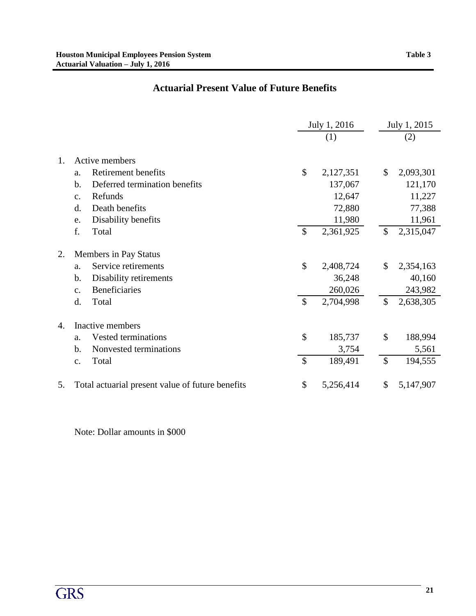# **Actuarial Present Value of Future Benefits**

|    |                       |                                                                        | July 1, 2016  |                      |               | July 1, 2015         |  |  |
|----|-----------------------|------------------------------------------------------------------------|---------------|----------------------|---------------|----------------------|--|--|
|    |                       |                                                                        |               | (1)                  |               | (2)                  |  |  |
| 1. | a.<br>b.              | Active members<br>Retirement benefits<br>Deferred termination benefits | \$            | 2,127,351<br>137,067 | \$            | 2,093,301<br>121,170 |  |  |
|    | $\mathcal{C}$ .<br>d. | Refunds<br>Death benefits                                              |               | 12,647<br>72,880     |               | 11,227<br>77,388     |  |  |
|    | e.                    | Disability benefits                                                    |               | 11,980               |               | 11,961               |  |  |
|    | f.                    | Total                                                                  | $\mathcal{S}$ | 2,361,925            | $\mathcal{S}$ | 2,315,047            |  |  |
| 2. |                       | Members in Pay Status                                                  |               |                      |               |                      |  |  |
|    | a.                    | Service retirements                                                    | \$            | 2,408,724            | \$            | 2,354,163            |  |  |
|    | b.                    | Disability retirements                                                 |               | 36,248               |               | 40,160               |  |  |
|    | c.                    | <b>Beneficiaries</b>                                                   |               | 260,026              |               | 243,982              |  |  |
|    | d.                    | Total                                                                  | $\mathcal{S}$ | 2,704,998            | \$            | 2,638,305            |  |  |
| 4. |                       | Inactive members                                                       |               |                      |               |                      |  |  |
|    | a.                    | Vested terminations                                                    | \$            | 185,737              | \$            | 188,994              |  |  |
|    | b.                    | Nonvested terminations                                                 |               | 3,754                |               | 5,561                |  |  |
|    | c.                    | Total                                                                  | $\mathcal{S}$ | 189,491              | $\mathcal{S}$ | 194,555              |  |  |
| 5. |                       | Total actuarial present value of future benefits                       | \$            | 5,256,414            | \$            | 5,147,907            |  |  |

Note: Dollar amounts in \$000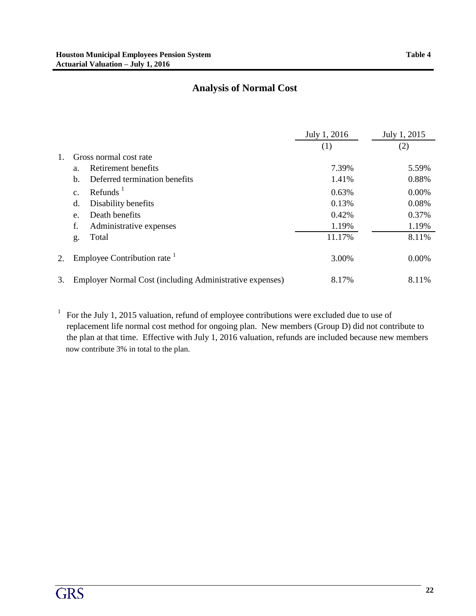# **Analysis of Normal Cost**

|    |                                                                 | July 1, 2016 | July 1, 2015 |
|----|-----------------------------------------------------------------|--------------|--------------|
|    |                                                                 | (1)          | (2)          |
| 1. | Gross normal cost rate                                          |              |              |
|    | Retirement benefits<br>a.                                       | 7.39%        | 5.59%        |
|    | Deferred termination benefits<br>b.                             | 1.41%        | 0.88%        |
|    | Refunds <sup>1</sup><br>$\mathbf{c}$ .                          | 0.63%        | 0.00%        |
|    | Disability benefits<br>d.                                       | 0.13%        | 0.08%        |
|    | Death benefits<br>e.                                            | 0.42%        | 0.37%        |
|    | f.<br>Administrative expenses                                   | 1.19%        | 1.19%        |
|    | Total<br>g.                                                     | 11.17%       | 8.11%        |
| 2. | Employee Contribution rate                                      | 3.00%        | 0.00%        |
| 3. | <b>Employer Normal Cost (including Administrative expenses)</b> | 8.17%        | 8.11%        |

<sup>1</sup> For the July 1, 2015 valuation, refund of employee contributions were excluded due to use of replacement life normal cost method for ongoing plan. New members (Group D) did not contribute to the plan at that time. Effective with July 1, 2016 valuation, refunds are included because new members now contribute 3% in total to the plan.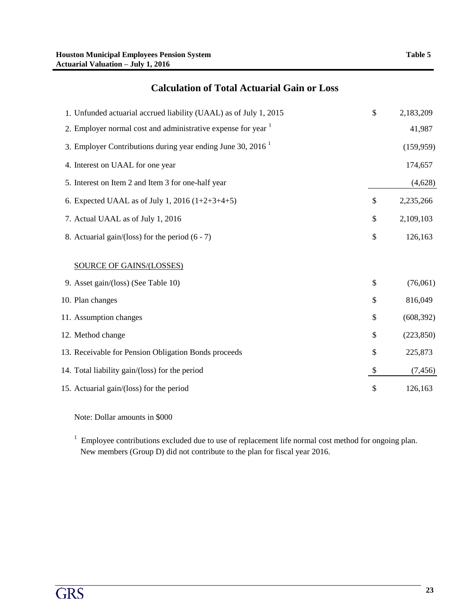# **Calculation of Total Actuarial Gain or Loss**

| 1. Unfunded actuarial accrued liability (UAAL) as of July 1, 2015        | \$                        | 2,183,209  |
|--------------------------------------------------------------------------|---------------------------|------------|
| 2. Employer normal cost and administrative expense for year <sup>1</sup> |                           | 41,987     |
| 3. Employer Contributions during year ending June 30, 2016 <sup>1</sup>  |                           | (159, 959) |
| 4. Interest on UAAL for one year                                         |                           | 174,657    |
| 5. Interest on Item 2 and Item 3 for one-half year                       |                           | (4,628)    |
| 6. Expected UAAL as of July 1, 2016 $(1+2+3+4+5)$                        | \$                        | 2,235,266  |
| 7. Actual UAAL as of July 1, 2016                                        | \$                        | 2,109,103  |
| 8. Actuarial gain/(loss) for the period $(6 - 7)$                        | \$                        | 126,163    |
| <b>SOURCE OF GAINS/(LOSSES)</b>                                          |                           |            |
| 9. Asset gain/(loss) (See Table 10)                                      | \$                        | (76,061)   |
| 10. Plan changes                                                         | \$                        | 816,049    |
| 11. Assumption changes                                                   | \$                        | (608, 392) |
| 12. Method change                                                        | \$                        | (223, 850) |
| 13. Receivable for Pension Obligation Bonds proceeds                     | \$                        | 225,873    |
| 14. Total liability gain/(loss) for the period                           | $\boldsymbol{\mathsf{S}}$ | (7, 456)   |
| 15. Actuarial gain/(loss) for the period                                 | \$                        | 126,163    |

Note: Dollar amounts in \$000

 $1$  Employee contributions excluded due to use of replacement life normal cost method for ongoing plan. New members (Group D) did not contribute to the plan for fiscal year 2016.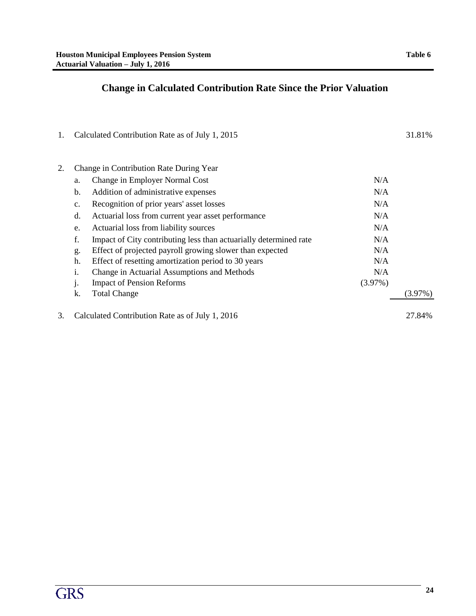# **Change in Calculated Contribution Rate Since the Prior Valuation**

| 1. |                | Calculated Contribution Rate as of July 1, 2015                   |         | 31.81%     |
|----|----------------|-------------------------------------------------------------------|---------|------------|
|    |                |                                                                   |         |            |
| 2. |                | Change in Contribution Rate During Year                           |         |            |
|    | a.             | Change in Employer Normal Cost                                    | N/A     |            |
|    | b.             | Addition of administrative expenses                               | N/A     |            |
|    | c.             | Recognition of prior years' asset losses                          | N/A     |            |
|    | d.             | Actuarial loss from current year asset performance                | N/A     |            |
|    | e.             | Actuarial loss from liability sources                             | N/A     |            |
|    | f.             | Impact of City contributing less than actuarially determined rate | N/A     |            |
|    | g.             | Effect of projected payroll growing slower than expected          | N/A     |            |
|    | h.             | Effect of resetting amortization period to 30 years               | N/A     |            |
|    | i.             | Change in Actuarial Assumptions and Methods                       | N/A     |            |
|    | J <sub>1</sub> | <b>Impact of Pension Reforms</b>                                  | (3.97%) |            |
|    | k.             | <b>Total Change</b>                                               |         | $(3.97\%)$ |
| 3. |                | Calculated Contribution Rate as of July 1, 2016                   |         | 27.84%     |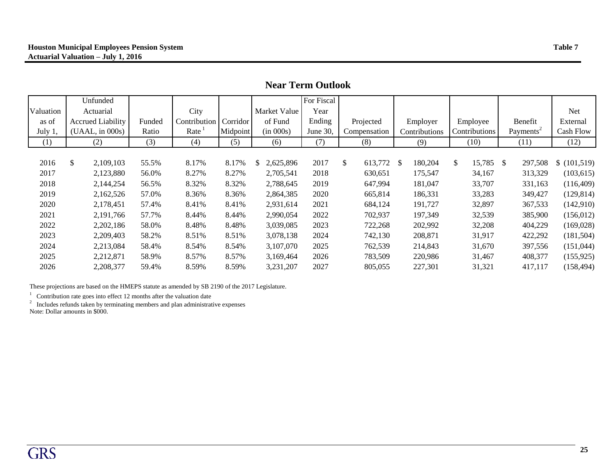|           |                          |        |              |          |                 | <b>Near Term Outlook</b> |               |                          |                 |                       |             |
|-----------|--------------------------|--------|--------------|----------|-----------------|--------------------------|---------------|--------------------------|-----------------|-----------------------|-------------|
|           | Unfunded                 |        |              |          |                 | For Fiscal               |               |                          |                 |                       |             |
| Valuation | Actuarial                |        | City         |          | Market Value    | Year                     |               |                          |                 |                       | <b>Net</b>  |
| as of     | <b>Accrued Liability</b> | Funded | Contribution | Corridor | of Fund         | Ending                   | Projected     | Employer                 | Employee        | Benefit               | External    |
| July 1,   | (UAAL, in 000s)          | Ratio  | Rate         | Midpoint | (in 000s)       | June $30$ ,              | Compensation  | Contributions            | Contributions   | Payments <sup>2</sup> | Cash Flow   |
| (1)       | (2)                      | (3)    | (4)          | (5)      | (6)             | (7)                      | (8)           | (9)                      | (10)            | (11)                  | (12)        |
|           |                          |        |              |          |                 |                          |               |                          |                 |                       |             |
| 2016      | \$<br>2,109,103          | 55.5%  | 8.17%        | 8.17%    | 2,625,896<br>\$ | 2017                     | \$<br>613,772 | 180,204<br><sup>\$</sup> | \$<br>15,785 \$ | 297,508               | \$(101,519) |
| 2017      | 2,123,880                | 56.0%  | 8.27%        | 8.27%    | 2,705,541       | 2018                     | 630,651       | 175,547                  | 34,167          | 313,329               | (103, 615)  |
| 2018      | 2,144,254                | 56.5%  | 8.32%        | 8.32%    | 2,788,645       | 2019                     | 647,994       | 181,047                  | 33,707          | 331,163               | (116,409)   |
| 2019      | 2,162,526                | 57.0%  | 8.36%        | 8.36%    | 2,864,385       | 2020                     | 665,814       | 186,331                  | 33,283          | 349,427               | (129, 814)  |
| 2020      | 2,178,451                | 57.4%  | 8.41%        | 8.41%    | 2,931,614       | 2021                     | 684,124       | 191,727                  | 32,897          | 367,533               | (142,910)   |
| 2021      | 2,191,766                | 57.7%  | 8.44%        | 8.44%    | 2,990,054       | 2022                     | 702,937       | 197,349                  | 32,539          | 385,900               | (156, 012)  |
| 2022      | 2,202,186                | 58.0%  | 8.48%        | 8.48%    | 3,039,085       | 2023                     | 722,268       | 202,992                  | 32,208          | 404,229               | (169,028)   |
| 2023      | 2,209,403                | 58.2%  | 8.51%        | 8.51%    | 3,078,138       | 2024                     | 742,130       | 208,871                  | 31,917          | 422,292               | (181, 504)  |
| 2024      | 2,213,084                | 58.4%  | 8.54%        | 8.54%    | 3,107,070       | 2025                     | 762,539       | 214,843                  | 31,670          | 397,556               | (151, 044)  |

2025 2,212,871 58.9% 8.57% 8.57% 3,169,464 2026 783,509 220,986 31,467 408,377 (155,925) 2026 2,208,377 59.4% 8.59% 8.59% 3,231,207 2027 805,055 227,301 31,321 417,117 (158,494)

These projections are based on the HMEPS statute as amended by SB 2190 of the 2017 Legislature.

 $1$  Contribution rate goes into effect 12 months after the valuation date

 $2$  Includes refunds taken by terminating members and plan administrative expenses Note: Dollar amounts in \$000.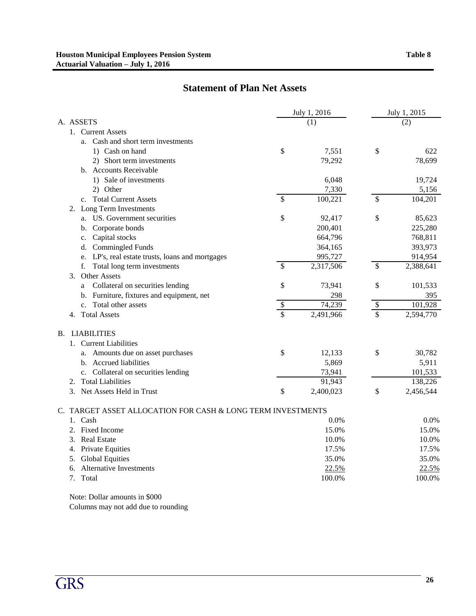# **Statement of Plan Net Assets**

|                                                             |                         | July 1, 2016 |                   | July 1, 2015 |  |  |
|-------------------------------------------------------------|-------------------------|--------------|-------------------|--------------|--|--|
| A. ASSETS                                                   |                         | (1)          | (2)               |              |  |  |
| 1. Current Assets                                           |                         |              |                   |              |  |  |
| a. Cash and short term investments                          |                         |              |                   |              |  |  |
| 1) Cash on hand                                             | \$                      | 7,551        | \$                | 622          |  |  |
| 2) Short term investments                                   |                         | 79,292       |                   | 78,699       |  |  |
| b. Accounts Receivable                                      |                         |              |                   |              |  |  |
| 1) Sale of investments                                      |                         | 6,048        |                   | 19,724       |  |  |
| 2) Other                                                    |                         | 7,330        |                   | 5,156        |  |  |
| c. Total Current Assets                                     | $\mathbb{S}$            | 100,221      | \$                | 104,201      |  |  |
| 2. Long Term Investments                                    |                         |              |                   |              |  |  |
| a. US. Government securities                                | \$                      | 92,417       | \$                | 85,623       |  |  |
| b. Corporate bonds                                          |                         | 200,401      |                   | 225,280      |  |  |
| Capital stocks<br>c.                                        |                         | 664,796      |                   | 768,811      |  |  |
| d. Commingled Funds                                         |                         | 364,165      |                   | 393,973      |  |  |
| e. LP's, real estate trusts, loans and mortgages            |                         | 995,727      |                   | 914,954      |  |  |
| Total long term investments<br>f.                           | \$                      | 2,317,506    | \$                | 2,388,641    |  |  |
| <b>Other Assets</b><br>3.                                   |                         |              |                   |              |  |  |
| Collateral on securities lending<br>a                       | \$                      | 73,941       | \$                | 101,533      |  |  |
| b. Furniture, fixtures and equipment, net                   |                         | 298          |                   | 395          |  |  |
| c. Total other assets                                       | $\frac{1}{2}$           | 74,239       | $\boldsymbol{\$}$ | 101,928      |  |  |
| <b>Total Assets</b><br>4.                                   | $\overline{\mathbb{S}}$ | 2,491,966    | \$                | 2,594,770    |  |  |
|                                                             |                         |              |                   |              |  |  |
| <b>B. LIABILITIES</b>                                       |                         |              |                   |              |  |  |
| 1. Current Liabilities                                      |                         |              |                   |              |  |  |
| a. Amounts due on asset purchases                           | \$                      | 12,133       | \$                | 30,782       |  |  |
| b. Accrued liabilities                                      |                         | 5,869        |                   | 5,911        |  |  |
| c. Collateral on securities lending                         |                         | 73,941       |                   | 101,533      |  |  |
| <b>Total Liabilities</b><br>2.                              |                         | 91,943       |                   | 138,226      |  |  |
| 3.<br>Net Assets Held in Trust                              | \$                      | 2,400,023    | \$                | 2,456,544    |  |  |
| C. TARGET ASSET ALLOCATION FOR CASH & LONG TERM INVESTMENTS |                         |              |                   |              |  |  |
| Cash<br>1.                                                  |                         | 0.0%         |                   | 0.0%         |  |  |
| <b>Fixed Income</b><br>2.                                   |                         | 15.0%        |                   | 15.0%        |  |  |
| <b>Real Estate</b><br>3.                                    |                         | 10.0%        |                   | 10.0%        |  |  |
| Private Equities<br>4.                                      |                         | 17.5%        |                   | 17.5%        |  |  |
| <b>Global Equities</b><br>5.                                |                         | 35.0%        |                   | 35.0%        |  |  |
| <b>Alternative Investments</b><br>6.                        |                         | 22.5%        |                   | 22.5%        |  |  |
| 7. Total                                                    |                         | 100.0%       |                   | 100.0%       |  |  |
|                                                             |                         |              |                   |              |  |  |

Note: Dollar amounts in \$000 Columns may not add due to rounding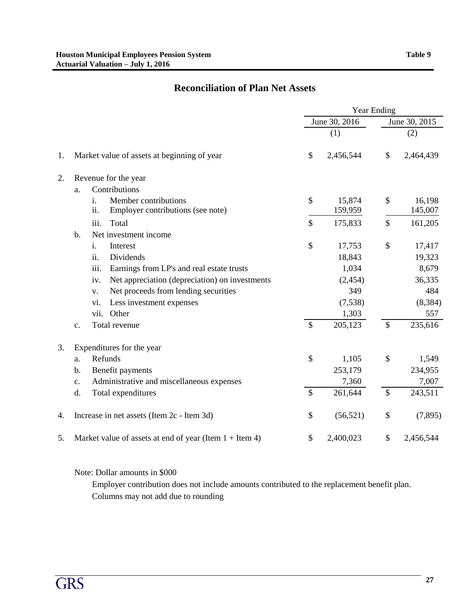# **Reconciliation of Plan Net Assets**

|    |                                                                        |               | <b>Year Ending</b> |                           |                   |  |
|----|------------------------------------------------------------------------|---------------|--------------------|---------------------------|-------------------|--|
|    |                                                                        |               | June 30, 2016      |                           | June 30, 2015     |  |
|    |                                                                        |               | (1)                |                           | (2)               |  |
| 1. | Market value of assets at beginning of year                            | \$            | 2,456,544          | \$                        | 2,464,439         |  |
| 2. | Revenue for the year                                                   |               |                    |                           |                   |  |
|    | Contributions<br>a.                                                    |               |                    |                           |                   |  |
|    | Member contributions<br>i.<br>ii.<br>Employer contributions (see note) | \$            | 15,874<br>159,959  | \$                        | 16,198<br>145,007 |  |
|    | iii.<br>Total                                                          | \$            | 175,833            | \$                        | 161,205           |  |
|    | Net investment income<br>$b$ .                                         |               |                    |                           |                   |  |
|    | i.<br>Interest                                                         | \$            | 17,753             | \$                        | 17,417            |  |
|    | Dividends<br>ii.                                                       |               | 18,843             |                           | 19,323            |  |
|    | iii.<br>Earnings from LP's and real estate trusts                      |               | 1,034              |                           | 8,679             |  |
|    | Net appreciation (depreciation) on investments<br>iv.                  |               | (2, 454)           |                           | 36,335            |  |
|    | Net proceeds from lending securities<br>v.                             |               | 349                |                           | 484               |  |
|    | Less investment expenses<br>vi.                                        |               | (7,538)            |                           | (8, 384)          |  |
|    | Other<br>vii.                                                          |               | 1,303              |                           | 557               |  |
|    | Total revenue<br>c.                                                    | $\mathcal{S}$ | 205,123            | $\mathcal{S}$             | 235,616           |  |
| 3. | Expenditures for the year                                              |               |                    |                           |                   |  |
|    | Refunds<br>a.                                                          | \$            | 1,105              | \$                        | 1,549             |  |
|    | $b$ .<br>Benefit payments                                              |               | 253,179            |                           | 234,955           |  |
|    | Administrative and miscellaneous expenses<br>c.                        |               | 7,360              |                           | 7,007             |  |
|    | d.<br>Total expenditures                                               | $\mathcal{S}$ | 261,644            | $\boldsymbol{\mathsf{S}}$ | 243,511           |  |
| 4. | Increase in net assets (Item 2c - Item 3d)                             | \$            | (56, 521)          | \$                        | (7,895)           |  |
| 5. | Market value of assets at end of year (Item $1 +$ Item 4)              | \$            | 2,400,023          | \$                        | 2,456,544         |  |

Note: Dollar amounts in \$000

Employer contribution does not include amounts contributed to the replacement benefit plan. Columns may not add due to rounding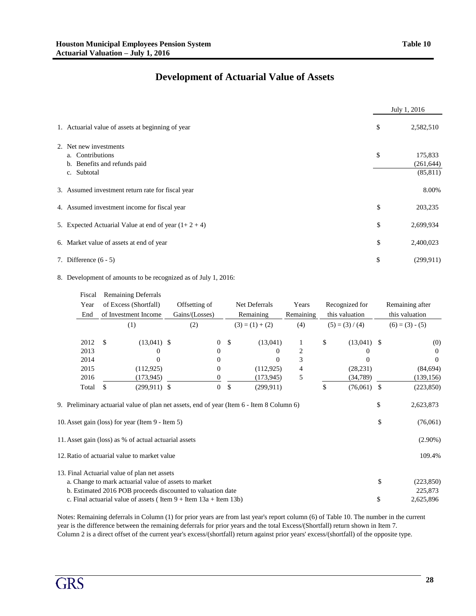## **Development of Actuarial Value of Assets**

|                                                                                           | July 1, 2016                             |
|-------------------------------------------------------------------------------------------|------------------------------------------|
| 1. Actuarial value of assets at beginning of year                                         | \$<br>2,582,510                          |
| 2. Net new investments<br>a. Contributions<br>b. Benefits and refunds paid<br>c. Subtotal | \$<br>175,833<br>(261, 644)<br>(85, 811) |
| 3. Assumed investment return rate for fiscal year                                         | 8.00%                                    |
| 4. Assumed investment income for fiscal year                                              | \$<br>203,235                            |
| 5. Expected Actuarial Value at end of year $(1+2+4)$                                      | \$<br>2,699,934                          |
| 6. Market value of assets at end of year                                                  | \$<br>2,400,023                          |
| 7. Difference $(6 - 5)$                                                                   | \$<br>(299.911)                          |

#### 8. Development of amounts to be recognized as of July 1, 2016:

| Fiscal | <b>Remaining Deferrals</b>                                                                                                                    |                  |                   |                |                |                   |          |                       |  |  |
|--------|-----------------------------------------------------------------------------------------------------------------------------------------------|------------------|-------------------|----------------|----------------|-------------------|----------|-----------------------|--|--|
| Year   | of Excess (Shortfall)                                                                                                                         | Offsetting of    | Net Deferrals     | Years          | Recognized for |                   |          | Remaining after       |  |  |
| End    | of Investment Income                                                                                                                          | Gains/(Losses)   | Remaining         | Remaining      |                | this valuation    |          | this valuation        |  |  |
|        | (1)                                                                                                                                           | (2)              | $(3) = (1) + (2)$ | (4)            |                | $(5) = (3) / (4)$ |          | $(6) = (3) - (5)$     |  |  |
| 2012   | \$<br>$(13,041)$ \$                                                                                                                           | $\mathbf{0}$     | \$<br>(13,041)    |                | \$             | $(13,041)$ \$     |          | (0)                   |  |  |
| 2013   | $\theta$                                                                                                                                      | $\theta$         | $\Omega$          | $\overline{2}$ |                | 0                 |          | $\Omega$              |  |  |
| 2014   | 0                                                                                                                                             | $_{0}$           | $\Omega$          | 3              |                | $\Omega$          |          | $\Omega$              |  |  |
| 2015   | (112, 925)                                                                                                                                    | 0                | (112, 925)        | 4              |                | (28, 231)         |          | (84, 694)             |  |  |
| 2016   | (173, 945)                                                                                                                                    | 0                | (173, 945)        | 5              |                | (34, 789)         |          | (139, 156)            |  |  |
| Total  | \$<br>$(299, 911)$ \$                                                                                                                         | $\boldsymbol{0}$ | \$<br>(299, 911)  |                | \$             | $(76,061)$ \$     |          | (223, 850)            |  |  |
|        | 9. Preliminary actuarial value of plan net assets, end of year (Item 6 - Item 8 Column 6)<br>10. Asset gain (loss) for year (Item 9 - Item 5) |                  |                   |                |                |                   | \$<br>\$ | 2,623,873<br>(76,061) |  |  |
|        | 11. Asset gain (loss) as % of actual actuarial assets                                                                                         |                  |                   |                |                |                   |          | $(2.90\%)$            |  |  |
|        | 12. Ratio of actuarial value to market value                                                                                                  |                  |                   |                |                |                   |          | 109.4%                |  |  |
|        | 13. Final Actuarial value of plan net assets                                                                                                  |                  |                   |                |                |                   |          |                       |  |  |
|        | a. Change to mark actuarial value of assets to market                                                                                         |                  |                   |                |                |                   | \$       | (223, 850)            |  |  |
|        | b. Estimated 2016 POB proceeds discounted to valuation date                                                                                   |                  |                   |                |                |                   |          | 225,873               |  |  |
|        | c. Final actuarial value of assets (Item $9 +$ Item $13a +$ Item $13b$ )                                                                      |                  |                   |                |                |                   | \$       | 2,625,896             |  |  |

Notes: Remaining deferrals in Column (1) for prior years are from last year's report column (6) of Table 10. The number in the current year is the difference between the remaining deferrals for prior years and the total Excess/(Shortfall) return shown in Item 7. Column 2 is a direct offset of the current year's excess/(shortfall) return against prior years' excess/(shortfall) of the opposite type.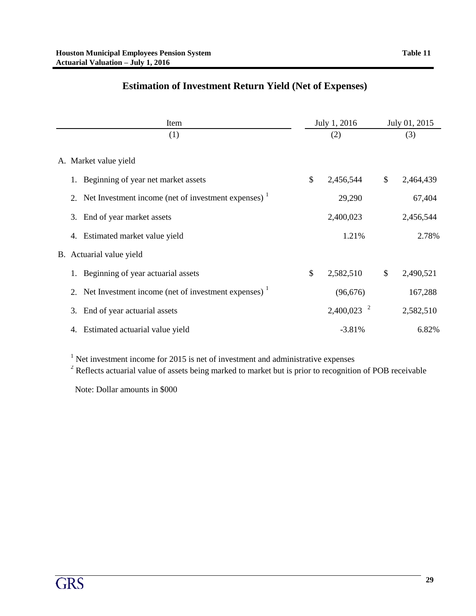| Item                                                               | July 1, 2016             | July 01, 2015   |  |
|--------------------------------------------------------------------|--------------------------|-----------------|--|
| (1)                                                                | (2)                      | (3)             |  |
| A. Market value yield                                              |                          |                 |  |
| Beginning of year net market assets                                | \$<br>2,456,544          | \$<br>2,464,439 |  |
| 2. Net Investment income (net of investment expenses) <sup>1</sup> | 29,290                   | 67,404          |  |
| 3. End of year market assets                                       | 2,400,023                | 2,456,544       |  |
| Estimated market value yield<br>4.                                 | 1.21%                    | 2.78%           |  |
| B. Actuarial value yield                                           |                          |                 |  |
| Beginning of year actuarial assets                                 | \$<br>2,582,510          | \$<br>2,490,521 |  |
| 2. Net Investment income (net of investment expenses) <sup>1</sup> | (96, 676)                | 167,288         |  |
| End of year actuarial assets<br>3.                                 | $2,400,023$ <sup>2</sup> | 2,582,510       |  |
| Estimated actuarial value yield<br>4.                              | $-3.81%$                 | 6.82%           |  |

## **Estimation of Investment Return Yield (Net of Expenses)**

<sup>1</sup> Net investment income for 2015 is net of investment and administrative expenses

 $2^2$  Reflects actuarial value of assets being marked to market but is prior to recognition of POB receivable

Note: Dollar amounts in \$000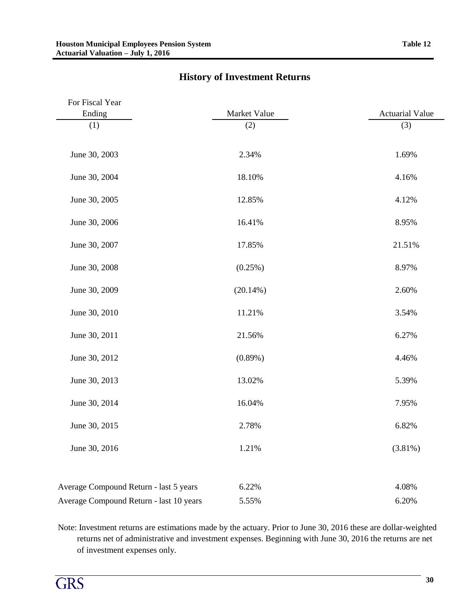| For Fiscal Year                        |              |                        |
|----------------------------------------|--------------|------------------------|
| Ending                                 | Market Value | <b>Actuarial Value</b> |
| (1)                                    | (2)          | (3)                    |
|                                        |              |                        |
| June 30, 2003                          | 2.34%        | 1.69%                  |
|                                        |              |                        |
| June 30, 2004                          | 18.10%       | 4.16%                  |
|                                        |              |                        |
| June 30, 2005                          | 12.85%       | 4.12%                  |
|                                        |              |                        |
| June 30, 2006                          | 16.41%       | 8.95%                  |
|                                        |              |                        |
| June 30, 2007                          | 17.85%       | 21.51%                 |
| June 30, 2008                          |              | 8.97%                  |
|                                        | $(0.25\%)$   |                        |
| June 30, 2009                          | $(20.14\%)$  | 2.60%                  |
|                                        |              |                        |
| June 30, 2010                          | 11.21%       | 3.54%                  |
|                                        |              |                        |
| June 30, 2011                          | 21.56%       | 6.27%                  |
|                                        |              |                        |
| June 30, 2012                          | $(0.89\%)$   | 4.46%                  |
|                                        |              |                        |
| June 30, 2013                          | 13.02%       | 5.39%                  |
|                                        |              |                        |
| June 30, 2014                          | 16.04%       | 7.95%                  |
| June 30, 2015                          | 2.78%        | 6.82%                  |
|                                        |              |                        |
| June 30, 2016                          | 1.21%        | $(3.81\%)$             |
|                                        |              |                        |
|                                        |              |                        |
| Average Compound Return - last 5 years | 6.22%        | 4.08%                  |
|                                        |              |                        |

## **History of Investment Returns**

Note: Investment returns are estimations made by the actuary. Prior to June 30, 2016 these are dollar-weighted returns net of administrative and investment expenses. Beginning with June 30, 2016 the returns are net of investment expenses only.

Average Compound Return - last 10 years 5.55% 6.20%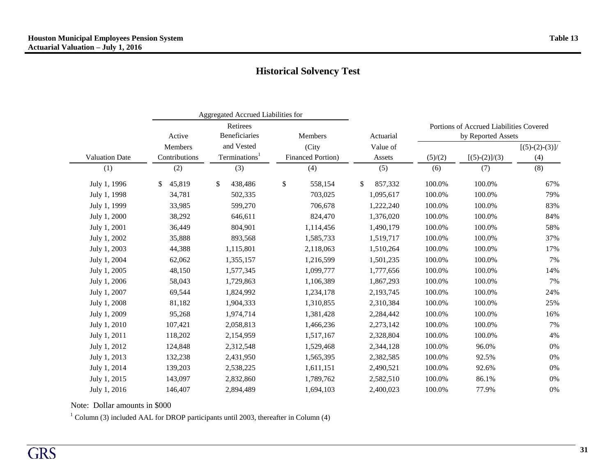|                       |                | Aggregated Accrued Liabilities for |                           |               |                                         |                 |                  |  |  |  |
|-----------------------|----------------|------------------------------------|---------------------------|---------------|-----------------------------------------|-----------------|------------------|--|--|--|
|                       |                | Retirees                           |                           |               | Portions of Accrued Liabilities Covered |                 |                  |  |  |  |
|                       | Active         | <b>Beneficiaries</b>               | Members                   | Actuarial     | by Reported Assets                      |                 |                  |  |  |  |
|                       | <b>Members</b> | and Vested                         | (City                     | Value of      |                                         |                 | $[(5)-(2)-(3)]/$ |  |  |  |
| <b>Valuation Date</b> | Contributions  | Terminations <sup>1</sup>          | <b>Financed Portion</b> ) | Assets        | (5)/(2)                                 | $[(5)-(2)]/(3)$ | (4)              |  |  |  |
| (1)                   | (2)            | (3)                                | (4)                       | (5)           | (6)                                     | (7)             | (8)              |  |  |  |
| July 1, 1996          | 45,819<br>\$   | \$<br>438,486                      | \$<br>558,154             | \$<br>857,332 | 100.0%                                  | 100.0%          | 67%              |  |  |  |
| July 1, 1998          | 34,781         | 502,335                            | 703,025                   | 1,095,617     | 100.0%                                  | 100.0%          | 79%              |  |  |  |
| July 1, 1999          | 33,985         | 599,270                            | 706,678                   | 1,222,240     | 100.0%                                  | 100.0%          | 83%              |  |  |  |
| July 1, 2000          | 38,292         | 646,611                            | 824,470                   | 1,376,020     | 100.0%                                  | 100.0%          | 84%              |  |  |  |
| July 1, 2001          | 36,449         | 804,901                            | 1,114,456                 | 1,490,179     | 100.0%                                  | 100.0%          | 58%              |  |  |  |
| July 1, 2002          | 35,888         | 893,568                            | 1,585,733                 | 1,519,717     | 100.0%                                  | 100.0%          | 37%              |  |  |  |
| July 1, 2003          | 44,388         | 1,115,801                          | 2,118,063                 | 1,510,264     | 100.0%                                  | 100.0%          | 17%              |  |  |  |
| July 1, 2004          | 62,062         | 1,355,157                          | 1,216,599                 | 1,501,235     | 100.0%                                  | 100.0%          | 7%               |  |  |  |
| July 1, 2005          | 48,150         | 1,577,345                          | 1,099,777                 | 1,777,656     | 100.0%                                  | 100.0%          | 14%              |  |  |  |
| July 1, 2006          | 58,043         | 1,729,863                          | 1,106,389                 | 1,867,293     | 100.0%                                  | 100.0%          | 7%               |  |  |  |
| July 1, 2007          | 69,544         | 1,824,992                          | 1,234,178                 | 2,193,745     | 100.0%                                  | 100.0%          | 24%              |  |  |  |
| July 1, 2008          | 81,182         | 1,904,333                          | 1,310,855                 | 2,310,384     | 100.0%                                  | 100.0%          | 25%              |  |  |  |
| July 1, 2009          | 95,268         | 1,974,714                          | 1,381,428                 | 2,284,442     | 100.0%                                  | 100.0%          | 16%              |  |  |  |
| July 1, 2010          | 107,421        | 2,058,813                          | 1,466,236                 | 2,273,142     | 100.0%                                  | 100.0%          | 7%               |  |  |  |
| July 1, 2011          | 118,202        | 2,154,959                          | 1,517,167                 | 2,328,804     | 100.0%                                  | 100.0%          | 4%               |  |  |  |
| July 1, 2012          | 124,848        | 2,312,548                          | 1,529,468                 | 2,344,128     | 100.0%                                  | 96.0%           | 0%               |  |  |  |
| July 1, 2013          | 132,238        | 2,431,950                          | 1,565,395                 | 2,382,585     | 100.0%                                  | 92.5%           | 0%               |  |  |  |
| July 1, 2014          | 139,203        | 2,538,225                          | 1,611,151                 | 2,490,521     | 100.0%                                  | 92.6%           | 0%               |  |  |  |
| July 1, 2015          | 143,097        | 2,832,860                          | 1,789,762                 | 2,582,510     | 100.0%                                  | 86.1%           | 0%               |  |  |  |
| July 1, 2016          | 146,407        | 2,894,489                          | 1,694,103                 | 2,400,023     | 100.0%                                  | 77.9%           | 0%               |  |  |  |

Note: Dollar amounts in \$000

 $1$  Column (3) included AAL for DROP participants until 2003, thereafter in Column (4)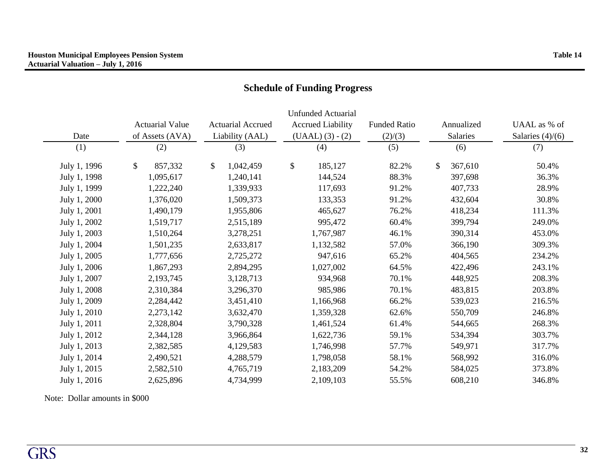| Date         | <b>Actuarial Value</b><br>of Assets (AVA) | <b>Actuarial Accrued</b><br>Liability (AAL) | <b>Unfunded Actuarial</b><br><b>Accrued Liability</b><br>$(UAAL) (3) - (2)$ | <b>Funded Ratio</b><br>(2)/(3) | Annualized<br>Salaries  | UAAL as % of<br>Salaries $(4)/(6)$ |  |
|--------------|-------------------------------------------|---------------------------------------------|-----------------------------------------------------------------------------|--------------------------------|-------------------------|------------------------------------|--|
| (1)          | (2)                                       | (3)                                         | (4)                                                                         | (5)                            | (6)                     | (7)                                |  |
| July 1, 1996 | \$<br>857,332                             | $\mathbb{S}$<br>1,042,459                   | \$<br>185,127                                                               | 82.2%                          | $\mathbb{S}$<br>367,610 | 50.4%                              |  |
| July 1, 1998 | 1,095,617                                 | 1,240,141                                   | 144,524                                                                     | 88.3%                          | 397,698                 | 36.3%                              |  |
| July 1, 1999 | 1,222,240                                 | 1,339,933                                   | 117,693                                                                     | 91.2%                          | 407,733                 | 28.9%                              |  |
| July 1, 2000 | 1,376,020                                 | 1,509,373                                   | 133,353                                                                     | 91.2%                          | 432,604                 | 30.8%                              |  |
| July 1, 2001 | 1,490,179                                 | 1,955,806                                   | 465,627                                                                     | 76.2%                          | 418,234                 | 111.3%                             |  |
| July 1, 2002 | 1,519,717                                 | 2,515,189                                   | 995,472                                                                     | 60.4%                          | 399,794                 | 249.0%                             |  |
| July 1, 2003 | 1,510,264                                 | 3,278,251                                   | 1,767,987                                                                   | 46.1%                          | 390,314                 | 453.0%                             |  |
| July 1, 2004 | 1,501,235                                 | 2,633,817                                   | 1,132,582                                                                   | 57.0%                          | 366,190                 | 309.3%                             |  |
| July 1, 2005 | 1,777,656                                 | 2,725,272                                   | 947,616                                                                     | 65.2%                          | 404,565                 | 234.2%                             |  |
| July 1, 2006 | 1,867,293                                 | 2,894,295                                   | 1,027,002                                                                   | 64.5%                          | 422,496                 | 243.1%                             |  |
| July 1, 2007 | 2,193,745                                 | 3,128,713                                   | 934,968                                                                     | 70.1%                          | 448,925                 | 208.3%                             |  |
| July 1, 2008 | 2,310,384                                 | 3,296,370                                   | 985,986                                                                     | 70.1%                          | 483,815                 | 203.8%                             |  |
| July 1, 2009 | 2,284,442                                 | 3,451,410                                   | 1,166,968                                                                   | 66.2%                          | 539,023                 | 216.5%                             |  |
| July 1, 2010 | 2,273,142                                 | 3,632,470                                   | 1,359,328                                                                   | 62.6%                          | 550,709                 | 246.8%                             |  |
| July 1, 2011 | 2,328,804                                 | 3,790,328                                   | 1,461,524                                                                   | 61.4%                          | 544,665                 | 268.3%                             |  |
| July 1, 2012 | 2,344,128                                 | 3,966,864                                   | 1,622,736                                                                   | 59.1%                          | 534,394                 | 303.7%                             |  |
| July 1, 2013 | 2,382,585                                 | 4,129,583                                   | 1,746,998                                                                   | 57.7%                          | 549,971                 | 317.7%                             |  |
| July 1, 2014 | 2,490,521                                 | 4,288,579                                   | 1,798,058                                                                   | 58.1%                          | 568,992                 | 316.0%                             |  |
| July 1, 2015 | 2,582,510                                 | 4,765,719                                   | 2,183,209                                                                   | 54.2%                          | 584,025                 | 373.8%                             |  |
| July 1, 2016 | 2,625,896                                 | 4,734,999                                   | 2,109,103                                                                   | 55.5%                          | 608,210                 | 346.8%                             |  |

# **Schedule of Funding Progress**

Note: Dollar amounts in \$000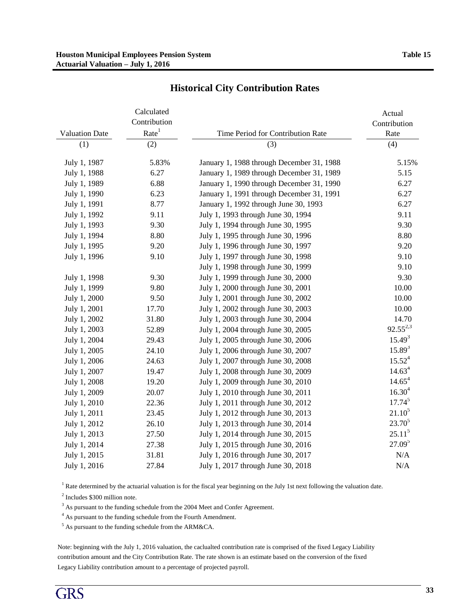|                       | Calculated<br>Contribution |                                           | Actual<br>Contribution |
|-----------------------|----------------------------|-------------------------------------------|------------------------|
| <b>Valuation Date</b> | Rate <sup>1</sup>          | Time Period for Contribution Rate         | Rate                   |
| (1)                   | (2)                        | (3)                                       | (4)                    |
| July 1, 1987          | 5.83%                      | January 1, 1988 through December 31, 1988 | 5.15%                  |
| July 1, 1988          | 6.27                       | January 1, 1989 through December 31, 1989 | 5.15                   |
| July 1, 1989          | 6.88                       | January 1, 1990 through December 31, 1990 | 6.27                   |
| July 1, 1990          | 6.23                       | January 1, 1991 through December 31, 1991 | 6.27                   |
| July 1, 1991          | 8.77                       | January 1, 1992 through June 30, 1993     | 6.27                   |
| July 1, 1992          | 9.11                       | July 1, 1993 through June 30, 1994        | 9.11                   |
| July 1, 1993          | 9.30                       | July 1, 1994 through June 30, 1995        | 9.30                   |
| July 1, 1994          | 8.80                       | July 1, 1995 through June 30, 1996        | 8.80                   |
| July 1, 1995          | 9.20                       | July 1, 1996 through June 30, 1997        | 9.20                   |
| July 1, 1996          | 9.10                       | July 1, 1997 through June 30, 1998        | 9.10                   |
|                       |                            | July 1, 1998 through June 30, 1999        | 9.10                   |
| July 1, 1998          | 9.30                       | July 1, 1999 through June 30, 2000        | 9.30                   |
| July 1, 1999          | 9.80                       | July 1, 2000 through June 30, 2001        | 10.00                  |
| July 1, 2000          | 9.50                       | July 1, 2001 through June 30, 2002        | 10.00                  |
| July 1, 2001          | 17.70                      | July 1, 2002 through June 30, 2003        | 10.00                  |
| July 1, 2002          | 31.80                      | July 1, 2003 through June 30, 2004        | 14.70                  |
| July 1, 2003          | 52.89                      | July 1, 2004 through June 30, 2005        | $92.55^{2,3}$          |
| July 1, 2004          | 29.43                      | July 1, 2005 through June 30, 2006        | $15.49^{3}$            |
| July 1, 2005          | 24.10                      | July 1, 2006 through June 30, 2007        | $15.89^{3}$            |
| July 1, 2006          | 24.63                      | July 1, 2007 through June 30, 2008        | $15.52^{4}$            |
| July 1, 2007          | 19.47                      | July 1, 2008 through June 30, 2009        | 14.63 <sup>4</sup>     |
| July 1, 2008          | 19.20                      | July 1, 2009 through June 30, 2010        | $14.65^4$              |
| July 1, 2009          | 20.07                      | July 1, 2010 through June 30, 2011        | $16.30^{4}$            |
| July 1, 2010          | 22.36                      | July 1, 2011 through June 30, 2012        | $17.74^{5}$            |
| July 1, 2011          | 23.45                      | July 1, 2012 through June 30, 2013        | $21.10^5$              |
| July 1, 2012          | 26.10                      | July 1, 2013 through June 30, 2014        | $23.70^{5}$            |
| July 1, 2013          | 27.50                      | July 1, 2014 through June 30, 2015        | $25.11^{5}$            |
| July 1, 2014          | 27.38                      | July 1, 2015 through June 30, 2016        | 27.09 <sup>5</sup>     |
| July 1, 2015          | 31.81                      | July 1, 2016 through June 30, 2017        | N/A                    |
| July 1, 2016          | 27.84                      | July 1, 2017 through June 30, 2018        | N/A                    |

### **Historical City Contribution Rates**

<sup>1</sup> Rate determined by the actuarial valuation is for the fiscal year beginning on the July 1st next following the valuation date.

<sup>2</sup> Includes \$300 million note.

<sup>3</sup> As pursuant to the funding schedule from the 2004 Meet and Confer Agreement.

<sup>4</sup> As pursuant to the funding schedule from the Fourth Amendment.

 $<sup>5</sup>$  As pursuant to the funding schedule from the ARM&CA.</sup>

Note: beginning with the July 1, 2016 valuation, the caclualted contribution rate is comprised of the fixed Legacy Liability contribution amount and the City Contribution Rate. The rate shown is an estimate based on the conversion of the fixed Legacy Liability contribution amount to a percentage of projected payroll.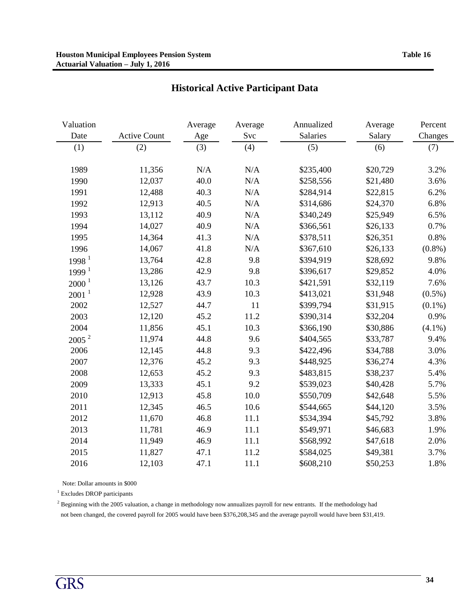| Valuation         |                     | Average   | Average | Annualized | Average  | Percent   |
|-------------------|---------------------|-----------|---------|------------|----------|-----------|
| Date              | <b>Active Count</b> | Age       | Svc     | Salaries   | Salary   | Changes   |
| (1)               | (2)                 | (3)       | (4)     | (5)        | (6)      | (7)       |
| 1989              | 11,356              | $\rm N/A$ | N/A     | \$235,400  | \$20,729 | 3.2%      |
| 1990              | 12,037              | 40.0      | N/A     | \$258,556  | \$21,480 | 3.6%      |
| 1991              | 12,488              | 40.3      | N/A     | \$284,914  | \$22,815 | 6.2%      |
| 1992              | 12,913              | 40.5      | N/A     | \$314,686  | \$24,370 | 6.8%      |
| 1993              | 13,112              | 40.9      | N/A     | \$340,249  | \$25,949 | 6.5%      |
| 1994              | 14,027              | 40.9      | N/A     | \$366,561  | \$26,133 | 0.7%      |
| 1995              | 14,364              | 41.3      | N/A     | \$378,511  | \$26,351 | 0.8%      |
| 1996              | 14,067              | 41.8      | N/A     | \$367,610  | \$26,133 | $(0.8\%)$ |
| 1998 <sup>1</sup> | 13,764              | 42.8      | 9.8     | \$394,919  | \$28,692 | 9.8%      |
| 1999 <sup>1</sup> | 13,286              | 42.9      | 9.8     | \$396,617  | \$29,852 | 4.0%      |
| $2000^1$          | 13,126              | 43.7      | 10.3    | \$421,591  | \$32,119 | 7.6%      |
| 2001 <sup>1</sup> | 12,928              | 43.9      | 10.3    | \$413,021  | \$31,948 | $(0.5\%)$ |
| 2002              | 12,527              | 44.7      | 11      | \$399,794  | \$31,915 | $(0.1\%)$ |
| 2003              | 12,120              | 45.2      | 11.2    | \$390,314  | \$32,204 | 0.9%      |
| 2004              | 11,856              | 45.1      | 10.3    | \$366,190  | \$30,886 | $(4.1\%)$ |
| 2005 <sup>2</sup> | 11,974              | 44.8      | 9.6     | \$404,565  | \$33,787 | 9.4%      |
| 2006              | 12,145              | 44.8      | 9.3     | \$422,496  | \$34,788 | 3.0%      |
| 2007              | 12,376              | 45.2      | 9.3     | \$448,925  | \$36,274 | 4.3%      |
| 2008              | 12,653              | 45.2      | 9.3     | \$483,815  | \$38,237 | 5.4%      |
| 2009              | 13,333              | 45.1      | 9.2     | \$539,023  | \$40,428 | 5.7%      |
| 2010              | 12,913              | 45.8      | 10.0    | \$550,709  | \$42,648 | 5.5%      |
| 2011              | 12,345              | 46.5      | 10.6    | \$544,665  | \$44,120 | 3.5%      |
| 2012              | 11,670              | 46.8      | 11.1    | \$534,394  | \$45,792 | 3.8%      |
| 2013              | 11,781              | 46.9      | 11.1    | \$549,971  | \$46,683 | 1.9%      |
| 2014              | 11,949              | 46.9      | 11.1    | \$568,992  | \$47,618 | 2.0%      |
| 2015              | 11,827              | 47.1      | 11.2    | \$584,025  | \$49,381 | 3.7%      |
| 2016              | 12,103              | 47.1      | 11.1    | \$608,210  | \$50,253 | 1.8%      |

## **Historical Active Participant Data**

Note: Dollar amounts in \$000

<sup>1</sup> Excludes DROP participants

<sup>2</sup> Beginning with the 2005 valuation, a change in methodology now annualizes payroll for new entrants. If the methodology had not been changed, the covered payroll for 2005 would have been \$376,208,345 and the average payroll would have been \$31,419.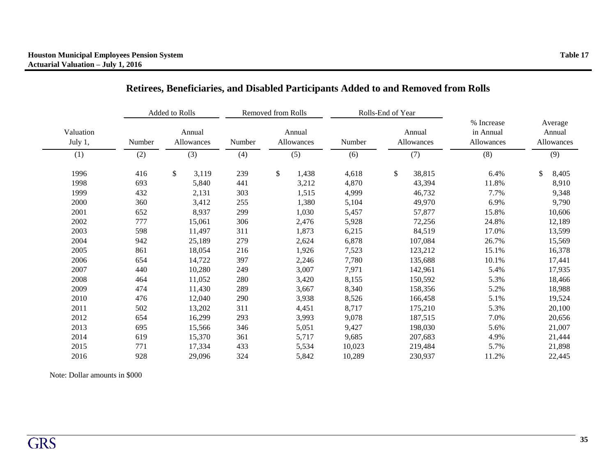|                      |                                | Added to Rolls |        | Removed from Rolls |                      |        | Rolls-End of Year    |         |                                       |     |                                 |
|----------------------|--------------------------------|----------------|--------|--------------------|----------------------|--------|----------------------|---------|---------------------------------------|-----|---------------------------------|
| Valuation<br>July 1, | Annual<br>Number<br>Allowances |                | Number |                    | Annual<br>Allowances | Number | Annual<br>Allowances |         | % Increase<br>in Annual<br>Allowances |     | Average<br>Annual<br>Allowances |
| (1)                  | (2)                            | (3)            | (4)    | (5)                |                      | (6)    | (7)                  |         | (8)                                   | (9) |                                 |
| 1996                 | 416                            | \$<br>3,119    | 239    | $\mathcal{S}$      | 1,438                | 4,618  | \$                   | 38,815  | 6.4%                                  | \$  | 8,405                           |
| 1998                 | 693                            | 5,840          | 441    |                    | 3,212                | 4,870  |                      | 43,394  | 11.8%                                 |     | 8,910                           |
| 1999                 | 432                            | 2,131          | 303    |                    | 1,515                | 4,999  |                      | 46,732  | 7.7%                                  |     | 9,348                           |
| 2000                 | 360                            | 3,412          | 255    |                    | 1,380                | 5,104  |                      | 49,970  | 6.9%                                  |     | 9,790                           |
| 2001                 | 652                            | 8,937          | 299    |                    | 1,030                | 5,457  |                      | 57,877  | 15.8%                                 |     | 10,606                          |
| 2002                 | 777                            | 15,061         | 306    |                    | 2,476                | 5,928  |                      | 72,256  | 24.8%                                 |     | 12,189                          |
| 2003                 | 598                            | 11,497         | 311    |                    | 1,873                | 6,215  |                      | 84,519  | 17.0%                                 |     | 13,599                          |
| 2004                 | 942                            | 25,189         | 279    |                    | 2,624                | 6,878  |                      | 107,084 | 26.7%                                 |     | 15,569                          |
| 2005                 | 861                            | 18,054         | 216    |                    | 1,926                | 7,523  |                      | 123,212 | 15.1%                                 |     | 16,378                          |
| 2006                 | 654                            | 14,722         | 397    |                    | 2,246                | 7,780  |                      | 135,688 | 10.1%                                 |     | 17,441                          |
| 2007                 | 440                            | 10,280         | 249    |                    | 3,007                | 7,971  |                      | 142,961 | 5.4%                                  |     | 17,935                          |
| 2008                 | 464                            | 11,052         | 280    |                    | 3,420                | 8,155  |                      | 150,592 | 5.3%                                  |     | 18,466                          |
| 2009                 | 474                            | 11,430         | 289    |                    | 3,667                | 8,340  |                      | 158,356 | 5.2%                                  |     | 18,988                          |
| 2010                 | 476                            | 12,040         | 290    |                    | 3,938                | 8,526  |                      | 166,458 | 5.1%                                  |     | 19,524                          |
| 2011                 | 502                            | 13,202         | 311    |                    | 4,451                | 8,717  |                      | 175,210 | 5.3%                                  |     | 20,100                          |
| 2012                 | 654                            | 16,299         | 293    |                    | 3,993                | 9,078  |                      | 187,515 | 7.0%                                  |     | 20,656                          |
| 2013                 | 695                            | 15,566         | 346    |                    | 5,051                | 9,427  |                      | 198,030 | 5.6%                                  |     | 21,007                          |
| 2014                 | 619                            | 15,370         | 361    |                    | 5,717                | 9,685  |                      | 207,683 | 4.9%                                  |     | 21,444                          |
| 2015                 | 771                            | 17,334         | 433    |                    | 5,534                | 10,023 |                      | 219,484 | 5.7%                                  |     | 21,898                          |
| 2016                 | 928                            | 29,096         | 324    |                    | 5,842                | 10,289 |                      | 230.937 | 11.2%                                 |     | 22,445                          |

## **Retirees, Beneficiaries, and Disabled Participants Added to and Removed from Rolls**

Note: Dollar amounts in \$000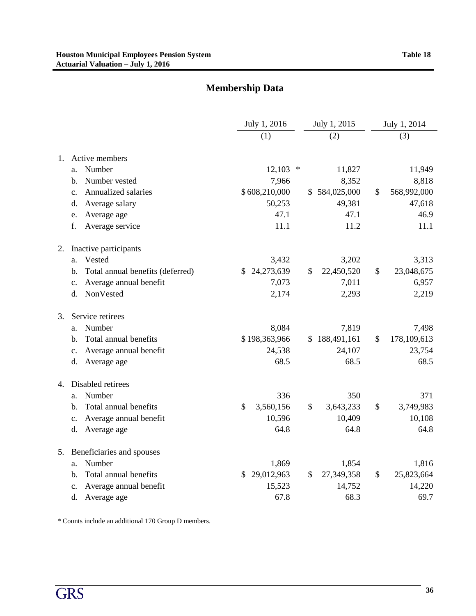# **Membership Data**

|    |                                          | July 1, 2016               | July 1, 2015       | July 1, 2014      |
|----|------------------------------------------|----------------------------|--------------------|-------------------|
|    |                                          | (1)                        | (2)                | (3)               |
|    |                                          |                            |                    |                   |
| 1. | Active members                           |                            |                    |                   |
|    | Number<br>a.                             | 12,103<br>$\ast$           | 11,827             | 11,949            |
|    | Number vested<br>b.                      | 7,966                      | 8,352              | 8,818             |
|    | Annualized salaries<br>$C_{\bullet}$     | \$608,210,000              | \$584,025,000      | \$<br>568,992,000 |
|    | Average salary<br>d.                     | 50,253                     | 49,381             | 47,618            |
|    | Average age<br>e.                        | 47.1                       | 47.1               | 46.9              |
|    | Average service<br>f.                    | 11.1                       | 11.2               | 11.1              |
| 2. | Inactive participants                    |                            |                    |                   |
|    | Vested<br>a.                             | 3,432                      | 3,202              | 3,313             |
|    | Total annual benefits (deferred)<br>b.   | 24,273,639<br>\$.          | 22,450,520<br>\$   | \$<br>23,048,675  |
|    | Average annual benefit<br>$\mathbf{c}$ . | 7,073                      | 7,011              | 6,957             |
|    | NonVested<br>$d_{\cdot}$                 | 2,174                      | 2,293              | 2,219             |
| 3. | Service retirees                         |                            |                    |                   |
|    | Number<br>a.                             | 8,084                      | 7,819              | 7,498             |
|    | Total annual benefits<br>b.              | \$198,363,966              | 188,491,161<br>\$. | 178,109,613<br>\$ |
|    | Average annual benefit<br>$\mathbf{c}$ . | 24,538                     | 24,107             | 23,754            |
|    | Average age<br>d.                        | 68.5                       | 68.5               | 68.5              |
| 4. | Disabled retirees                        |                            |                    |                   |
|    | Number<br>a.                             | 336                        | 350                | 371               |
|    | Total annual benefits<br>$\mathbf{b}$ .  | \$<br>3,560,156            | \$<br>3,643,233    | 3,749,983<br>\$   |
|    | Average annual benefit<br>c.             | 10,596                     | 10,409             | 10,108            |
|    | Average age<br>d.                        | 64.8                       | 64.8               | 64.8              |
| 5. | Beneficiaries and spouses                |                            |                    |                   |
|    | Number<br>a.                             | 1,869                      | 1,854              | 1,816             |
|    | Total annual benefits<br>b.              | 29,012,963<br>$\mathbb{S}$ | \$<br>27,349,358   | \$<br>25,823,664  |
|    | Average annual benefit<br>c.             | 15,523                     | 14,752             | 14,220            |
|    | Average age<br>d.                        | 67.8                       | 68.3               | 69.7              |

\* Counts include an additional 170 Group D members.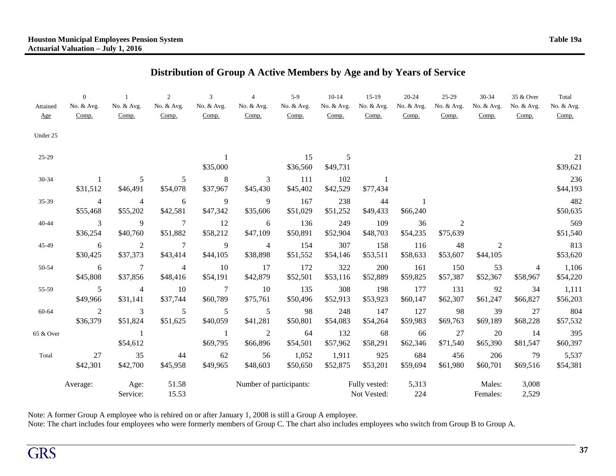## **Distribution of Group A Active Members by Age and by Years of Service**

| Attained<br>Age | $\Omega$<br>No. & Avg.<br>Comp. | No. & Avg.<br>Comp.        | 2<br>No. & Avg.<br>Comp.    | 3<br>No. & Avg.<br>Comp.   | $\overline{4}$<br>No. & Avg.<br>Comp. | $5-9$<br>No. & Avg.<br>Comp. | $10-14$<br>No. & Avg.<br>Comp. | $15-19$<br>No. & Avg.<br>Comp. | $20 - 24$<br>No. & Avg.<br>Comp. | $25-29$<br>No. & Avg.<br>Comp. | $30 - 34$<br>No. & Avg.<br>Comp. | 35 & Over<br>No. & Avg.<br>Comp. | Total<br>No. & Avg.<br>Comp. |
|-----------------|---------------------------------|----------------------------|-----------------------------|----------------------------|---------------------------------------|------------------------------|--------------------------------|--------------------------------|----------------------------------|--------------------------------|----------------------------------|----------------------------------|------------------------------|
| Under 25        |                                 |                            |                             |                            |                                       |                              |                                |                                |                                  |                                |                                  |                                  |                              |
| 25-29           |                                 |                            |                             | \$35,000                   |                                       | 15<br>\$36,560               | 5<br>\$49,731                  |                                |                                  |                                |                                  |                                  | 21<br>\$39,621               |
| 30-34           | 1<br>\$31,512                   | 5<br>\$46,491              | 5<br>\$54,078               | 8<br>\$37,967              | 3<br>\$45,430                         | 111<br>\$45,402              | 102<br>\$42,529                | \$77,434                       |                                  |                                |                                  |                                  | 236<br>\$44,193              |
| 35-39           | $\overline{4}$<br>\$55,468      | $\overline{4}$<br>\$55,202 | 6<br>\$42,581               | $\overline{9}$<br>\$47,342 | 9<br>\$35,606                         | 167<br>\$51,029              | 238<br>\$51,252                | 44<br>\$49,433                 | 1<br>\$66,240                    |                                |                                  |                                  | 482<br>\$50,635              |
| 40-44           | 3<br>\$36,254                   | 9<br>\$40,760              | $\overline{7}$<br>\$51,882  | 12<br>\$58,212             | 6<br>\$47,109                         | 136<br>\$50,891              | 249<br>\$52,904                | 109<br>\$48,703                | 36<br>\$54,235                   | 2<br>\$75,639                  |                                  |                                  | 569<br>\$51,540              |
| 45-49           | 6<br>\$30,425                   | 2<br>\$37,373              | $7\phantom{.0}$<br>\$43,414 | $\overline{9}$<br>\$44,105 | $\overline{4}$<br>\$38,898            | 154<br>\$51,552              | 307<br>\$54,146                | 158<br>\$53,511                | 116<br>\$58,633                  | 48<br>\$53,607                 | $\overline{2}$<br>\$44,105       |                                  | 813<br>\$53,620              |
| 50-54           | 6<br>\$45,808                   | $\tau$<br>\$37,856         | $\overline{4}$<br>\$48,416  | 10<br>\$54,191             | 17<br>\$42,879                        | 172<br>\$52,501              | 322<br>\$53,116                | 200<br>\$52,889                | 161<br>\$59,825                  | 150<br>\$57,387                | 53<br>\$52,367                   | 4<br>\$58,967                    | 1,106<br>\$54,220            |
| 55-59           | 5<br>\$49,966                   | $\overline{4}$<br>\$31,141 | 10<br>\$37,744              | 7<br>\$60,789              | 10<br>\$75,761                        | 135<br>\$50,496              | 308<br>\$52,913                | 198<br>\$53,923                | 177<br>\$60,147                  | 131<br>\$62,307                | 92<br>\$61,247                   | 34<br>\$66,827                   | 1,111<br>\$56,203            |
| 60-64           | 2<br>\$36,379                   | 3<br>\$51,824              | 5<br>\$51,625               | 5<br>\$40,059              | 5<br>\$41,281                         | 98<br>\$50,801               | 248<br>\$54,083                | 147<br>\$54,264                | 127<br>\$59,983                  | 98<br>\$69,763                 | 39<br>\$69,189                   | 27<br>\$68,228                   | 804<br>\$57,532              |
| 65 & Over       |                                 | \$54,612                   |                             | -1<br>\$69,795             | $\overline{2}$<br>\$66,896            | 64<br>\$54,501               | 132<br>\$57,962                | 68<br>\$58,291                 | 66<br>\$62,346                   | 27<br>\$71,540                 | 20<br>\$65,390                   | 14<br>\$81,547                   | 395<br>\$60,397              |
| Total           | 27<br>\$42,301                  | 35<br>\$42,700             | 44<br>\$45,958              | 62<br>\$49,965             | 56<br>\$48,603                        | 1,052<br>\$50,650            | 1,911<br>\$52,875              | 925<br>\$53,201                | 684<br>\$59,694                  | 456<br>\$61,980                | 206<br>\$60,701                  | 79<br>\$69,516                   | 5,537<br>\$54,381            |
|                 | Average:                        | Age:<br>Service:           | 51.58<br>15.53              |                            | Number of participants:               |                              |                                | Fully vested:<br>Not Vested:   | 5,313<br>224                     |                                | Males:<br>Females:               | 3,008<br>2,529                   |                              |

Note: A former Group A employee who is rehired on or after January 1, 2008 is still a Group A employee.

Note: The chart includes four employees who were formerly members of Group C. The chart also includes employees who switch from Group B to Group A.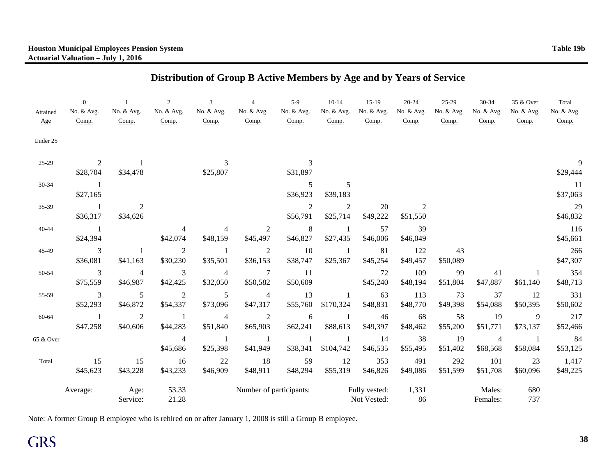# **Distribution of Group B Active Members by Age and by Years of Service**

| Attained<br>Age | $\Omega$<br>No. & Avg.<br>Comp. | No. & Avg.<br>Comp.        | $\overline{2}$<br>No. & Avg.<br>Comp. | 3<br>No. & Avg.<br>Comp.   | $\overline{4}$<br>No. & Avg.<br>Comp. | $5-9$<br>No. & Avg.<br>Comp. | $10 - 14$<br>No. & Avg.<br>Comp. | $15-19$<br>No. & Avg.<br>Comp. | 20-24<br>No. & Avg.<br>Comp. | $25-29$<br>No. & Avg.<br>Comp. | 30-34<br>No. & Avg.<br>Comp. | 35 & Over<br>No. & Avg.<br>Comp. | Total<br>No. & Avg.<br>Comp. |
|-----------------|---------------------------------|----------------------------|---------------------------------------|----------------------------|---------------------------------------|------------------------------|----------------------------------|--------------------------------|------------------------------|--------------------------------|------------------------------|----------------------------------|------------------------------|
| Under 25        |                                 |                            |                                       |                            |                                       |                              |                                  |                                |                              |                                |                              |                                  |                              |
| 25-29           | 2<br>\$28,704                   | \$34,478                   |                                       | 3<br>\$25,807              |                                       | \$31,897                     |                                  |                                |                              |                                |                              |                                  | 9<br>\$29,444                |
| 30-34           | $\overline{1}$<br>\$27,165      |                            |                                       |                            |                                       | 5<br>\$36,923                | 5<br>\$39,183                    |                                |                              |                                |                              |                                  | 11<br>\$37,063               |
| 35-39           | $\sim$ 1<br>\$36,317            | $\mathfrak{2}$<br>\$34,626 |                                       |                            |                                       | $\sqrt{2}$<br>\$56,791       | $\boldsymbol{2}$<br>\$25,714     | 20<br>\$49,222                 | 2<br>\$51,550                |                                |                              |                                  | 29<br>\$46,832               |
| 40-44           | $\sim$ 1<br>\$24,394            |                            | 4<br>\$42,074                         | 4<br>\$48,159              | 2<br>\$45,497                         | 8<br>\$46,827                | \$27,435                         | 57<br>\$46,006                 | 39<br>\$46,049               |                                |                              |                                  | 116<br>\$45,661              |
| 45-49           | 3<br>\$36,081                   | \$41,163                   | $\overline{2}$<br>\$30,230            | -1<br>\$35,501             | $\mathfrak 2$<br>\$36,153             | 10<br>\$38,747               | \$25,367                         | 81<br>\$45,254                 | 122<br>\$49,457              | 43<br>\$50,089                 |                              |                                  | 266<br>\$47,307              |
| 50-54           | $\mathfrak{Z}$<br>\$75,559      | $\overline{4}$<br>\$46,987 | $\overline{3}$<br>\$42,425            | $\overline{4}$<br>\$32,050 | $\boldsymbol{7}$<br>\$50,582          | <sup>11</sup><br>\$50,609    |                                  | 72<br>\$45,240                 | 109<br>\$48,194              | 99<br>\$51,804                 | 41<br>\$47,887               | $\mathbf{1}$<br>\$61,140         | 354<br>\$48,713              |
| 55-59           | 3<br>\$52,293                   | 5<br>\$46,872              | 2<br>\$54,337                         | $\sqrt{5}$<br>\$73,096     | $\overline{4}$<br>\$47,317            | 13<br>\$55,760               | \$170,324                        | 63<br>\$48,831                 | 113<br>\$48,770              | 73<br>\$49,398                 | 37<br>\$54,088               | 12<br>\$50,395                   | 331<br>\$50,602              |
| 60-64           | $\overline{1}$<br>\$47,258      | 2<br>\$40,606              | $\overline{1}$<br>\$44,283            | $\overline{4}$<br>\$51,840 | $\overline{2}$<br>\$65,903            | 6<br>\$62,241                | -1<br>\$88,613                   | 46<br>\$49,397                 | 68<br>\$48,462               | 58<br>\$55,200                 | 19<br>\$51,771               | 9<br>\$73,137                    | 217<br>\$52,466              |
| 65 & Over       |                                 |                            | $\overline{4}$<br>\$45,686            | $\mathbf{1}$<br>\$25,398   | -1<br>\$41,949                        | \$38,341                     | \$104,742                        | 14<br>\$46,535                 | 38<br>\$55,495               | 19<br>\$51,402                 | $\overline{4}$<br>\$68,568   | $\overline{1}$<br>\$58,084       | 84<br>\$53,125               |
| Total           | 15<br>\$45,623                  | 15<br>\$43,228             | 16<br>\$43,233                        | 22<br>\$46,909             | 18<br>\$48,911                        | 59<br>\$48,294               | 12<br>\$55,319                   | 353<br>\$46,826                | 491<br>\$49,086              | 292<br>\$51,599                | 101<br>\$51,708              | 23<br>\$60,096                   | 1,417<br>\$49,225            |
|                 | Average:                        | Age:<br>Service:           | 53.33<br>21.28                        |                            | Number of participants:               |                              |                                  | Fully vested:<br>Not Vested:   | 1,331<br>86                  |                                | Males:<br>Females:           | 680<br>737                       |                              |

Note: A former Group B employee who is rehired on or after January 1, 2008 is still a Group B employee.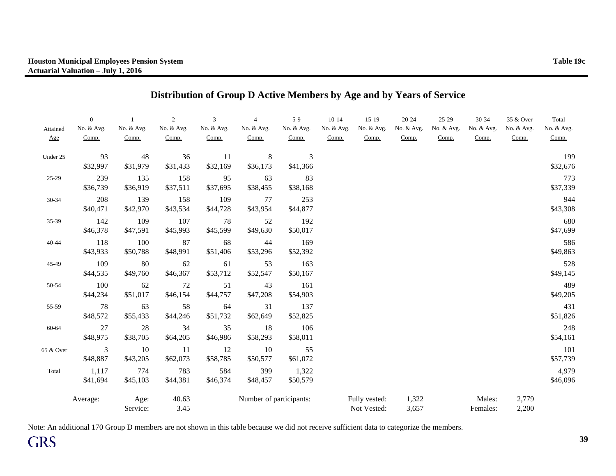| Attained<br>Age | $\overline{0}$<br>No. & Avg.<br>Comp. | $\mathbf{1}$<br>No. & Avg.<br>Comp. | $\overline{2}$<br>No. & Avg.<br>Comp. | 3<br>No. & Avg.<br>Comp. | $\overline{4}$<br>No. & Avg.<br>Comp. | $5-9$<br>No. & Avg.<br>Comp. | $10-14$<br>No. & Avg.<br>Comp. | $15-19$<br>No. & Avg.<br>Comp. | 20-24<br>No. & Avg.<br>Comp. | $25-29$<br>No. & Avg.<br>Comp. | 30-34<br>No. & Avg.<br>Comp. | 35 & Over<br>No. & Avg.<br>Comp. | Total<br>No. & Avg.<br>Comp. |
|-----------------|---------------------------------------|-------------------------------------|---------------------------------------|--------------------------|---------------------------------------|------------------------------|--------------------------------|--------------------------------|------------------------------|--------------------------------|------------------------------|----------------------------------|------------------------------|
| Under 25        | 93<br>\$32,997                        | 48<br>\$31,979                      | 36<br>\$31,433                        | 11<br>\$32,169           | $\,8\,$<br>\$36,173                   | $\mathfrak{Z}$<br>\$41,366   |                                |                                |                              |                                |                              |                                  | 199<br>\$32,676              |
| 25-29           | 239<br>\$36,739                       | 135<br>\$36,919                     | 158<br>\$37,511                       | 95<br>\$37,695           | 63<br>\$38,455                        | 83<br>\$38,168               |                                |                                |                              |                                |                              |                                  | 773<br>\$37,339              |
| $30 - 34$       | 208<br>\$40,471                       | 139<br>\$42,970                     | 158<br>\$43,534                       | 109<br>\$44,728          | 77<br>\$43,954                        | 253<br>\$44,877              |                                |                                |                              |                                |                              |                                  | 944<br>\$43,308              |
| 35-39           | 142<br>\$46,378                       | 109<br>\$47,591                     | 107<br>\$45,993                       | 78<br>\$45,599           | 52<br>\$49,630                        | 192<br>\$50,017              |                                |                                |                              |                                |                              |                                  | 680<br>\$47,699              |
| $40 - 44$       | 118<br>\$43,933                       | 100<br>\$50,788                     | 87<br>\$48,991                        | 68<br>\$51,406           | 44<br>\$53,296                        | 169<br>\$52,392              |                                |                                |                              |                                |                              |                                  | 586<br>\$49,863              |
| 45-49           | 109<br>\$44,535                       | 80<br>\$49,760                      | 62<br>\$46,367                        | 61<br>\$53,712           | 53<br>\$52,547                        | 163<br>\$50,167              |                                |                                |                              |                                |                              |                                  | 528<br>\$49,145              |
| 50-54           | 100<br>\$44,234                       | 62<br>\$51,017                      | 72<br>\$46,154                        | 51<br>\$44,757           | 43<br>\$47,208                        | 161<br>\$54,903              |                                |                                |                              |                                |                              |                                  | 489<br>\$49,205              |
| 55-59           | 78<br>\$48,572                        | 63<br>\$55,433                      | 58<br>\$44,246                        | 64<br>\$51,732           | 31<br>\$62,649                        | 137<br>\$52,825              |                                |                                |                              |                                |                              |                                  | 431<br>\$51,826              |
| 60-64           | 27<br>\$48,975                        | 28<br>\$38,705                      | 34<br>\$64,205                        | 35<br>\$46,986           | 18<br>\$58,293                        | 106<br>\$58,011              |                                |                                |                              |                                |                              |                                  | 248<br>\$54,161              |
| 65 & Over       | 3<br>\$48,887                         | 10<br>\$43,205                      | 11<br>\$62,073                        | 12<br>\$58,785           | 10<br>\$50,577                        | 55<br>\$61,072               |                                |                                |                              |                                |                              |                                  | 101<br>\$57,739              |
| Total           | 1,117<br>\$41,694                     | 774<br>\$45,103                     | 783<br>\$44,381                       | 584<br>\$46,374          | 399<br>\$48,457                       | 1,322<br>\$50,579            |                                |                                |                              |                                |                              |                                  | 4,979<br>\$46,096            |
|                 | Average:                              | Age:<br>Service:                    | 40.63<br>3.45                         |                          | Number of participants:               |                              |                                | Fully vested:<br>Not Vested:   | 1,322<br>3,657               |                                | Males:<br>Females:           | 2,779<br>2,200                   |                              |

## **Distribution of Group D Active Members by Age and by Years of Service**

Note: An additional 170 Group D members are not shown in this table because we did not receive sufficient data to categorize the members.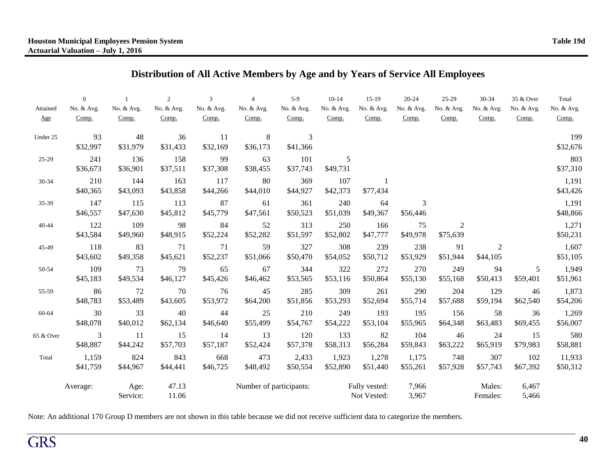## **Distribution of All Active Members by Age and by Years of Service All Employees**

|           | $\overline{0}$          |            | $\overline{2}$ | 3          | $\overline{4}$          | $5-9$      | $10-14$    | $15-19$       | $20 - 24$  | $25-29$        | 30-34      | 35 & Over  | Total      |
|-----------|-------------------------|------------|----------------|------------|-------------------------|------------|------------|---------------|------------|----------------|------------|------------|------------|
| Attained  | No. & Avg.              | No. & Avg. | No. & Avg.     | No. & Avg. | No. & Avg.              | No. & Avg. | No. & Avg. | No. & Avg.    | No. & Avg. | No. & Avg.     | No. & Avg. | No. & Avg. | No. & Avg. |
| Age       | Comp.                   | Comp.      | Comp.          | Comp.      | Comp.                   | Comp.      | Comp.      | Comp.         | Comp.      | Comp.          | Comp.      | Comp.      | Comp.      |
| Under 25  | 93                      | 48         | 36             | 11         | 8                       | 3          |            |               |            |                |            |            | 199        |
|           | \$32,997                | \$31,979   | \$31,433       | \$32,169   | \$36,173                | \$41,366   |            |               |            |                |            |            | \$32,676   |
| 25-29     | 241                     | 136        | 158            | 99         | 63                      | 101        | 5          |               |            |                |            |            | 803        |
|           | \$36,673                | \$36,901   | \$37,511       | \$37,308   | \$38,455                | \$37,743   | \$49,731   |               |            |                |            |            | \$37,310   |
| 30-34     | 210                     | 144        | 163            | 117        | 80                      | 369        | 107        |               |            |                |            |            | 1,191      |
|           | \$40,365                | \$43,093   | \$43,858       | \$44,266   | \$44,010                | \$44,927   | \$42,373   | \$77,434      |            |                |            |            | \$43,426   |
| 35-39     | 147                     | 115        | 113            | 87         | 61                      | 361        | 240        | 64            | 3          |                |            |            | 1,191      |
|           | \$46,557                | \$47,630   | \$45,812       | \$45,779   | \$47,561                | \$50,523   | \$51,039   | \$49,367      | \$56,446   |                |            |            | \$48,866   |
| 40-44     | 122                     | 109        | 98             | 84         | 52                      | 313        | 250        | 166           | 75         | $\overline{2}$ |            |            | 1,271      |
|           | \$43,584                | \$49,960   | \$48,915       | \$52,224   | \$52,282                | \$51,597   | \$52,802   | \$47,777      | \$49,978   | \$75,639       |            |            | \$50,231   |
| 45-49     | 118                     | 83         | 71             | 71         | 59                      | 327        | 308        | 239           | 238        | 91             | 2          |            | 1,607      |
|           | \$43,602                | \$49,358   | \$45,621       | \$52,237   | \$51,066                | \$50,470   | \$54,052   | \$50,712      | \$53,929   | \$51,944       | \$44,105   |            | \$51,105   |
| 50-54     | 109                     | 73         | 79             | 65         | 67                      | 344        | 322        | 272           | 270        | 249            | 94         | 5          | 1,949      |
|           | \$45,183                | \$49,534   | \$46,127       | \$45,426   | \$46,462                | \$53,565   | \$53,116   | \$50,864      | \$55,130   | \$55,168       | \$50,413   | \$59,401   | \$51,961   |
| 55-59     | 86                      | 72         | 70             | 76         | 45                      | 285        | 309        | 261           | 290        | 204            | 129        | 46         | 1,873      |
|           | \$48,783                | \$53,489   | \$43,605       | \$53,972   | \$64,200                | \$51,856   | \$53,293   | \$52,694      | \$55,714   | \$57,688       | \$59,194   | \$62,540   | \$54,206   |
| 60-64     | 30                      | 33         | 40             | 44         | 25                      | 210        | 249        | 193           | 195        | 156            | 58         | 36         | 1,269      |
|           | \$48,078                | \$40,012   | \$62,134       | \$46,640   | \$55,499                | \$54,767   | \$54,222   | \$53,104      | \$55,965   | \$64,348       | \$63,483   | \$69,455   | \$56,007   |
| 65 & Over | $\overline{\mathbf{3}}$ | 11         | 15             | 14         | 13                      | 120        | 133        | 82            | 104        | 46             | 24         | 15         | 580        |
|           | \$48,887                | \$44,242   | \$57,703       | \$57,187   | \$52,424                | \$57,378   | \$58,313   | \$56,284      | \$59,843   | \$63,222       | \$65,919   | \$79,983   | \$58,881   |
| Total     | 1,159                   | 824        | 843            | 668        | 473                     | 2,433      | 1,923      | 1,278         | 1,175      | 748            | 307        | 102        | 11,933     |
|           | \$41,759                | \$44,967   | \$44,441       | \$46,725   | \$48,492                | \$50,554   | \$52,890   | \$51,440      | \$55,261   | \$57,928       | \$57,743   | \$67,392   | \$50,312   |
|           | Average:                | Age:       | 47.13          |            | Number of participants: |            |            | Fully vested: | 7,966      |                | Males:     | 6,467      |            |
|           |                         | Service:   | 11.06          |            |                         |            |            | Not Vested:   | 3,967      |                | Females:   | 5,466      |            |

Note: An additional 170 Group D members are not shown in this table because we did not receive sufficient data to categorize the members.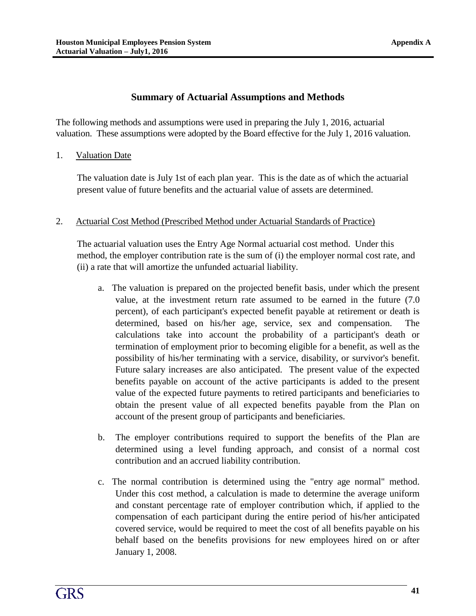### **Summary of Actuarial Assumptions and Methods**

The following methods and assumptions were used in preparing the July 1, 2016, actuarial valuation. These assumptions were adopted by the Board effective for the July 1, 2016 valuation.

1. Valuation Date

The valuation date is July 1st of each plan year. This is the date as of which the actuarial present value of future benefits and the actuarial value of assets are determined.

#### 2. Actuarial Cost Method (Prescribed Method under Actuarial Standards of Practice)

The actuarial valuation uses the Entry Age Normal actuarial cost method. Under this method, the employer contribution rate is the sum of (i) the employer normal cost rate, and (ii) a rate that will amortize the unfunded actuarial liability.

- a. The valuation is prepared on the projected benefit basis, under which the present value, at the investment return rate assumed to be earned in the future (7.0 percent), of each participant's expected benefit payable at retirement or death is determined, based on his/her age, service, sex and compensation. calculations take into account the probability of a participant's death or termination of employment prior to becoming eligible for a benefit, as well as the possibility of his/her terminating with a service, disability, or survivor's benefit. Future salary increases are also anticipated. The present value of the expected benefits payable on account of the active participants is added to the present value of the expected future payments to retired participants and beneficiaries to obtain the present value of all expected benefits payable from the Plan on account of the present group of participants and beneficiaries.
- b. The employer contributions required to support the benefits of the Plan are determined using a level funding approach, and consist of a normal cost contribution and an accrued liability contribution.
- c. The normal contribution is determined using the "entry age normal" method. Under this cost method, a calculation is made to determine the average uniform and constant percentage rate of employer contribution which, if applied to the compensation of each participant during the entire period of his/her anticipated covered service, would be required to meet the cost of all benefits payable on his behalf based on the benefits provisions for new employees hired on or after January 1, 2008.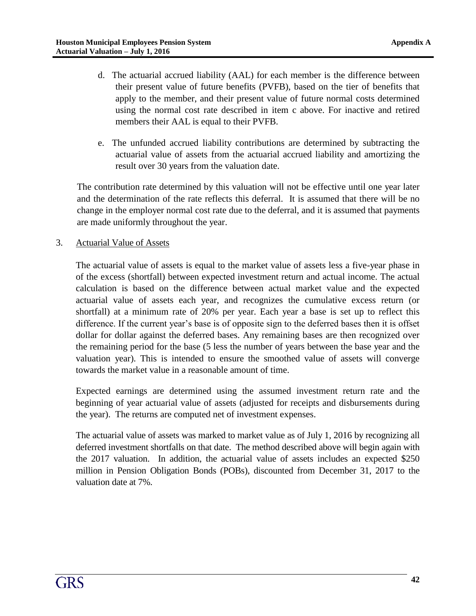- d. The actuarial accrued liability (AAL) for each member is the difference between their present value of future benefits (PVFB), based on the tier of benefits that apply to the member, and their present value of future normal costs determined using the normal cost rate described in item c above. For inactive and retired members their AAL is equal to their PVFB.
- e. The unfunded accrued liability contributions are determined by subtracting the actuarial value of assets from the actuarial accrued liability and amortizing the result over 30 years from the valuation date.

The contribution rate determined by this valuation will not be effective until one year later and the determination of the rate reflects this deferral. It is assumed that there will be no change in the employer normal cost rate due to the deferral, and it is assumed that payments are made uniformly throughout the year.

3. Actuarial Value of Assets

The actuarial value of assets is equal to the market value of assets less a five-year phase in of the excess (shortfall) between expected investment return and actual income. The actual calculation is based on the difference between actual market value and the expected actuarial value of assets each year, and recognizes the cumulative excess return (or shortfall) at a minimum rate of 20% per year. Each year a base is set up to reflect this difference. If the current year's base is of opposite sign to the deferred bases then it is offset dollar for dollar against the deferred bases. Any remaining bases are then recognized over the remaining period for the base (5 less the number of years between the base year and the valuation year). This is intended to ensure the smoothed value of assets will converge towards the market value in a reasonable amount of time.

Expected earnings are determined using the assumed investment return rate and the beginning of year actuarial value of assets (adjusted for receipts and disbursements during the year). The returns are computed net of investment expenses.

The actuarial value of assets was marked to market value as of July 1, 2016 by recognizing all deferred investment shortfalls on that date. The method described above will begin again with the 2017 valuation. In addition, the actuarial value of assets includes an expected \$250 million in Pension Obligation Bonds (POBs), discounted from December 31, 2017 to the valuation date at 7%.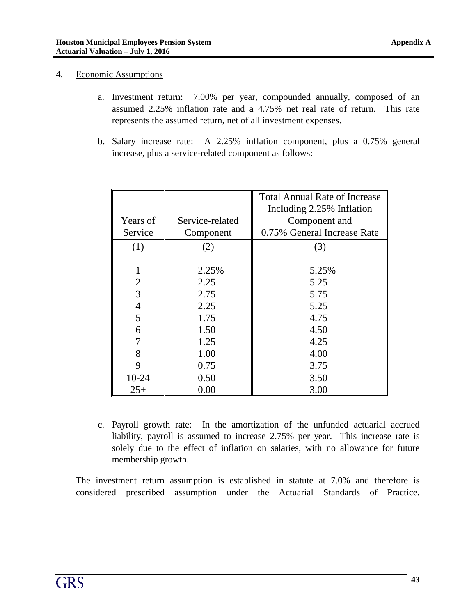#### 4. Economic Assumptions

- a. Investment return: 7.00% per year, compounded annually, composed of an assumed 2.25% inflation rate and a 4.75% net real rate of return. This rate represents the assumed return, net of all investment expenses.
- b. Salary increase rate: A 2.25% inflation component, plus a 0.75% general increase, plus a service-related component as follows:

|                |                 | <b>Total Annual Rate of Increase</b> |  |  |  |
|----------------|-----------------|--------------------------------------|--|--|--|
|                |                 | Including 2.25% Inflation            |  |  |  |
| Years of       | Service-related | Component and                        |  |  |  |
| Service        | Component       | 0.75% General Increase Rate          |  |  |  |
| (1)            | (2)             | (3)                                  |  |  |  |
|                |                 |                                      |  |  |  |
| 1              | 2.25%           | 5.25%                                |  |  |  |
| $\overline{2}$ | 2.25            | 5.25                                 |  |  |  |
| 3              | 2.75            | 5.75                                 |  |  |  |
| 4              | 2.25            | 5.25                                 |  |  |  |
| 5              | 1.75            | 4.75                                 |  |  |  |
| 6              | 1.50            | 4.50                                 |  |  |  |
|                | 1.25            | 4.25                                 |  |  |  |
| 8              | 1.00            | 4.00                                 |  |  |  |
| 9              | 0.75            | 3.75                                 |  |  |  |
| $10-24$        | 0.50            | 3.50                                 |  |  |  |
| $25+$          | 0.00            | 3.00                                 |  |  |  |

c. Payroll growth rate: In the amortization of the unfunded actuarial accrued liability, payroll is assumed to increase 2.75% per year. This increase rate is solely due to the effect of inflation on salaries, with no allowance for future membership growth.

The investment return assumption is established in statute at 7.0% and therefore is considered prescribed assumption under the Actuarial Standards of Practice.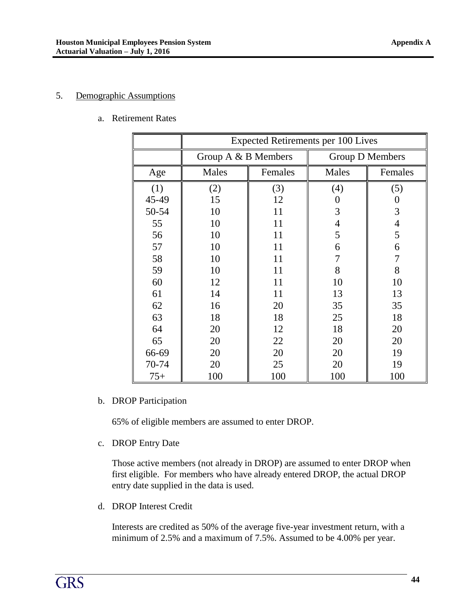#### 5. Demographic Assumptions

a. Retirement Rates

|       | <b>Expected Retirements per 100 Lives</b> |         |                 |                |  |  |  |
|-------|-------------------------------------------|---------|-----------------|----------------|--|--|--|
|       | Group $A \& B$ Members                    |         | Group D Members |                |  |  |  |
| Age   | Males                                     | Females | Males           | Females        |  |  |  |
| (1)   | (2)                                       | (3)     | (4)             | (5)            |  |  |  |
| 45-49 | 15                                        | 12      | 0               | $\theta$       |  |  |  |
| 50-54 | 10                                        | 11      | 3               | 3              |  |  |  |
| 55    | 10                                        | 11      | $\overline{4}$  | $\overline{4}$ |  |  |  |
| 56    | 10                                        | 11      | 5               | 5              |  |  |  |
| 57    | 10                                        | 11      | 6               | 6              |  |  |  |
| 58    | 10                                        | 11      | 7               | 7              |  |  |  |
| 59    | 10                                        | 11      | 8               | 8              |  |  |  |
| 60    | 12                                        | 11      | 10              | 10             |  |  |  |
| 61    | 14                                        | 11      | 13              | 13             |  |  |  |
| 62    | 16                                        | 20      | 35              | 35             |  |  |  |
| 63    | 18                                        | 18      | 25              | 18             |  |  |  |
| 64    | 20                                        | 12      | 18              | 20             |  |  |  |
| 65    | 20                                        | 22      | 20              | 20             |  |  |  |
| 66-69 | 20                                        | 20      | 20              | 19             |  |  |  |
| 70-74 | 20                                        | 25      | 20              | 19             |  |  |  |
| $75+$ | 100                                       | 100     | 100             | 100            |  |  |  |

b. DROP Participation

65% of eligible members are assumed to enter DROP.

c. DROP Entry Date

Those active members (not already in DROP) are assumed to enter DROP when first eligible. For members who have already entered DROP, the actual DROP entry date supplied in the data is used.

d. DROP Interest Credit

Interests are credited as 50% of the average five-year investment return, with a minimum of 2.5% and a maximum of 7.5%. Assumed to be 4.00% per year.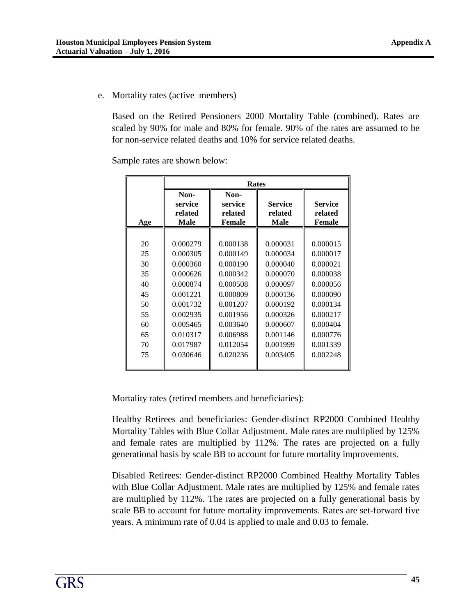e. Mortality rates (active members)

Based on the Retired Pensioners 2000 Mortality Table (combined). Rates are scaled by 90% for male and 80% for female. 90% of the rates are assumed to be for non-service related deaths and 10% for service related deaths.

Sample rates are shown below:

|     | <b>Rates</b>                       |                                             |                                          |                                     |  |  |  |
|-----|------------------------------------|---------------------------------------------|------------------------------------------|-------------------------------------|--|--|--|
| Age | Non-<br>service<br>related<br>Male | Non-<br>service<br>related<br><b>Female</b> | <b>Service</b><br>related<br><b>Male</b> | <b>Service</b><br>related<br>Female |  |  |  |
|     |                                    |                                             |                                          |                                     |  |  |  |
| 20  | 0.000279                           | 0.000138                                    | 0.000031                                 | 0.000015                            |  |  |  |
| 25  | 0.000305                           | 0.000149                                    | 0.000034                                 | 0.000017                            |  |  |  |
| 30  | 0.000360                           | 0.000190                                    | 0.000040                                 | 0.000021                            |  |  |  |
| 35  | 0.000626                           | 0.000342                                    | 0.000070                                 | 0.000038                            |  |  |  |
| 40  | 0.000874                           | 0.000508                                    | 0.000097                                 | 0.000056                            |  |  |  |
| 45  | 0.001221                           | 0.000809                                    | 0.000136                                 | 0.000090                            |  |  |  |
| 50  | 0.001732                           | 0.001207                                    | 0.000192                                 | 0.000134                            |  |  |  |
| 55  | 0.002935                           | 0.001956                                    | 0.000326                                 | 0.000217                            |  |  |  |
| 60  | 0.005465                           | 0.003640                                    | 0.000607                                 | 0.000404                            |  |  |  |
| 65  | 0.010317                           | 0.006988                                    | 0.001146                                 | 0.000776                            |  |  |  |
| 70  | 0.017987                           | 0.012054                                    | 0.001999                                 | 0.001339                            |  |  |  |
| 75  | 0.030646                           | 0.020236                                    | 0.003405                                 | 0.002248                            |  |  |  |
|     |                                    |                                             |                                          |                                     |  |  |  |

Mortality rates (retired members and beneficiaries):

Healthy Retirees and beneficiaries: Gender-distinct RP2000 Combined Healthy Mortality Tables with Blue Collar Adjustment. Male rates are multiplied by 125% and female rates are multiplied by 112%. The rates are projected on a fully generational basis by scale BB to account for future mortality improvements.

Disabled Retirees: Gender-distinct RP2000 Combined Healthy Mortality Tables with Blue Collar Adjustment. Male rates are multiplied by 125% and female rates are multiplied by 112%. The rates are projected on a fully generational basis by scale BB to account for future mortality improvements. Rates are set-forward five years. A minimum rate of 0.04 is applied to male and 0.03 to female.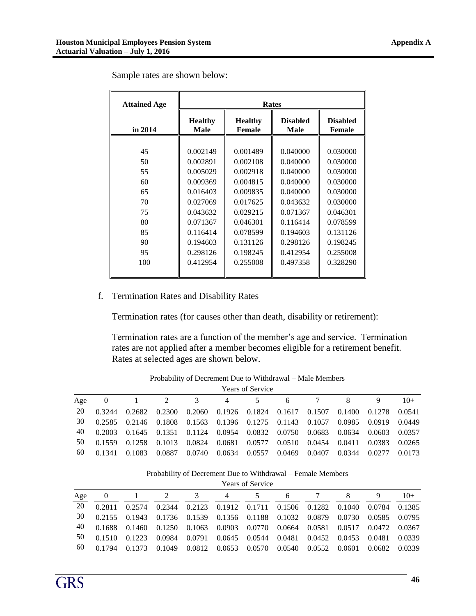| <b>Attained Age</b> | Rates                  |                                 |                         |                                  |  |  |  |  |
|---------------------|------------------------|---------------------------------|-------------------------|----------------------------------|--|--|--|--|
| in 2014             | <b>Healthy</b><br>Male | <b>Healthy</b><br><b>Female</b> | <b>Disabled</b><br>Male | <b>Disabled</b><br><b>Female</b> |  |  |  |  |
|                     |                        |                                 |                         |                                  |  |  |  |  |
| 45                  | 0.002149               | 0.001489                        | 0.040000                | 0.030000                         |  |  |  |  |
| 50                  | 0.002891               | 0.002108                        | 0.040000                | 0.030000                         |  |  |  |  |
| 55                  | 0.005029               | 0.002918                        | 0.040000                | 0.030000                         |  |  |  |  |
| 60                  | 0.009369               | 0.004815                        | 0.040000                | 0.030000                         |  |  |  |  |
| 65                  | 0.016403               | 0.009835                        | 0.040000                | 0.030000                         |  |  |  |  |
| 70                  | 0.027069               | 0.017625                        | 0.043632                | 0.030000                         |  |  |  |  |
| 75                  | 0.043632               | 0.029215                        | 0.071367                | 0.046301                         |  |  |  |  |
| 80                  | 0.071367               | 0.046301                        | 0.116414                | 0.078599                         |  |  |  |  |
| 85                  | 0.116414               | 0.078599                        | 0.194603                | 0.131126                         |  |  |  |  |
| 90                  | 0.194603               | 0.131126                        | 0.298126                | 0.198245                         |  |  |  |  |
| 95                  | 0.298126               | 0.198245                        | 0.412954                | 0.255008                         |  |  |  |  |
| 100                 | 0.412954               | 0.255008                        | 0.497358                | 0.328290                         |  |  |  |  |
|                     |                        |                                 |                         |                                  |  |  |  |  |

Sample rates are shown below:

#### f. Termination Rates and Disability Rates

Termination rates (for causes other than death, disability or retirement):

Termination rates are a function of the member's age and service. Termination rates are not applied after a member becomes eligible for a retirement benefit. Rates at selected ages are shown below.

|     | <b>Years of Service</b> |        |        |        |                |        |        |        |        |        |        |
|-----|-------------------------|--------|--------|--------|----------------|--------|--------|--------|--------|--------|--------|
| Age | $\theta$                |        |        |        | $\overline{4}$ |        | 6      |        |        | 9      | $10+$  |
| 20  | 0.3244                  | 0.2682 | 0.2300 | 0.2060 | 0.1926         | 0.1824 | 0.1617 | 0.1507 | 0.1400 | 0.1278 | 0.0541 |
| 30  | 0.2585                  | 0.2146 | 0.1808 | 0.1563 | 0.1396         | 0.1275 | 0.1143 | 0.1057 | 0.0985 | 0.0919 | 0.0449 |
| 40  | 0.2003                  | 0.1645 | 0.1351 | 0.1124 | 0.0954         | 0.0832 | 0.0750 | 0.0683 | 0.0634 | 0.0603 | 0.0357 |
| 50  | 0.1559                  | 0.1258 | 0.1013 | 0.0824 | 0.0681         | 0.0577 | 0.0510 | 0.0454 | 0.0411 | 0.0383 | 0.0265 |
| 60  | 0.1341                  | 0.1083 | 0.0887 | 0.0740 | 0.0634         | 0.0557 | 0.0469 | 0.0407 | 0.0344 | 0.0277 | 0.0173 |

Probability of Decrement Due to Withdrawal – Male Members

Probability of Decrement Due to Withdrawal – Female Members

|     | <b>Years of Service</b> |        |        |        |                |        |                                    |        |        |        |        |
|-----|-------------------------|--------|--------|--------|----------------|--------|------------------------------------|--------|--------|--------|--------|
| Age | 0                       |        |        | 3      | $\overline{4}$ | C.     | 6                                  |        |        | 9      | $10+$  |
| 20  | 0.2811                  | 0.2574 | 0.2344 | 0.2123 |                |        | 0.1912 0.1711 0.1506 0.1282 0.1040 |        |        | 0.0784 | 0.1385 |
| 30  | 0.2155                  | 0.1943 | 0.1736 | 0.1539 | 0.1356 0.1188  |        | 0.1032                             | 0.0879 | 0.0730 | 0.0585 | 0.0795 |
| 40  | 0.1688                  | 0.1460 | 0.1250 | 0.1063 | 0.0903         | 0.0770 | 0.0664                             | 0.0581 | 0.0517 | 0.0472 | 0.0367 |
| 50  | 0.1510                  | 0.1223 | 0.0984 | 0.0791 | 0.0645         | 0.0544 | 0.0481                             | 0.0452 | 0.0453 | 0.0481 | 0.0339 |
| 60  | 0.1794                  |        | 0.1049 | 0.0812 | 0.0653         | 0.0570 | 0.0540                             | 0.0552 | 0.0601 | 0.0682 | 0.0339 |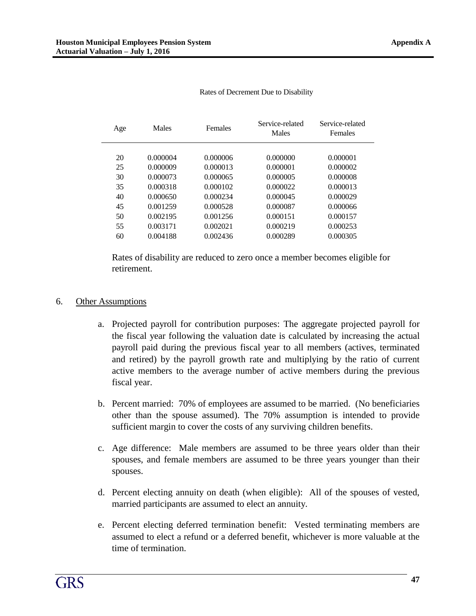| Age | Males    | <b>Females</b> | Service-related<br>Males | Service-related<br><b>Females</b> |
|-----|----------|----------------|--------------------------|-----------------------------------|
|     |          |                |                          |                                   |
| 20  | 0.000004 | 0.000006       | 0.000000                 | 0.000001                          |
| 25  | 0.000009 | 0.000013       | 0.000001                 | 0.000002                          |
| 30  | 0.000073 | 0.000065       | 0.000005                 | 0.000008                          |
| 35  | 0.000318 | 0.000102       | 0.000022                 | 0.000013                          |
| 40  | 0.000650 | 0.000234       | 0.000045                 | 0.000029                          |
| 45  | 0.001259 | 0.000528       | 0.000087                 | 0.000066                          |
| 50  | 0.002195 | 0.001256       | 0.000151                 | 0.000157                          |
| 55  | 0.003171 | 0.002021       | 0.000219                 | 0.000253                          |
| 60  | 0.004188 | 0.002436       | 0.000289                 | 0.000305                          |

Rates of Decrement Due to Disability

Rates of disability are reduced to zero once a member becomes eligible for retirement.

#### 6. Other Assumptions

- a. Projected payroll for contribution purposes: The aggregate projected payroll for the fiscal year following the valuation date is calculated by increasing the actual payroll paid during the previous fiscal year to all members (actives, terminated and retired) by the payroll growth rate and multiplying by the ratio of current active members to the average number of active members during the previous fiscal year.
- b. Percent married: 70% of employees are assumed to be married. (No beneficiaries other than the spouse assumed). The 70% assumption is intended to provide sufficient margin to cover the costs of any surviving children benefits.
- c. Age difference: Male members are assumed to be three years older than their spouses, and female members are assumed to be three years younger than their spouses.
- d. Percent electing annuity on death (when eligible): All of the spouses of vested, married participants are assumed to elect an annuity.
- e. Percent electing deferred termination benefit: Vested terminating members are assumed to elect a refund or a deferred benefit, whichever is more valuable at the time of termination.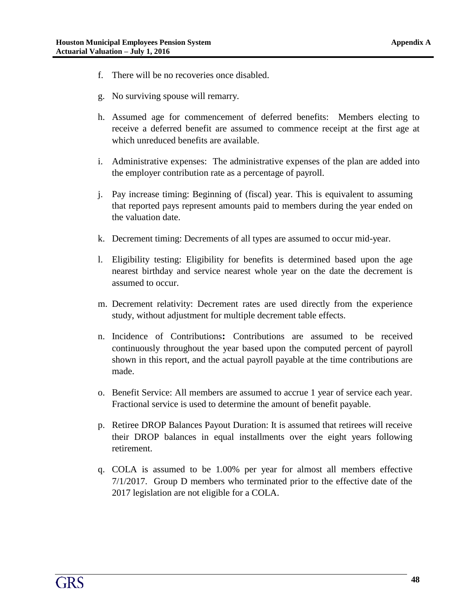- f. There will be no recoveries once disabled.
- g. No surviving spouse will remarry.
- h. Assumed age for commencement of deferred benefits: Members electing to receive a deferred benefit are assumed to commence receipt at the first age at which unreduced benefits are available.
- i. Administrative expenses: The administrative expenses of the plan are added into the employer contribution rate as a percentage of payroll.
- j. Pay increase timing: Beginning of (fiscal) year. This is equivalent to assuming that reported pays represent amounts paid to members during the year ended on the valuation date.
- k. Decrement timing: Decrements of all types are assumed to occur mid-year.
- l. Eligibility testing: Eligibility for benefits is determined based upon the age nearest birthday and service nearest whole year on the date the decrement is assumed to occur.
- m. Decrement relativity: Decrement rates are used directly from the experience study, without adjustment for multiple decrement table effects.
- n. Incidence of Contributions**:** Contributions are assumed to be received continuously throughout the year based upon the computed percent of payroll shown in this report, and the actual payroll payable at the time contributions are made.
- o. Benefit Service: All members are assumed to accrue 1 year of service each year. Fractional service is used to determine the amount of benefit payable.
- p. Retiree DROP Balances Payout Duration: It is assumed that retirees will receive their DROP balances in equal installments over the eight years following retirement.
- q. COLA is assumed to be 1.00% per year for almost all members effective 7/1/2017. Group D members who terminated prior to the effective date of the 2017 legislation are not eligible for a COLA.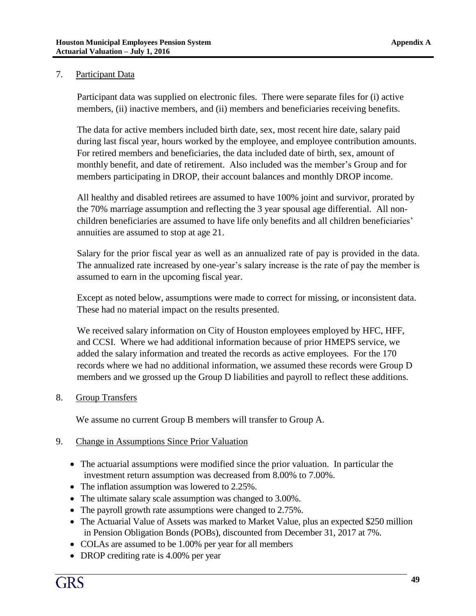#### 7. Participant Data

Participant data was supplied on electronic files. There were separate files for (i) active members, (ii) inactive members, and (ii) members and beneficiaries receiving benefits.

The data for active members included birth date, sex, most recent hire date, salary paid during last fiscal year, hours worked by the employee, and employee contribution amounts. For retired members and beneficiaries, the data included date of birth, sex, amount of monthly benefit, and date of retirement. Also included was the member's Group and for members participating in DROP, their account balances and monthly DROP income.

All healthy and disabled retirees are assumed to have 100% joint and survivor, prorated by the 70% marriage assumption and reflecting the 3 year spousal age differential. All nonchildren beneficiaries are assumed to have life only benefits and all children beneficiaries' annuities are assumed to stop at age 21.

Salary for the prior fiscal year as well as an annualized rate of pay is provided in the data. The annualized rate increased by one-year's salary increase is the rate of pay the member is assumed to earn in the upcoming fiscal year.

Except as noted below, assumptions were made to correct for missing, or inconsistent data. These had no material impact on the results presented.

We received salary information on City of Houston employees employed by HFC, HFF, and CCSI. Where we had additional information because of prior HMEPS service, we added the salary information and treated the records as active employees. For the 170 records where we had no additional information, we assumed these records were Group D members and we grossed up the Group D liabilities and payroll to reflect these additions.

#### 8. Group Transfers

We assume no current Group B members will transfer to Group A.

#### 9. Change in Assumptions Since Prior Valuation

- The actuarial assumptions were modified since the prior valuation. In particular the investment return assumption was decreased from 8.00% to 7.00%.
- The inflation assumption was lowered to 2.25%.
- The ultimate salary scale assumption was changed to 3.00%.
- The payroll growth rate assumptions were changed to 2.75%.
- The Actuarial Value of Assets was marked to Market Value, plus an expected \$250 million in Pension Obligation Bonds (POBs), discounted from December 31, 2017 at 7%.
- COLAs are assumed to be 1.00% per year for all members
- DROP crediting rate is 4.00% per year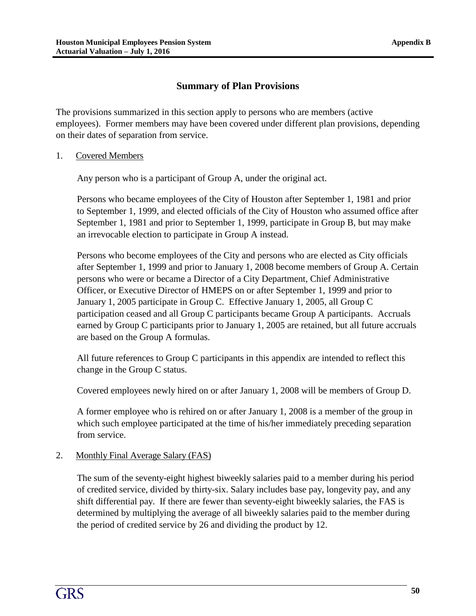## **Summary of Plan Provisions**

The provisions summarized in this section apply to persons who are members (active employees). Former members may have been covered under different plan provisions, depending on their dates of separation from service.

1. Covered Members

Any person who is a participant of Group A, under the original act.

Persons who became employees of the City of Houston after September 1, 1981 and prior to September 1, 1999, and elected officials of the City of Houston who assumed office after September 1, 1981 and prior to September 1, 1999, participate in Group B, but may make an irrevocable election to participate in Group A instead.

Persons who become employees of the City and persons who are elected as City officials after September 1, 1999 and prior to January 1, 2008 become members of Group A. Certain persons who were or became a Director of a City Department, Chief Administrative Officer, or Executive Director of HMEPS on or after September 1, 1999 and prior to January 1, 2005 participate in Group C. Effective January 1, 2005, all Group C participation ceased and all Group C participants became Group A participants. Accruals earned by Group C participants prior to January 1, 2005 are retained, but all future accruals are based on the Group A formulas.

All future references to Group C participants in this appendix are intended to reflect this change in the Group C status.

Covered employees newly hired on or after January 1, 2008 will be members of Group D.

A former employee who is rehired on or after January 1, 2008 is a member of the group in which such employee participated at the time of his/her immediately preceding separation from service.

#### 2. Monthly Final Average Salary (FAS)

The sum of the seventy-eight highest biweekly salaries paid to a member during his period of credited service, divided by thirty-six. Salary includes base pay, longevity pay, and any shift differential pay. If there are fewer than seventy-eight biweekly salaries, the FAS is determined by multiplying the average of all biweekly salaries paid to the member during the period of credited service by 26 and dividing the product by 12.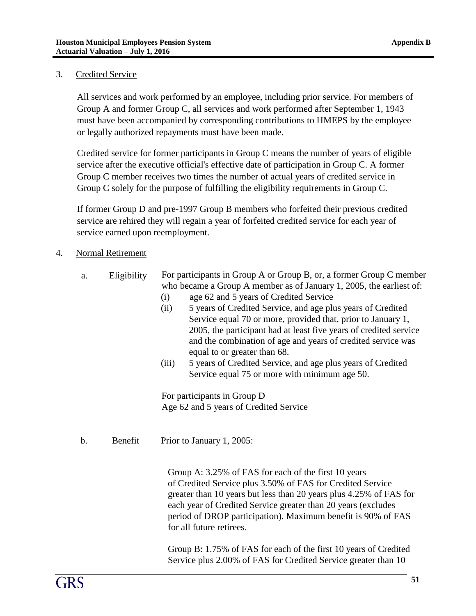#### 3. Credited Service

All services and work performed by an employee, including prior service. For members of Group A and former Group C, all services and work performed after September 1, 1943 must have been accompanied by corresponding contributions to HMEPS by the employee or legally authorized repayments must have been made.

Credited service for former participants in Group C means the number of years of eligible service after the executive official's effective date of participation in Group C. A former Group C member receives two times the number of actual years of credited service in Group C solely for the purpose of fulfilling the eligibility requirements in Group C.

If former Group D and pre-1997 Group B members who forfeited their previous credited service are rehired they will regain a year of forfeited credited service for each year of service earned upon reemployment.

- 4. Normal Retirement
	- a. Eligibility For participants in Group A or Group B, or, a former Group C member who became a Group A member as of January 1, 2005, the earliest of:
		- (i) age 62 and 5 years of Credited Service
		- (ii) 5 years of Credited Service, and age plus years of Credited Service equal 70 or more, provided that, prior to January 1, 2005, the participant had at least five years of credited service and the combination of age and years of credited service was equal to or greater than 68.
		- (iii) 5 years of Credited Service, and age plus years of Credited Service equal 75 or more with minimum age 50.

For participants in Group D Age 62 and 5 years of Credited Service

#### b. Benefit Prior to January 1, 2005:

Group A: 3.25% of FAS for each of the first 10 years of Credited Service plus 3.50% of FAS for Credited Service greater than 10 years but less than 20 years plus 4.25% of FAS for each year of Credited Service greater than 20 years (excludes period of DROP participation). Maximum benefit is 90% of FAS for all future retirees.

Group B: 1.75% of FAS for each of the first 10 years of Credited Service plus 2.00% of FAS for Credited Service greater than 10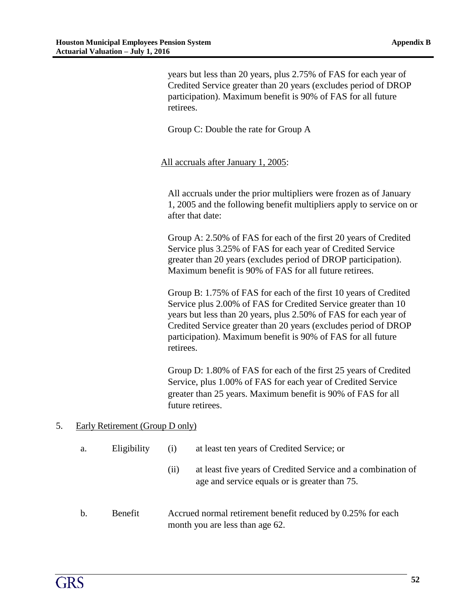years but less than 20 years, plus 2.75% of FAS for each year of Credited Service greater than 20 years (excludes period of DROP participation). Maximum benefit is 90% of FAS for all future retirees.

Group C: Double the rate for Group A

All accruals after January 1, 2005:

All accruals under the prior multipliers were frozen as of January 1, 2005 and the following benefit multipliers apply to service on or after that date:

Group A: 2.50% of FAS for each of the first 20 years of Credited Service plus 3.25% of FAS for each year of Credited Service greater than 20 years (excludes period of DROP participation). Maximum benefit is 90% of FAS for all future retirees.

Group B: 1.75% of FAS for each of the first 10 years of Credited Service plus 2.00% of FAS for Credited Service greater than 10 years but less than 20 years, plus 2.50% of FAS for each year of Credited Service greater than 20 years (excludes period of DROP participation). Maximum benefit is 90% of FAS for all future retirees.

Group D: 1.80% of FAS for each of the first 25 years of Credited Service, plus 1.00% of FAS for each year of Credited Service greater than 25 years. Maximum benefit is 90% of FAS for all future retirees.

age and service equals or is greater than 75.

#### 5. Early Retirement (Group D only)

| a. | Eligibility | (i) | at least ten years of Credited Service; or                   |  |  |  |  |
|----|-------------|-----|--------------------------------------------------------------|--|--|--|--|
|    |             |     | at least five years of Credited Service and a combination of |  |  |  |  |

b. Benefit Accrued normal retirement benefit reduced by 0.25% for each month you are less than age 62.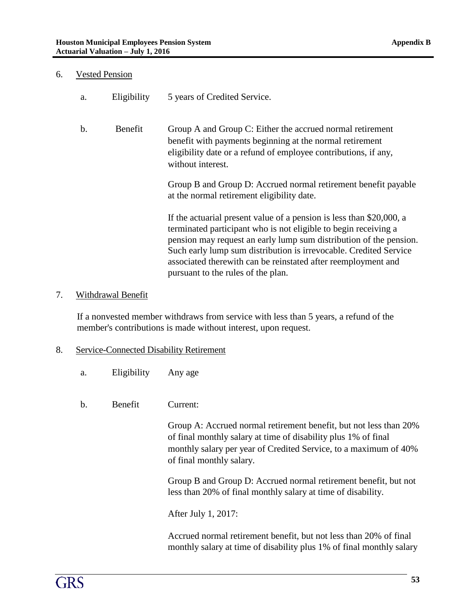#### 6. Vested Pension

| a.             | Eligibility | 5 years of Credited Service.                                                                                                                                                                                                                                                                                                                                                              |
|----------------|-------------|-------------------------------------------------------------------------------------------------------------------------------------------------------------------------------------------------------------------------------------------------------------------------------------------------------------------------------------------------------------------------------------------|
| $\mathbf{b}$ . | Benefit     | Group A and Group C: Either the accrued normal retirement<br>benefit with payments beginning at the normal retirement<br>eligibility date or a refund of employee contributions, if any,<br>without interest.                                                                                                                                                                             |
|                |             | Group B and Group D: Accrued normal retirement benefit payable<br>at the normal retirement eligibility date.                                                                                                                                                                                                                                                                              |
|                |             | If the actuarial present value of a pension is less than \$20,000, a<br>terminated participant who is not eligible to begin receiving a<br>pension may request an early lump sum distribution of the pension.<br>Such early lump sum distribution is irrevocable. Credited Service<br>associated therewith can be reinstated after reemployment and<br>pursuant to the rules of the plan. |

#### 7. Withdrawal Benefit

If a nonvested member withdraws from service with less than 5 years, a refund of the member's contributions is made without interest, upon request.

#### 8. Service-Connected Disability Retirement

| Eligibility<br>a. | Any age |
|-------------------|---------|
|-------------------|---------|

b. Benefit Current:

Group A: Accrued normal retirement benefit, but not less than 20% of final monthly salary at time of disability plus 1% of final monthly salary per year of Credited Service, to a maximum of 40% of final monthly salary.

Group B and Group D: Accrued normal retirement benefit, but not less than 20% of final monthly salary at time of disability.

After July 1, 2017:

Accrued normal retirement benefit, but not less than 20% of final monthly salary at time of disability plus 1% of final monthly salary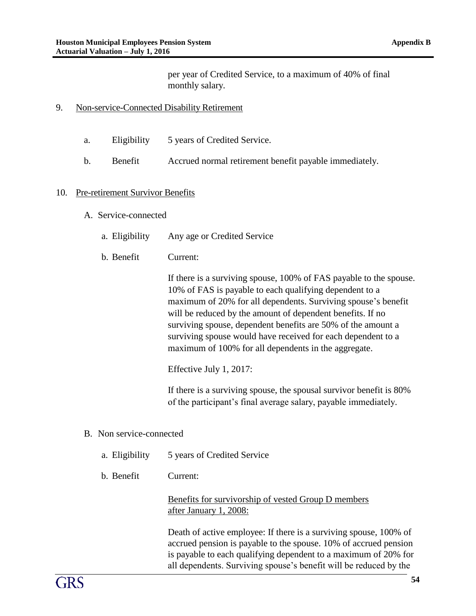per year of Credited Service, to a maximum of 40% of final monthly salary.

- 9. Non-service-Connected Disability Retirement
	- a. Eligibility 5 years of Credited Service.
	- b. Benefit Accrued normal retirement benefit payable immediately.

#### 10. Pre-retirement Survivor Benefits

- A. Service-connected
	- a. Eligibility Any age or Credited Service
	- b. Benefit Current:

If there is a surviving spouse, 100% of FAS payable to the spouse. 10% of FAS is payable to each qualifying dependent to a maximum of 20% for all dependents. Surviving spouse's benefit will be reduced by the amount of dependent benefits. If no surviving spouse, dependent benefits are 50% of the amount a surviving spouse would have received for each dependent to a maximum of 100% for all dependents in the aggregate.

Effective July 1, 2017:

If there is a surviving spouse, the spousal survivor benefit is 80% of the participant's final average salary, payable immediately.

- B. Non service-connected
	- a. Eligibility 5 years of Credited Service
	- b. Benefit Current:

Benefits for survivorship of vested Group D members after January 1, 2008:

Death of active employee: If there is a surviving spouse, 100% of accrued pension is payable to the spouse. 10% of accrued pension is payable to each qualifying dependent to a maximum of 20% for all dependents. Surviving spouse's benefit will be reduced by the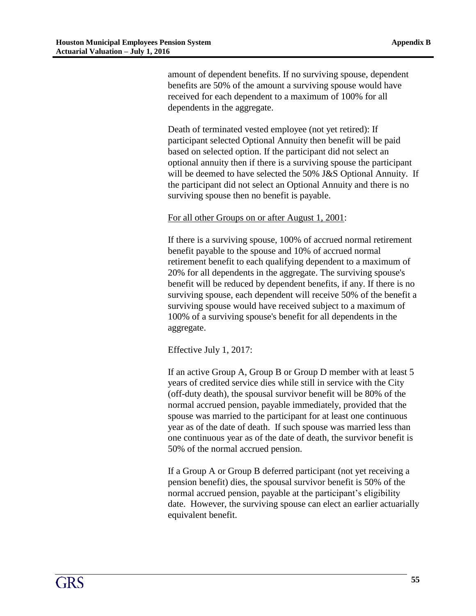amount of dependent benefits. If no surviving spouse, dependent benefits are 50% of the amount a surviving spouse would have received for each dependent to a maximum of 100% for all dependents in the aggregate.

Death of terminated vested employee (not yet retired): If participant selected Optional Annuity then benefit will be paid based on selected option. If the participant did not select an optional annuity then if there is a surviving spouse the participant will be deemed to have selected the 50% J&S Optional Annuity. If the participant did not select an Optional Annuity and there is no surviving spouse then no benefit is payable.

For all other Groups on or after August 1, 2001:

If there is a surviving spouse, 100% of accrued normal retirement benefit payable to the spouse and 10% of accrued normal retirement benefit to each qualifying dependent to a maximum of 20% for all dependents in the aggregate. The surviving spouse's benefit will be reduced by dependent benefits, if any. If there is no surviving spouse, each dependent will receive 50% of the benefit a surviving spouse would have received subject to a maximum of 100% of a surviving spouse's benefit for all dependents in the aggregate.

Effective July 1, 2017:

If an active Group A, Group B or Group D member with at least 5 years of credited service dies while still in service with the City (off-duty death), the spousal survivor benefit will be 80% of the normal accrued pension, payable immediately, provided that the spouse was married to the participant for at least one continuous year as of the date of death. If such spouse was married less than one continuous year as of the date of death, the survivor benefit is 50% of the normal accrued pension.

If a Group A or Group B deferred participant (not yet receiving a pension benefit) dies, the spousal survivor benefit is 50% of the normal accrued pension, payable at the participant's eligibility date. However, the surviving spouse can elect an earlier actuarially equivalent benefit.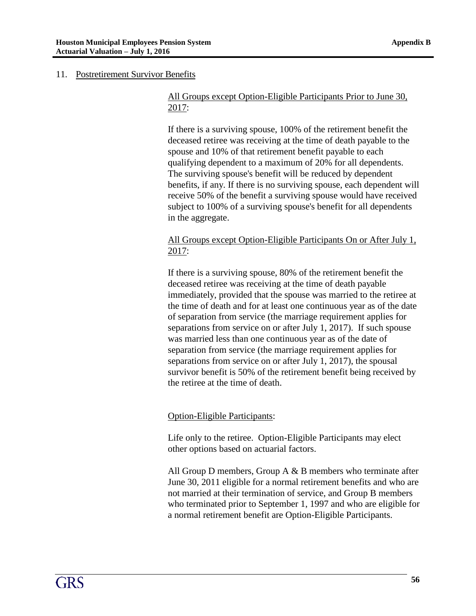#### 11. Postretirement Survivor Benefits

#### All Groups except Option-Eligible Participants Prior to June 30, 2017:

If there is a surviving spouse, 100% of the retirement benefit the deceased retiree was receiving at the time of death payable to the spouse and 10% of that retirement benefit payable to each qualifying dependent to a maximum of 20% for all dependents. The surviving spouse's benefit will be reduced by dependent benefits, if any. If there is no surviving spouse, each dependent will receive 50% of the benefit a surviving spouse would have received subject to 100% of a surviving spouse's benefit for all dependents in the aggregate.

## All Groups except Option-Eligible Participants On or After July 1, 2017:

If there is a surviving spouse, 80% of the retirement benefit the deceased retiree was receiving at the time of death payable immediately, provided that the spouse was married to the retiree at the time of death and for at least one continuous year as of the date of separation from service (the marriage requirement applies for separations from service on or after July 1, 2017). If such spouse was married less than one continuous year as of the date of separation from service (the marriage requirement applies for separations from service on or after July 1, 2017), the spousal survivor benefit is 50% of the retirement benefit being received by the retiree at the time of death.

## Option-Eligible Participants:

Life only to the retiree. Option-Eligible Participants may elect other options based on actuarial factors.

All Group D members, Group A  $\&$  B members who terminate after June 30, 2011 eligible for a normal retirement benefits and who are not married at their termination of service, and Group B members who terminated prior to September 1, 1997 and who are eligible for a normal retirement benefit are Option-Eligible Participants.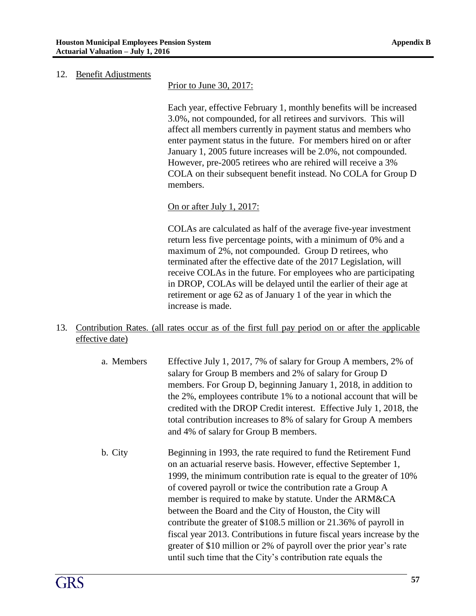#### 12. Benefit Adjustments

Prior to June 30, 2017:

Each year, effective February 1, monthly benefits will be increased 3.0%, not compounded, for all retirees and survivors. This will affect all members currently in payment status and members who enter payment status in the future. For members hired on or after January 1, 2005 future increases will be 2.0%, not compounded. However, pre-2005 retirees who are rehired will receive a 3% COLA on their subsequent benefit instead. No COLA for Group D members.

#### On or after July 1, 2017:

COLAs are calculated as half of the average five-year investment return less five percentage points, with a minimum of 0% and a maximum of 2%, not compounded. Group D retirees, who terminated after the effective date of the 2017 Legislation, will receive COLAs in the future. For employees who are participating in DROP, COLAs will be delayed until the earlier of their age at retirement or age 62 as of January 1 of the year in which the increase is made.

- 13. Contribution Rates. (all rates occur as of the first full pay period on or after the applicable effective date)
	- a. Members Effective July 1, 2017, 7% of salary for Group A members, 2% of salary for Group B members and 2% of salary for Group D members. For Group D, beginning January 1, 2018, in addition to the 2%, employees contribute 1% to a notional account that will be credited with the DROP Credit interest. Effective July 1, 2018, the total contribution increases to 8% of salary for Group A members and 4% of salary for Group B members.
	- b. City Beginning in 1993, the rate required to fund the Retirement Fund on an actuarial reserve basis. However, effective September 1, 1999, the minimum contribution rate is equal to the greater of 10% of covered payroll or twice the contribution rate a Group A member is required to make by statute. Under the ARM&CA between the Board and the City of Houston, the City will contribute the greater of \$108.5 million or 21.36% of payroll in fiscal year 2013. Contributions in future fiscal years increase by the greater of \$10 million or 2% of payroll over the prior year's rate until such time that the City's contribution rate equals the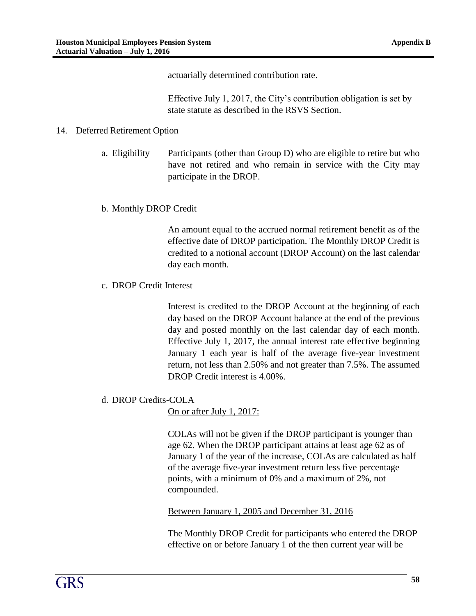actuarially determined contribution rate.

Effective July 1, 2017, the City's contribution obligation is set by state statute as described in the RSVS Section.

#### 14. Deferred Retirement Option

a. Eligibility Participants (other than Group D) who are eligible to retire but who have not retired and who remain in service with the City may participate in the DROP.

#### b. Monthly DROP Credit

An amount equal to the accrued normal retirement benefit as of the effective date of DROP participation. The Monthly DROP Credit is credited to a notional account (DROP Account) on the last calendar day each month.

#### c. DROP Credit Interest

Interest is credited to the DROP Account at the beginning of each day based on the DROP Account balance at the end of the previous day and posted monthly on the last calendar day of each month. Effective July 1, 2017, the annual interest rate effective beginning January 1 each year is half of the average five-year investment return, not less than 2.50% and not greater than 7.5%. The assumed DROP Credit interest is 4.00%.

#### d. DROP Credits-COLA

On or after July 1, 2017:

COLAs will not be given if the DROP participant is younger than age 62. When the DROP participant attains at least age 62 as of January 1 of the year of the increase, COLAs are calculated as half of the average five-year investment return less five percentage points, with a minimum of 0% and a maximum of 2%, not compounded.

Between January 1, 2005 and December 31, 2016

The Monthly DROP Credit for participants who entered the DROP effective on or before January 1 of the then current year will be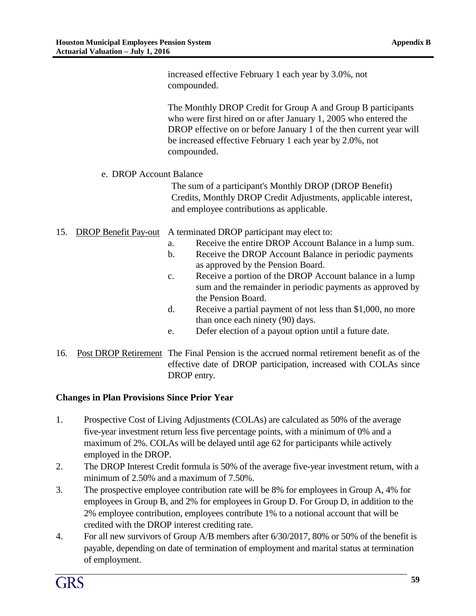increased effective February 1 each year by 3.0%, not compounded. The Monthly DROP Credit for Group A and Group B participants who were first hired on or after January 1, 2005 who entered the DROP effective on or before January 1 of the then current year will be increased effective February 1 each year by 2.0%, not compounded. e. DROP Account Balance The sum of a participant's Monthly DROP (DROP Benefit) Credits, Monthly DROP Credit Adjustments, applicable interest, and employee contributions as applicable. 15. DROP Benefit Pay-out A terminated DROP participant may elect to: a. Receive the entire DROP Account Balance in a lump sum. b. Receive the DROP Account Balance in periodic payments as approved by the Pension Board. c. Receive a portion of the DROP Account balance in a lump sum and the remainder in periodic payments as approved by the Pension Board. d. Receive a partial payment of not less than \$1,000, no more than once each ninety (90) days.

- e. Defer election of a payout option until a future date.
- 16. Post DROP Retirement The Final Pension is the accrued normal retirement benefit as of the effective date of DROP participation, increased with COLAs since DROP entry.

#### **Changes in Plan Provisions Since Prior Year**

- 1. Prospective Cost of Living Adjustments (COLAs) are calculated as 50% of the average five-year investment return less five percentage points, with a minimum of 0% and a maximum of 2%. COLAs will be delayed until age 62 for participants while actively employed in the DROP.
- 2. The DROP Interest Credit formula is 50% of the average five-year investment return, with a minimum of 2.50% and a maximum of 7.50%.
- 3. The prospective employee contribution rate will be 8% for employees in Group A, 4% for employees in Group B, and 2% for employees in Group D. For Group D, in addition to the 2% employee contribution, employees contribute 1% to a notional account that will be credited with the DROP interest crediting rate.
- 4. For all new survivors of Group A/B members after 6/30/2017, 80% or 50% of the benefit is payable, depending on date of termination of employment and marital status at termination of employment.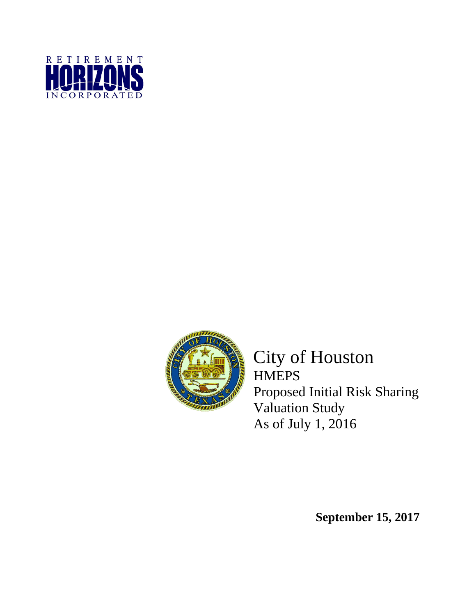



City of Houston **HMEPS** Proposed Initial Risk Sharing Valuation Study As of July 1, 2016

**September 15, 2017**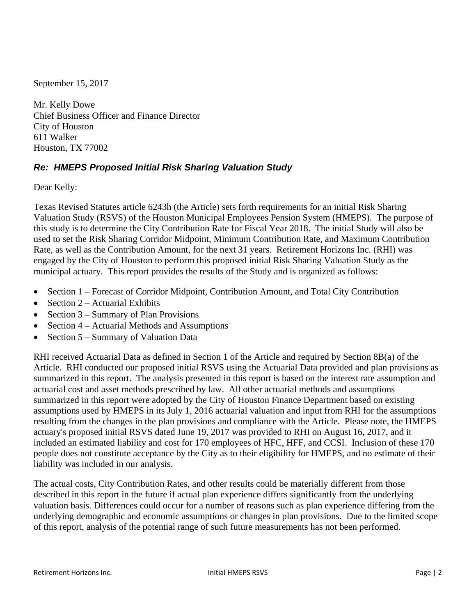September 15, 2017

Mr. Kelly Dowe Chief Business Officer and Finance Director City of Houston 611 Walker Houston, TX 77002

## *Re: HMEPS Proposed Initial Risk Sharing Valuation Study*

Dear Kelly:

Texas Revised Statutes article 6243h (the Article) sets forth requirements for an initial Risk Sharing Valuation Study (RSVS) of the Houston Municipal Employees Pension System (HMEPS). The purpose of this study is to determine the City Contribution Rate for Fiscal Year 2018. The initial Study will also be used to set the Risk Sharing Corridor Midpoint, Minimum Contribution Rate, and Maximum Contribution Rate, as well as the Contribution Amount, for the next 31 years. Retirement Horizons Inc. (RHI) was engaged by the City of Houston to perform this proposed initial Risk Sharing Valuation Study as the municipal actuary. This report provides the results of the Study and is organized as follows:

- Section 1 Forecast of Corridor Midpoint, Contribution Amount, and Total City Contribution
- Section  $2 -$  Actuarial Exhibits
- Section  $3 -$  Summary of Plan Provisions
- Section 4 Actuarial Methods and Assumptions
- Section 5 Summary of Valuation Data

RHI received Actuarial Data as defined in Section 1 of the Article and required by Section 8B(a) of the Article. RHI conducted our proposed initial RSVS using the Actuarial Data provided and plan provisions as summarized in this report. The analysis presented in this report is based on the interest rate assumption and actuarial cost and asset methods prescribed by law. All other actuarial methods and assumptions summarized in this report were adopted by the City of Houston Finance Department based on existing assumptions used by HMEPS in its July 1, 2016 actuarial valuation and input from RHI for the assumptions resulting from the changes in the plan provisions and compliance with the Article. Please note, the HMEPS actuary's proposed initial RSVS dated June 19, 2017 was provided to RHI on August 16, 2017, and it included an estimated liability and cost for 170 employees of HFC, HFF, and CCSI. Inclusion of these 170 people does not constitute acceptance by the City as to their eligibility for HMEPS, and no estimate of their liability was included in our analysis.

The actual costs, City Contribution Rates, and other results could be materially different from those described in this report in the future if actual plan experience differs significantly from the underlying valuation basis. Differences could occur for a number of reasons such as plan experience differing from the underlying demographic and economic assumptions or changes in plan provisions. Due to the limited scope of this report, analysis of the potential range of such future measurements has not been performed.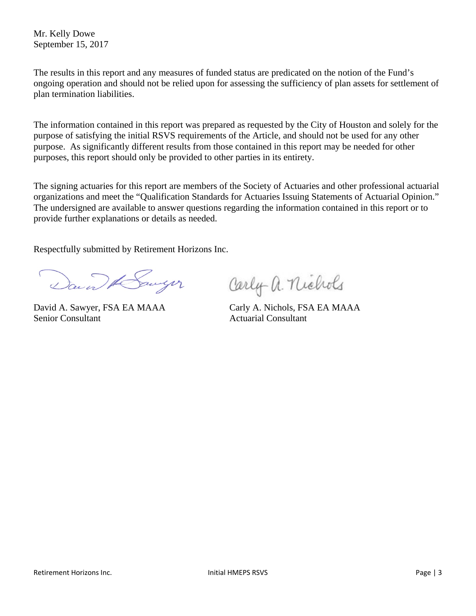Mr. Kelly Dowe September 15, 2017

The results in this report and any measures of funded status are predicated on the notion of the Fund's ongoing operation and should not be relied upon for assessing the sufficiency of plan assets for settlement of plan termination liabilities.

The information contained in this report was prepared as requested by the City of Houston and solely for the purpose of satisfying the initial RSVS requirements of the Article, and should not be used for any other purpose. As significantly different results from those contained in this report may be needed for other purposes, this report should only be provided to other parties in its entirety.

The signing actuaries for this report are members of the Society of Actuaries and other professional actuarial organizations and meet the "Qualification Standards for Actuaries Issuing Statements of Actuarial Opinion." The undersigned are available to answer questions regarding the information contained in this report or to provide further explanations or details as needed.

Respectfully submitted by Retirement Horizons Inc.

David Howyer

Senior Consultant Actuarial Consultant

Carly a. nichols

David A. Sawyer, FSA EA MAAA Carly A. Nichols, FSA EA MAAA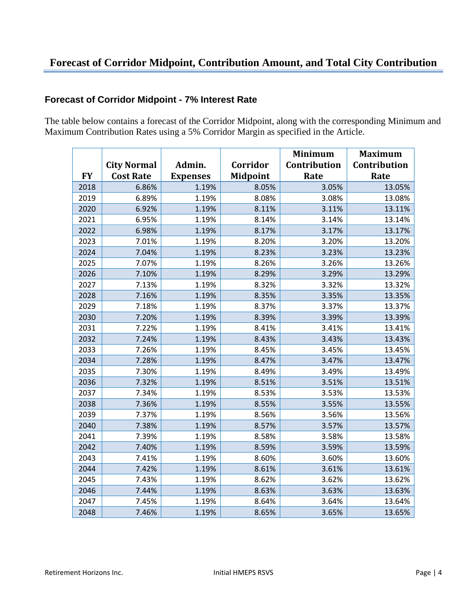## **Forecast of Corridor Midpoint, Contribution Amount, and Total City Contribution**

## **Forecast of Corridor Midpoint - 7% Interest Rate**

The table below contains a forecast of the Corridor Midpoint, along with the corresponding Minimum and Maximum Contribution Rates using a 5% Corridor Margin as specified in the Article.

|           |                    |                 |                 | <b>Minimum</b> | <b>Maximum</b> |
|-----------|--------------------|-----------------|-----------------|----------------|----------------|
|           | <b>City Normal</b> | Admin.          | Corridor        | Contribution   | Contribution   |
| <b>FY</b> | <b>Cost Rate</b>   | <b>Expenses</b> | <b>Midpoint</b> | Rate           | Rate           |
| 2018      | 6.86%              | 1.19%           | 8.05%           | 3.05%          | 13.05%         |
| 2019      | 6.89%              | 1.19%           | 8.08%           | 3.08%          | 13.08%         |
| 2020      | 6.92%              | 1.19%           | 8.11%           | 3.11%          | 13.11%         |
| 2021      | 6.95%              | 1.19%           | 8.14%           | 3.14%          | 13.14%         |
| 2022      | 6.98%              | 1.19%           | 8.17%           | 3.17%          | 13.17%         |
| 2023      | 7.01%              | 1.19%           | 8.20%           | 3.20%          | 13.20%         |
| 2024      | 7.04%              | 1.19%           | 8.23%           | 3.23%          | 13.23%         |
| 2025      | 7.07%              | 1.19%           | 8.26%           | 3.26%          | 13.26%         |
| 2026      | 7.10%              | 1.19%           | 8.29%           | 3.29%          | 13.29%         |
| 2027      | 7.13%              | 1.19%           | 8.32%           | 3.32%          | 13.32%         |
| 2028      | 7.16%              | 1.19%           | 8.35%           | 3.35%          | 13.35%         |
| 2029      | 7.18%              | 1.19%           | 8.37%           | 3.37%          | 13.37%         |
| 2030      | 7.20%              | 1.19%           | 8.39%           | 3.39%          | 13.39%         |
| 2031      | 7.22%              | 1.19%           | 8.41%           | 3.41%          | 13.41%         |
| 2032      | 7.24%              | 1.19%           | 8.43%           | 3.43%          | 13.43%         |
| 2033      | 7.26%              | 1.19%           | 8.45%           | 3.45%          | 13.45%         |
| 2034      | 7.28%              | 1.19%           | 8.47%           | 3.47%          | 13.47%         |
| 2035      | 7.30%              | 1.19%           | 8.49%           | 3.49%          | 13.49%         |
| 2036      | 7.32%              | 1.19%           | 8.51%           | 3.51%          | 13.51%         |
| 2037      | 7.34%              | 1.19%           | 8.53%           | 3.53%          | 13.53%         |
| 2038      | 7.36%              | 1.19%           | 8.55%           | 3.55%          | 13.55%         |
| 2039      | 7.37%              | 1.19%           | 8.56%           | 3.56%          | 13.56%         |
| 2040      | 7.38%              | 1.19%           | 8.57%           | 3.57%          | 13.57%         |
| 2041      | 7.39%              | 1.19%           | 8.58%           | 3.58%          | 13.58%         |
| 2042      | 7.40%              | 1.19%           | 8.59%           | 3.59%          | 13.59%         |
| 2043      | 7.41%              | 1.19%           | 8.60%           | 3.60%          | 13.60%         |
| 2044      | 7.42%              | 1.19%           | 8.61%           | 3.61%          | 13.61%         |
| 2045      | 7.43%              | 1.19%           | 8.62%           | 3.62%          | 13.62%         |
| 2046      | 7.44%              | 1.19%           | 8.63%           | 3.63%          | 13.63%         |
| 2047      | 7.45%              | 1.19%           | 8.64%           | 3.64%          | 13.64%         |
| 2048      | 7.46%              | 1.19%           | 8.65%           | 3.65%          | 13.65%         |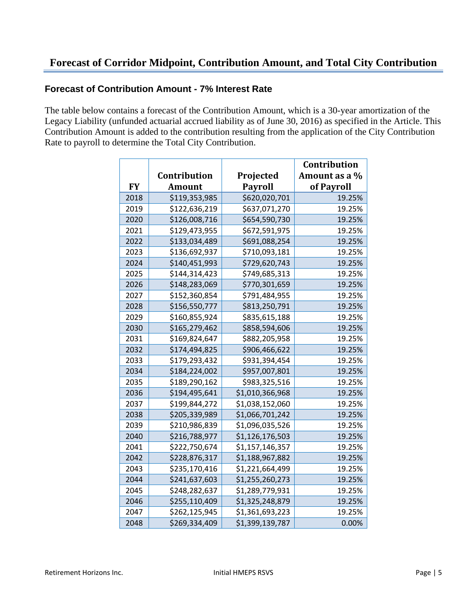### **Forecast of Corridor Midpoint, Contribution Amount, and Total City Contribution**

#### **Forecast of Contribution Amount - 7% Interest Rate**

The table below contains a forecast of the Contribution Amount, which is a 30-year amortization of the Legacy Liability (unfunded actuarial accrued liability as of June 30, 2016) as specified in the Article. This Contribution Amount is added to the contribution resulting from the application of the City Contribution Rate to payroll to determine the Total City Contribution.

|           |               |                 | Contribution  |
|-----------|---------------|-----------------|---------------|
|           | Contribution  | Projected       | Amount as a % |
| <b>FY</b> | <b>Amount</b> | <b>Payroll</b>  | of Payroll    |
| 2018      | \$119,353,985 | \$620,020,701   | 19.25%        |
| 2019      | \$122,636,219 | \$637,071,270   | 19.25%        |
| 2020      | \$126,008,716 | \$654,590,730   | 19.25%        |
| 2021      | \$129,473,955 | \$672,591,975   | 19.25%        |
| 2022      | \$133,034,489 | \$691,088,254   | 19.25%        |
| 2023      | \$136,692,937 | \$710,093,181   | 19.25%        |
| 2024      | \$140,451,993 | \$729,620,743   | 19.25%        |
| 2025      | \$144,314,423 | \$749,685,313   | 19.25%        |
| 2026      | \$148,283,069 | \$770,301,659   | 19.25%        |
| 2027      | \$152,360,854 | \$791,484,955   | 19.25%        |
| 2028      | \$156,550,777 | \$813,250,791   | 19.25%        |
| 2029      | \$160,855,924 | \$835,615,188   | 19.25%        |
| 2030      | \$165,279,462 | \$858,594,606   | 19.25%        |
| 2031      | \$169,824,647 | \$882,205,958   | 19.25%        |
| 2032      | \$174,494,825 | \$906,466,622   | 19.25%        |
| 2033      | \$179,293,432 | \$931,394,454   | 19.25%        |
| 2034      | \$184,224,002 | \$957,007,801   | 19.25%        |
| 2035      | \$189,290,162 | \$983,325,516   | 19.25%        |
| 2036      | \$194,495,641 | \$1,010,366,968 | 19.25%        |
| 2037      | \$199,844,272 | \$1,038,152,060 | 19.25%        |
| 2038      | \$205,339,989 | \$1,066,701,242 | 19.25%        |
| 2039      | \$210,986,839 | \$1,096,035,526 | 19.25%        |
| 2040      | \$216,788,977 | \$1,126,176,503 | 19.25%        |
| 2041      | \$222,750,674 | \$1,157,146,357 | 19.25%        |
| 2042      | \$228,876,317 | \$1,188,967,882 | 19.25%        |
| 2043      | \$235,170,416 | \$1,221,664,499 | 19.25%        |
| 2044      | \$241,637,603 | \$1,255,260,273 | 19.25%        |
| 2045      | \$248,282,637 | \$1,289,779,931 | 19.25%        |
| 2046      | \$255,110,409 | \$1,325,248,879 | 19.25%        |
| 2047      | \$262,125,945 | \$1,361,693,223 | 19.25%        |
| 2048      | \$269,334,409 | \$1,399,139,787 | 0.00%         |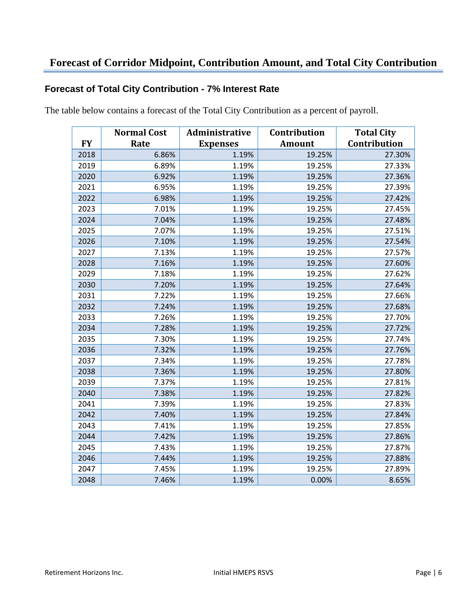### **Forecast of Corridor Midpoint, Contribution Amount, and Total City Contribution**

#### **Forecast of Total City Contribution - 7% Interest Rate**

The table below contains a forecast of the Total City Contribution as a percent of payroll.

|           | <b>Normal Cost</b> | Administrative  | Contribution  | <b>Total City</b> |
|-----------|--------------------|-----------------|---------------|-------------------|
| <b>FY</b> | Rate               | <b>Expenses</b> | <b>Amount</b> | Contribution      |
| 2018      | 6.86%              | 1.19%           | 19.25%        | 27.30%            |
| 2019      | 6.89%              | 1.19%           | 19.25%        | 27.33%            |
| 2020      | 6.92%              | 1.19%           | 19.25%        | 27.36%            |
| 2021      | 6.95%              | 1.19%           | 19.25%        | 27.39%            |
| 2022      | 6.98%              | 1.19%           | 19.25%        | 27.42%            |
| 2023      | 7.01%              | 1.19%           | 19.25%        | 27.45%            |
| 2024      | 7.04%              | 1.19%           | 19.25%        | 27.48%            |
| 2025      | 7.07%              | 1.19%           | 19.25%        | 27.51%            |
| 2026      | 7.10%              | 1.19%           | 19.25%        | 27.54%            |
| 2027      | 7.13%              | 1.19%           | 19.25%        | 27.57%            |
| 2028      | 7.16%              | 1.19%           | 19.25%        | 27.60%            |
| 2029      | 7.18%              | 1.19%           | 19.25%        | 27.62%            |
| 2030      | 7.20%              | 1.19%           | 19.25%        | 27.64%            |
| 2031      | 7.22%              | 1.19%           | 19.25%        | 27.66%            |
| 2032      | 7.24%              | 1.19%           | 19.25%        | 27.68%            |
| 2033      | 7.26%              | 1.19%           | 19.25%        | 27.70%            |
| 2034      | 7.28%              | 1.19%           | 19.25%        | 27.72%            |
| 2035      | 7.30%              | 1.19%           | 19.25%        | 27.74%            |
| 2036      | 7.32%              | 1.19%           | 19.25%        | 27.76%            |
| 2037      | 7.34%              | 1.19%           | 19.25%        | 27.78%            |
| 2038      | 7.36%              | 1.19%           | 19.25%        | 27.80%            |
| 2039      | 7.37%              | 1.19%           | 19.25%        | 27.81%            |
| 2040      | 7.38%              | 1.19%           | 19.25%        | 27.82%            |
| 2041      | 7.39%              | 1.19%           | 19.25%        | 27.83%            |
| 2042      | 7.40%              | 1.19%           | 19.25%        | 27.84%            |
| 2043      | 7.41%              | 1.19%           | 19.25%        | 27.85%            |
| 2044      | 7.42%              | 1.19%           | 19.25%        | 27.86%            |
| 2045      | 7.43%              | 1.19%           | 19.25%        | 27.87%            |
| 2046      | 7.44%              | 1.19%           | 19.25%        | 27.88%            |
| 2047      | 7.45%              | 1.19%           | 19.25%        | 27.89%            |
| 2048      | 7.46%              | 1.19%           | 0.00%         | 8.65%             |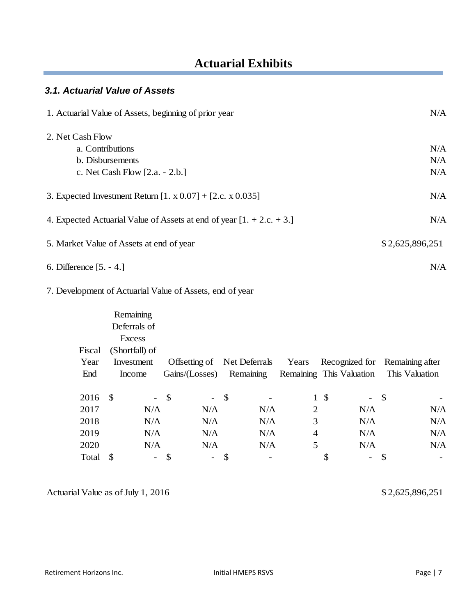## **Actuarial Exhibits**

#### *3.1. Actuarial Value of Assets*

| 1. Actuarial Value of Assets, beginning of prior year                  | N/A             |
|------------------------------------------------------------------------|-----------------|
| 2. Net Cash Flow                                                       |                 |
| a. Contributions                                                       | N/A             |
| b. Disbursements                                                       | N/A             |
| c. Net Cash Flow [2.a. - 2.b.]                                         | N/A             |
| 3. Expected Investment Return [1. x 0.07] + [2.c. x 0.035]             | N/A             |
| 4. Expected Actuarial Value of Assets at end of year $[1 + 2.c. + 3.]$ | N/A             |
| 5. Market Value of Assets at end of year                               | \$2,625,896,251 |
| 6. Difference [5. - 4.]                                                | N/A             |
| 7. Development of Actuarial Value of Assets, end of year               |                 |
| Remaining                                                              |                 |
| Deferrals of                                                           |                 |
| <b>Excess</b>                                                          |                 |

| Fiscal | (Shortfall) of |                          |                                 |                             |                |                                |                                |
|--------|----------------|--------------------------|---------------------------------|-----------------------------|----------------|--------------------------------|--------------------------------|
| Year   | Investment     |                          |                                 | Offsetting of Net Deferrals | Years          |                                | Recognized for Remaining after |
| End    | Income         |                          | Gains/(Losses) Remaining        |                             |                | Remaining This Valuation       | This Valuation                 |
|        |                |                          |                                 |                             |                |                                |                                |
| 2016   | - \$           |                          | $-$ \$                          | - \$                        | $\mathbf{1}$   | \$<br>- \$                     |                                |
| 2017   |                | N/A                      | N/A                             | N/A                         | 2              | N/A                            | N/A                            |
| 2018   |                | N/A                      | N/A                             | N/A                         | 3              | N/A                            | N/A                            |
| 2019   |                | N/A                      | N/A                             | N/A                         | $\overline{4}$ | N/A                            | N/A                            |
| 2020   |                | N/A                      | N/A                             | N/A                         | 5              | N/A                            | N/A                            |
| Total  | <sup>\$</sup>  | $\overline{\phantom{a}}$ | $\mathcal{S}$<br>$\blacksquare$ | -                           |                | \$<br>$\overline{\phantom{0}}$ |                                |

Actuarial Value as of July 1, 2016 2,625,896,251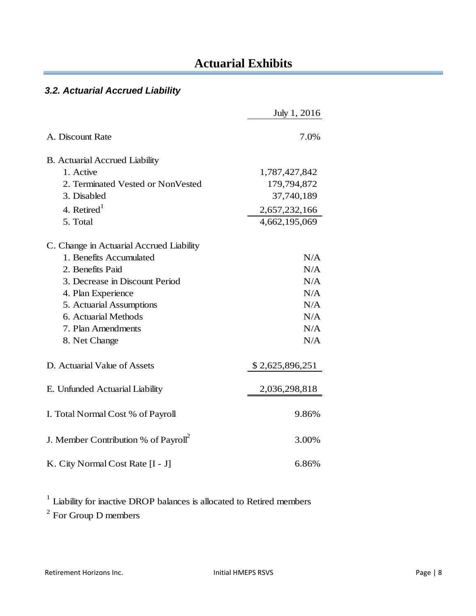## *3.2. Actuarial Accrued Liability*

|                                                  | July 1, 2016    |
|--------------------------------------------------|-----------------|
| A. Discount Rate                                 | 7.0%            |
| <b>B.</b> Actuarial Accrued Liability            |                 |
| 1. Active                                        | 1,787,427,842   |
| 2. Terminated Vested or NonVested                | 179,794,872     |
| 3. Disabled                                      | 37,740,189      |
| 4. Retired $1$                                   | 2,657,232,166   |
| 5. Total                                         | 4,662,195,069   |
| C. Change in Actuarial Accrued Liability         |                 |
| 1. Benefits Accumulated                          | N/A             |
| 2. Benefits Paid                                 | N/A             |
| 3. Decrease in Discount Period                   | N/A             |
| 4. Plan Experience                               | N/A             |
| 5. Actuarial Assumptions                         | N/A             |
| 6. Actuarial Methods                             | N/A             |
| 7. Plan Amendments                               | N/A             |
| 8. Net Change                                    | N/A             |
| D. Actuarial Value of Assets                     | \$2,625,896,251 |
| E. Unfunded Actuarial Liability                  | 2,036,298,818   |
| I. Total Normal Cost % of Payroll                | 9.86%           |
| J. Member Contribution % of Payroll <sup>2</sup> | 3.00%           |
| K. City Normal Cost Rate [I - J]                 | 6.86%           |

<sup>1</sup> Liability for inactive DROP balances is allocated to Retired members

 $2^{2}$  For Group D members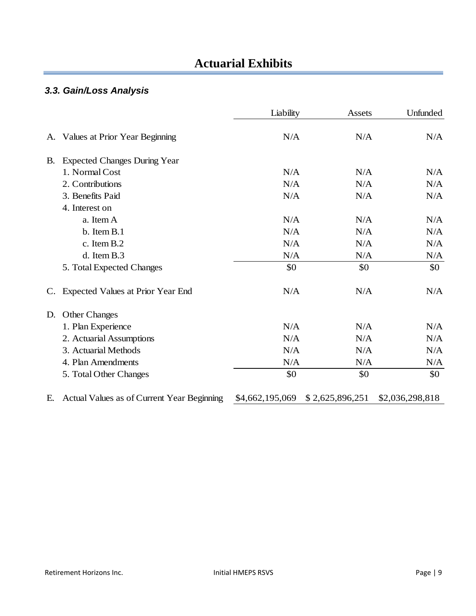## **Actuarial Exhibits**

## *3.3. Gain/Loss Analysis*

|    |                                            | Liability       | Assets          | Unfunded        |
|----|--------------------------------------------|-----------------|-----------------|-----------------|
| A. | Values at Prior Year Beginning             | N/A             | N/A             | N/A             |
| B. | <b>Expected Changes During Year</b>        |                 |                 |                 |
|    | 1. Normal Cost                             | N/A             | N/A             | N/A             |
|    | 2. Contributions                           | N/A             | N/A             | N/A             |
|    | 3. Benefits Paid                           | N/A             | N/A             | N/A             |
|    | 4. Interest on                             |                 |                 |                 |
|    | a. Item A                                  | N/A             | N/A             | N/A             |
|    | b. Item B.1                                | N/A             | N/A             | N/A             |
|    | c. Item B.2                                | N/A             | N/A             | N/A             |
|    | d. Item B.3                                | N/A             | N/A             | N/A             |
|    | 5. Total Expected Changes                  | \$0             | \$0             | \$0             |
| C. | Expected Values at Prior Year End          | N/A             | N/A             | N/A             |
| D. | <b>Other Changes</b>                       |                 |                 |                 |
|    | 1. Plan Experience                         | N/A             | N/A             | N/A             |
|    | 2. Actuarial Assumptions                   | N/A             | N/A             | N/A             |
|    | 3. Actuarial Methods                       | N/A             | N/A             | N/A             |
|    | 4. Plan Amendments                         | N/A             | N/A             | N/A             |
|    | 5. Total Other Changes                     | \$0             | \$0             | \$0             |
| Е. | Actual Values as of Current Year Beginning | \$4,662,195,069 | \$2,625,896,251 | \$2,036,298,818 |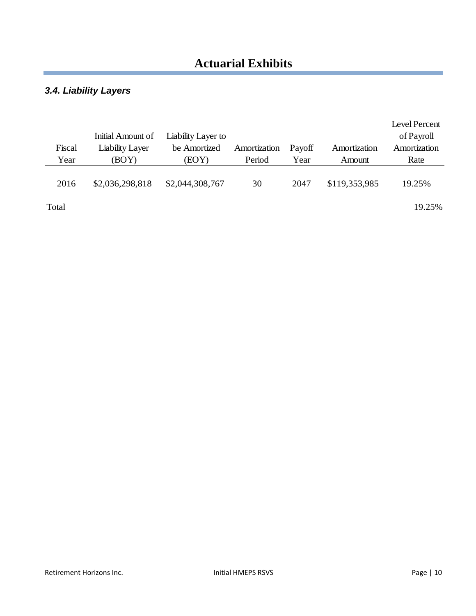## *3.4. Liability Layers*

|        |                   |                    |              |        |               | Level Percent |
|--------|-------------------|--------------------|--------------|--------|---------------|---------------|
|        | Initial Amount of | Liability Layer to |              |        |               | of Payroll    |
| Fiscal | Liability Layer   | be Amortized       | Amortization | Payoff | Amortization  | Amortization  |
| Year   | (BOY)             | (EOY)              | Period       | Year   | Amount        | Rate          |
|        |                   |                    |              |        |               |               |
| 2016   | \$2,036,298,818   | \$2,044,308,767    | 30           | 2047   | \$119,353,985 | 19.25%        |
|        |                   |                    |              |        |               |               |
| Total  |                   |                    |              |        |               | 19.25%        |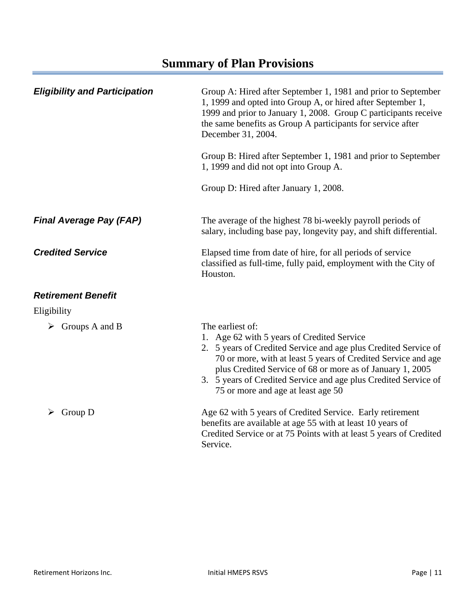| <b>Eligibility and Participation</b> | Group A: Hired after September 1, 1981 and prior to September<br>1, 1999 and opted into Group A, or hired after September 1,<br>1999 and prior to January 1, 2008. Group C participants receive<br>the same benefits as Group A participants for service after<br>December 31, 2004.                                                                                     |
|--------------------------------------|--------------------------------------------------------------------------------------------------------------------------------------------------------------------------------------------------------------------------------------------------------------------------------------------------------------------------------------------------------------------------|
|                                      | Group B: Hired after September 1, 1981 and prior to September<br>1, 1999 and did not opt into Group A.                                                                                                                                                                                                                                                                   |
|                                      | Group D: Hired after January 1, 2008.                                                                                                                                                                                                                                                                                                                                    |
| <b>Final Average Pay (FAP)</b>       | The average of the highest 78 bi-weekly payroll periods of<br>salary, including base pay, longevity pay, and shift differential.                                                                                                                                                                                                                                         |
| <b>Credited Service</b>              | Elapsed time from date of hire, for all periods of service<br>classified as full-time, fully paid, employment with the City of<br>Houston.                                                                                                                                                                                                                               |
| <b>Retirement Benefit</b>            |                                                                                                                                                                                                                                                                                                                                                                          |
| Eligibility                          |                                                                                                                                                                                                                                                                                                                                                                          |
| $\triangleright$ Groups A and B      | The earliest of:<br>1. Age 62 with 5 years of Credited Service<br>2. 5 years of Credited Service and age plus Credited Service of<br>70 or more, with at least 5 years of Credited Service and age<br>plus Credited Service of 68 or more as of January 1, 2005<br>3. 5 years of Credited Service and age plus Credited Service of<br>75 or more and age at least age 50 |
| Group D<br>➤                         | Age 62 with 5 years of Credited Service. Early retirement<br>benefits are available at age 55 with at least 10 years of<br>Credited Service or at 75 Points with at least 5 years of Credited<br>Service.                                                                                                                                                                |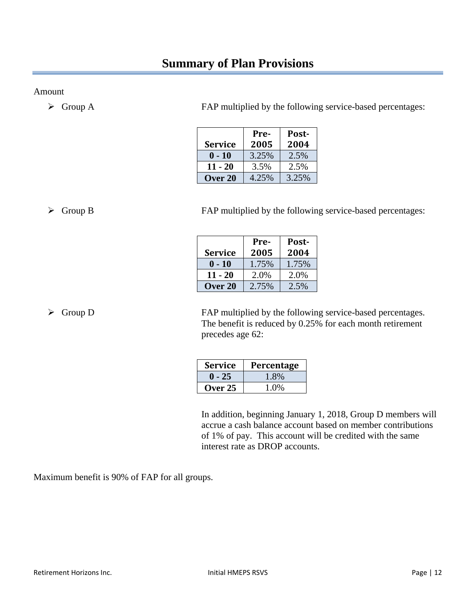Amount

Group A FAP multiplied by the following service-based percentages:

| <b>Service</b> | Pre-<br>2005 | Post-<br>2004 |
|----------------|--------------|---------------|
| $0 - 10$       | 3.25%        | 2.5%          |
| $11 - 20$      | 3.5%         | 2.5%          |
| Over 20        | 4.25%        | 3.25%         |

Group B FAP multiplied by the following service-based percentages:

|                | Pre-  | Post- |
|----------------|-------|-------|
| <b>Service</b> | 2005  | 2004  |
| $0 - 10$       | 1.75% | 1.75% |
| $11 - 20$      | 2.0%  | 2.0%  |
| Over 20        | 2.75% | 2.5%  |

 $\triangleright$  Group D FAP multiplied by the following service-based percentages. The benefit is reduced by 0.25% for each month retirement precedes age 62:

| <b>Service</b> | Percentage |
|----------------|------------|
| $-25$          | 1.8%       |
| Over $25$      | 1.0%       |

 In addition, beginning January 1, 2018, Group D members will accrue a cash balance account based on member contributions of 1% of pay. This account will be credited with the same interest rate as DROP accounts.

Maximum benefit is 90% of FAP for all groups.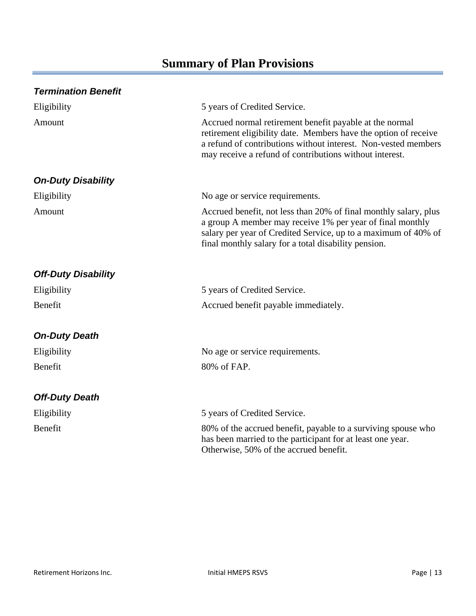| <b>Termination Benefit</b> |                                                                                                                                                                                                                                                         |
|----------------------------|---------------------------------------------------------------------------------------------------------------------------------------------------------------------------------------------------------------------------------------------------------|
| Eligibility                | 5 years of Credited Service.                                                                                                                                                                                                                            |
| Amount                     | Accrued normal retirement benefit payable at the normal<br>retirement eligibility date. Members have the option of receive<br>a refund of contributions without interest. Non-vested members<br>may receive a refund of contributions without interest. |
| <b>On-Duty Disability</b>  |                                                                                                                                                                                                                                                         |
| Eligibility                | No age or service requirements.                                                                                                                                                                                                                         |
| Amount                     | Accrued benefit, not less than 20% of final monthly salary, plus<br>a group A member may receive 1% per year of final monthly<br>salary per year of Credited Service, up to a maximum of 40% of<br>final monthly salary for a total disability pension. |
| <b>Off-Duty Disability</b> |                                                                                                                                                                                                                                                         |
| Eligibility                | 5 years of Credited Service.                                                                                                                                                                                                                            |
| Benefit                    | Accrued benefit payable immediately.                                                                                                                                                                                                                    |
| <b>On-Duty Death</b>       |                                                                                                                                                                                                                                                         |
| Eligibility                | No age or service requirements.                                                                                                                                                                                                                         |
| Benefit                    | 80% of FAP.                                                                                                                                                                                                                                             |
| <b>Off-Duty Death</b>      |                                                                                                                                                                                                                                                         |
| Eligibility                | 5 years of Credited Service.                                                                                                                                                                                                                            |
| Benefit                    | 80% of the accrued benefit, payable to a surviving spouse who<br>has been married to the participant for at least one year.<br>Otherwise, 50% of the accrued benefit.                                                                                   |
|                            |                                                                                                                                                                                                                                                         |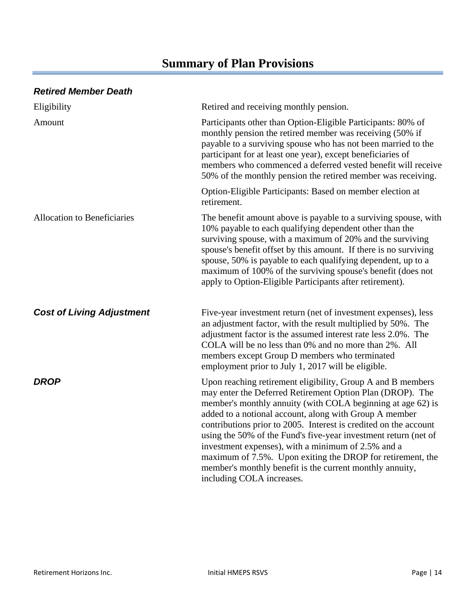#### *Retired Member Death*

| Eligibility                        | Retired and receiving monthly pension.                                                                                                                                                                                                                                                                                                                                                                                                                                                                                                                                                                |
|------------------------------------|-------------------------------------------------------------------------------------------------------------------------------------------------------------------------------------------------------------------------------------------------------------------------------------------------------------------------------------------------------------------------------------------------------------------------------------------------------------------------------------------------------------------------------------------------------------------------------------------------------|
| Amount                             | Participants other than Option-Eligible Participants: 80% of<br>monthly pension the retired member was receiving (50% if<br>payable to a surviving spouse who has not been married to the<br>participant for at least one year), except beneficiaries of<br>members who commenced a deferred vested benefit will receive<br>50% of the monthly pension the retired member was receiving.                                                                                                                                                                                                              |
|                                    | Option-Eligible Participants: Based on member election at<br>retirement.                                                                                                                                                                                                                                                                                                                                                                                                                                                                                                                              |
| <b>Allocation to Beneficiaries</b> | The benefit amount above is payable to a surviving spouse, with<br>10% payable to each qualifying dependent other than the<br>surviving spouse, with a maximum of 20% and the surviving<br>spouse's benefit offset by this amount. If there is no surviving<br>spouse, 50% is payable to each qualifying dependent, up to a<br>maximum of 100% of the surviving spouse's benefit (does not<br>apply to Option-Eligible Participants after retirement).                                                                                                                                                |
| <b>Cost of Living Adjustment</b>   | Five-year investment return (net of investment expenses), less<br>an adjustment factor, with the result multiplied by 50%. The<br>adjustment factor is the assumed interest rate less 2.0%. The<br>COLA will be no less than 0% and no more than 2%. All<br>members except Group D members who terminated<br>employment prior to July 1, 2017 will be eligible.                                                                                                                                                                                                                                       |
| <b>DROP</b>                        | Upon reaching retirement eligibility, Group A and B members<br>may enter the Deferred Retirement Option Plan (DROP). The<br>member's monthly annuity (with COLA beginning at age 62) is<br>added to a notional account, along with Group A member<br>contributions prior to 2005. Interest is credited on the account<br>using the 50% of the Fund's five-year investment return (net of<br>investment expenses), with a minimum of 2.5% and a<br>maximum of 7.5%. Upon exiting the DROP for retirement, the<br>member's monthly benefit is the current monthly annuity,<br>including COLA increases. |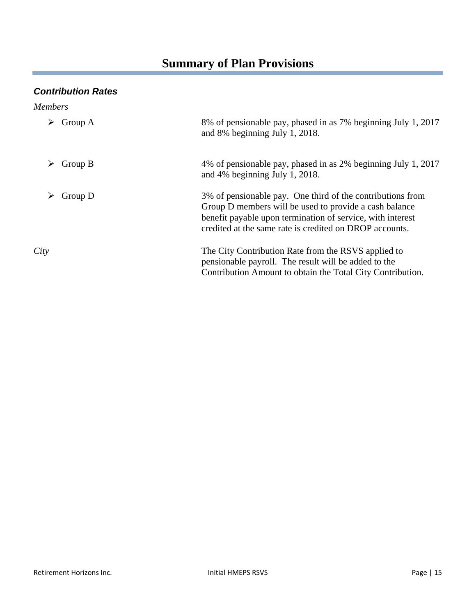### *Contribution Rates*

| <b>Members</b> |                                                                                                                                                                                                                                               |
|----------------|-----------------------------------------------------------------------------------------------------------------------------------------------------------------------------------------------------------------------------------------------|
| Group A        | 8% of pensionable pay, phased in as 7% beginning July 1, 2017<br>and 8% beginning July 1, 2018.                                                                                                                                               |
| Group B        | 4% of pensionable pay, phased in as 2% beginning July 1, 2017<br>and 4% beginning July 1, 2018.                                                                                                                                               |
| Group D        | 3% of pensionable pay. One third of the contributions from<br>Group D members will be used to provide a cash balance<br>benefit payable upon termination of service, with interest<br>credited at the same rate is credited on DROP accounts. |
| City           | The City Contribution Rate from the RSVS applied to<br>pensionable payroll. The result will be added to the<br>Contribution Amount to obtain the Total City Contribution.                                                                     |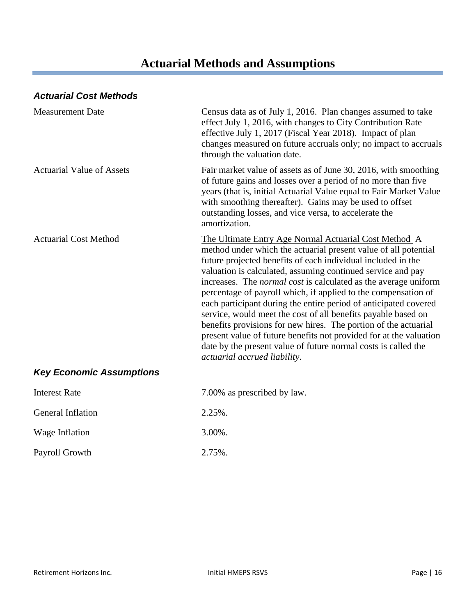### *Actuarial Cost Methods*

| <b>Measurement Date</b>          | Census data as of July 1, 2016. Plan changes assumed to take<br>effect July 1, 2016, with changes to City Contribution Rate<br>effective July 1, 2017 (Fiscal Year 2018). Impact of plan<br>changes measured on future accruals only; no impact to accruals<br>through the valuation date.                                                                                                                                                                                                                                                                                                                                                                                                                                                                                          |
|----------------------------------|-------------------------------------------------------------------------------------------------------------------------------------------------------------------------------------------------------------------------------------------------------------------------------------------------------------------------------------------------------------------------------------------------------------------------------------------------------------------------------------------------------------------------------------------------------------------------------------------------------------------------------------------------------------------------------------------------------------------------------------------------------------------------------------|
| <b>Actuarial Value of Assets</b> | Fair market value of assets as of June 30, 2016, with smoothing<br>of future gains and losses over a period of no more than five<br>years (that is, initial Actuarial Value equal to Fair Market Value<br>with smoothing thereafter). Gains may be used to offset<br>outstanding losses, and vice versa, to accelerate the<br>amortization.                                                                                                                                                                                                                                                                                                                                                                                                                                         |
| <b>Actuarial Cost Method</b>     | The Ultimate Entry Age Normal Actuarial Cost Method A<br>method under which the actuarial present value of all potential<br>future projected benefits of each individual included in the<br>valuation is calculated, assuming continued service and pay<br>increases. The <i>normal cost</i> is calculated as the average uniform<br>percentage of payroll which, if applied to the compensation of<br>each participant during the entire period of anticipated covered<br>service, would meet the cost of all benefits payable based on<br>benefits provisions for new hires. The portion of the actuarial<br>present value of future benefits not provided for at the valuation<br>date by the present value of future normal costs is called the<br>actuarial accrued liability. |
| <b>Key Economic Assumptions</b>  |                                                                                                                                                                                                                                                                                                                                                                                                                                                                                                                                                                                                                                                                                                                                                                                     |
| <b>Interest Rate</b>             | 7.00% as prescribed by law.                                                                                                                                                                                                                                                                                                                                                                                                                                                                                                                                                                                                                                                                                                                                                         |
| <b>General Inflation</b>         | 2.25%.                                                                                                                                                                                                                                                                                                                                                                                                                                                                                                                                                                                                                                                                                                                                                                              |
| Wage Inflation                   | 3.00%.                                                                                                                                                                                                                                                                                                                                                                                                                                                                                                                                                                                                                                                                                                                                                                              |
|                                  |                                                                                                                                                                                                                                                                                                                                                                                                                                                                                                                                                                                                                                                                                                                                                                                     |

Payroll Growth 2.75%.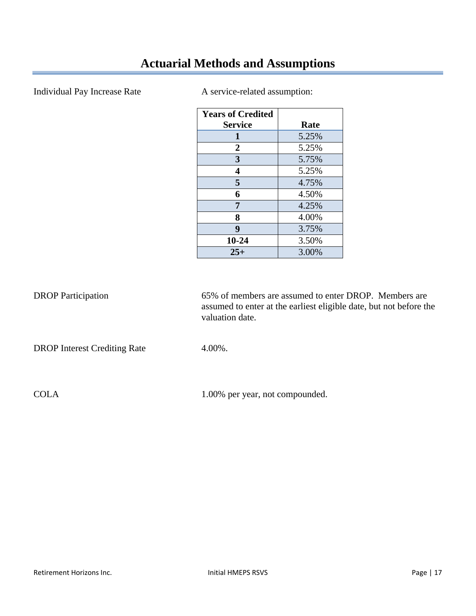### Individual Pay Increase Rate A service-related assumption:

| <b>Years of Credited</b> |       |
|--------------------------|-------|
| <b>Service</b>           | Rate  |
| 1                        | 5.25% |
| $\overline{2}$           | 5.25% |
| 3                        | 5.75% |
| 4                        | 5.25% |
| 5                        | 4.75% |
| 6                        | 4.50% |
| 7                        | 4.25% |
| 8                        | 4.00% |
| 9                        | 3.75% |
| 10-24                    | 3.50% |
| $25+$                    | 3.00% |

| <b>DROP</b> Participation           | 65% of members are assumed to enter DROP. Members are<br>assumed to enter at the earliest eligible date, but not before the<br>valuation date. |
|-------------------------------------|------------------------------------------------------------------------------------------------------------------------------------------------|
| <b>DROP</b> Interest Crediting Rate | $4.00\%$ .                                                                                                                                     |

COLA 1.00% per year, not compounded.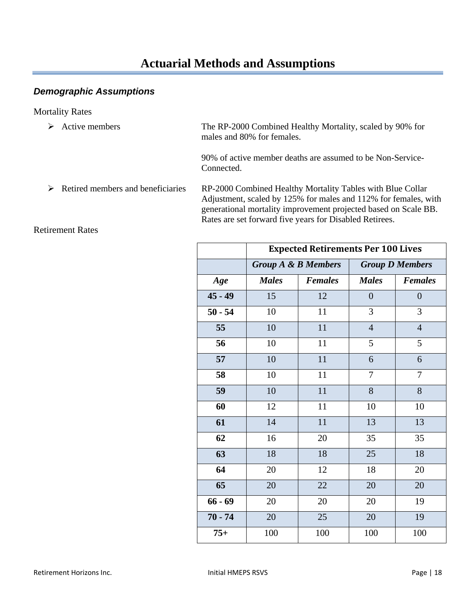#### *Demographic Assumptions*

#### Mortality Rates

 Active members The RP-2000 Combined Healthy Mortality, scaled by 90% for males and 80% for females.

> 90% of active member deaths are assumed to be Non-Service- Connected.

 Retired members and beneficiaries RP-2000 Combined Healthy Mortality Tables with Blue Collar Adjustment, scaled by 125% for males and 112% for females, with generational mortality improvement projected based on Scale BB. Rates are set forward five years for Disabled Retirees.

|           | <b>Expected Retirements Per 100 Lives</b> |                |                |                        |  |  |  |
|-----------|-------------------------------------------|----------------|----------------|------------------------|--|--|--|
|           | <b>Group A &amp; B Members</b>            |                |                | <b>Group D Members</b> |  |  |  |
| Age       | <b>Males</b>                              | <b>Females</b> | <b>Males</b>   | <b>Females</b>         |  |  |  |
| $45 - 49$ | 15                                        | 12             | $\overline{0}$ | $\overline{0}$         |  |  |  |
| $50 - 54$ | 10                                        | 11             | 3              | 3                      |  |  |  |
| 55        | 10                                        | 11             | $\overline{4}$ | $\overline{4}$         |  |  |  |
| 56        | 10                                        | 11             | 5              | 5                      |  |  |  |
| 57        | 10                                        | 11             | 6              | 6                      |  |  |  |
| 58        | 10                                        | 11             | $\overline{7}$ | 7                      |  |  |  |
| 59        | 10                                        | 11             | 8              | 8                      |  |  |  |
| 60        | 12                                        | 11             | 10             | 10                     |  |  |  |
| 61        | 14                                        | 11             | 13             | 13                     |  |  |  |
| 62        | 16                                        | 20             | 35             | 35                     |  |  |  |
| 63        | 18                                        | 18             | 25             | 18                     |  |  |  |
| 64        | 20                                        | 12             | 18             | 20                     |  |  |  |
| 65        | 20                                        | 22             | 20             | 20                     |  |  |  |
| $66 - 69$ | 20                                        | 20             | 20             | 19                     |  |  |  |
| $70 - 74$ | 20                                        | 25             | 20             | 19                     |  |  |  |
| $75+$     | 100                                       | 100            | 100            | 100                    |  |  |  |

#### Retirement Rates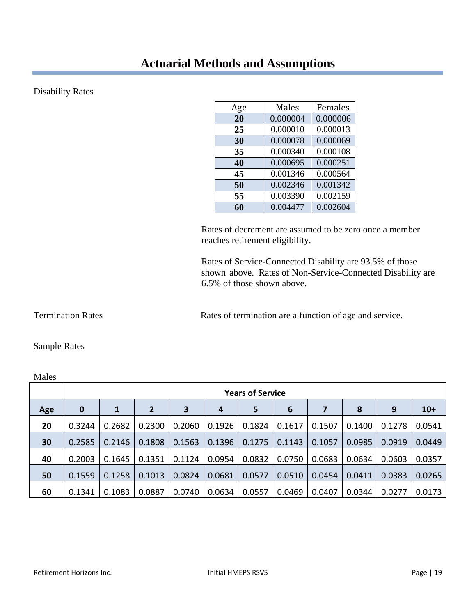#### Disability Rates

| Age | Males    | Females  |
|-----|----------|----------|
| 20  | 0.000004 | 0.000006 |
| 25  | 0.000010 | 0.000013 |
| 30  | 0.000078 | 0.000069 |
| 35  | 0.000340 | 0.000108 |
| 40  | 0.000695 | 0.000251 |
| 45  | 0.001346 | 0.000564 |
| 50  | 0.002346 | 0.001342 |
| 55  | 0.003390 | 0.002159 |
| 60  | 0.004477 | 0.002604 |

 Rates of decrement are assumed to be zero once a member reaches retirement eligibility.

 Rates of Service-Connected Disability are 93.5% of those shown above. Rates of Non-Service-Connected Disability are 6.5% of those shown above.

Termination Rates **Rates Rates of termination are a function of age and service.** 

#### Sample Rates

| Males |                  |                         |                |        |        |        |                 |        |        |        |        |
|-------|------------------|-------------------------|----------------|--------|--------|--------|-----------------|--------|--------|--------|--------|
|       |                  | <b>Years of Service</b> |                |        |        |        |                 |        |        |        |        |
| Age   | $\boldsymbol{0}$ | 1                       | $\overline{2}$ | 3      | 4      | 5      | $6\phantom{1}6$ | 7      | 8      | 9      | $10+$  |
| 20    | 0.3244           | 0.2682                  | 0.2300         | 0.2060 | 0.1926 | 0.1824 | 0.1617          | 0.1507 | 0.1400 | 0.1278 | 0.0541 |
| 30    | 0.2585           | 0.2146                  | 0.1808         | 0.1563 | 0.1396 | 0.1275 | 0.1143          | 0.1057 | 0.0985 | 0.0919 | 0.0449 |
| 40    | 0.2003           | 0.1645                  | 0.1351         | 0.1124 | 0.0954 | 0.0832 | 0.0750          | 0.0683 | 0.0634 | 0.0603 | 0.0357 |
| 50    | 0.1559           | 0.1258                  | 0.1013         | 0.0824 | 0.0681 | 0.0577 | 0.0510          | 0.0454 | 0.0411 | 0.0383 | 0.0265 |
| 60    | 0.1341           | 0.1083                  | 0.0887         | 0.0740 | 0.0634 | 0.0557 | 0.0469          | 0.0407 | 0.0344 | 0.0277 | 0.0173 |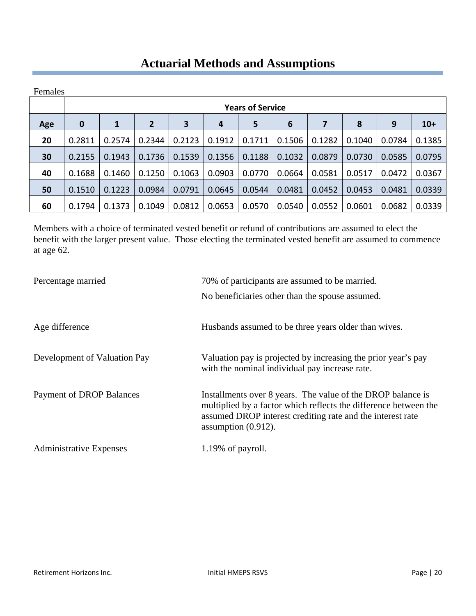| Females |          |                         |                |        |        |        |                 |        |        |        |        |
|---------|----------|-------------------------|----------------|--------|--------|--------|-----------------|--------|--------|--------|--------|
|         |          | <b>Years of Service</b> |                |        |        |        |                 |        |        |        |        |
| Age     | $\bf{0}$ | 1                       | $\overline{2}$ | 3      | 4      | 5      | $6\phantom{1}6$ | 7      | 8      | 9      | $10+$  |
| 20      | 0.2811   | 0.2574                  | 0.2344         | 0.2123 | 0.1912 | 0.1711 | 0.1506          | 0.1282 | 0.1040 | 0.0784 | 0.1385 |
| 30      | 0.2155   | 0.1943                  | 0.1736         | 0.1539 | 0.1356 | 0.1188 | 0.1032          | 0.0879 | 0.0730 | 0.0585 | 0.0795 |
| 40      | 0.1688   | 0.1460                  | 0.1250         | 0.1063 | 0.0903 | 0.0770 | 0.0664          | 0.0581 | 0.0517 | 0.0472 | 0.0367 |
| 50      | 0.1510   | 0.1223                  | 0.0984         | 0.0791 | 0.0645 | 0.0544 | 0.0481          | 0.0452 | 0.0453 | 0.0481 | 0.0339 |
| 60      | 0.1794   | 0.1373                  | 0.1049         | 0.0812 | 0.0653 | 0.0570 | 0.0540          | 0.0552 | 0.0601 | 0.0682 | 0.0339 |

Members with a choice of terminated vested benefit or refund of contributions are assumed to elect the benefit with the larger present value. Those electing the terminated vested benefit are assumed to commence at age 62.

| Percentage married              | 70% of participants are assumed to be married.                                    |
|---------------------------------|-----------------------------------------------------------------------------------|
|                                 | No beneficiaries other than the spouse assumed.                                   |
|                                 |                                                                                   |
| Age difference                  | Husbands assumed to be three years older than wives.                              |
|                                 |                                                                                   |
| Development of Valuation Pay    | Valuation pay is projected by increasing the prior year's pay                     |
|                                 | with the nominal individual pay increase rate.                                    |
| <b>Payment of DROP Balances</b> | Installments over 8 years. The value of the DROP balance is                       |
|                                 | multiplied by a factor which reflects the difference between the                  |
|                                 | assumed DROP interest crediting rate and the interest rate<br>assumption (0.912). |
| <b>Administrative Expenses</b>  | 1.19% of payroll.                                                                 |
|                                 |                                                                                   |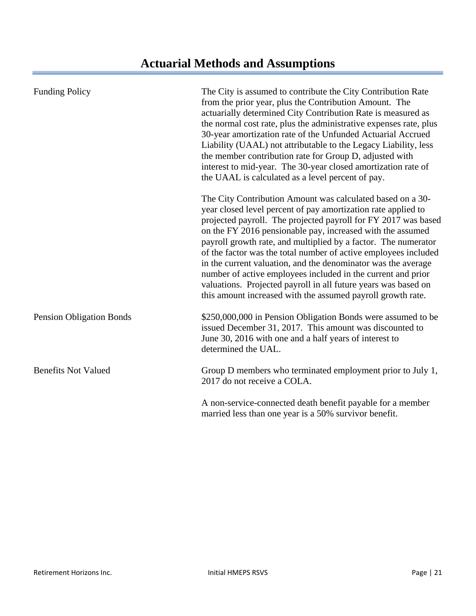| <b>Funding Policy</b>           | The City is assumed to contribute the City Contribution Rate<br>from the prior year, plus the Contribution Amount. The<br>actuarially determined City Contribution Rate is measured as<br>the normal cost rate, plus the administrative expenses rate, plus<br>30-year amortization rate of the Unfunded Actuarial Accrued<br>Liability (UAAL) not attributable to the Legacy Liability, less<br>the member contribution rate for Group D, adjusted with<br>interest to mid-year. The 30-year closed amortization rate of<br>the UAAL is calculated as a level percent of pay.                                                                                     |  |  |  |  |
|---------------------------------|--------------------------------------------------------------------------------------------------------------------------------------------------------------------------------------------------------------------------------------------------------------------------------------------------------------------------------------------------------------------------------------------------------------------------------------------------------------------------------------------------------------------------------------------------------------------------------------------------------------------------------------------------------------------|--|--|--|--|
|                                 | The City Contribution Amount was calculated based on a 30-<br>year closed level percent of pay amortization rate applied to<br>projected payroll. The projected payroll for FY 2017 was based<br>on the FY 2016 pensionable pay, increased with the assumed<br>payroll growth rate, and multiplied by a factor. The numerator<br>of the factor was the total number of active employees included<br>in the current valuation, and the denominator was the average<br>number of active employees included in the current and prior<br>valuations. Projected payroll in all future years was based on<br>this amount increased with the assumed payroll growth rate. |  |  |  |  |
| <b>Pension Obligation Bonds</b> | \$250,000,000 in Pension Obligation Bonds were assumed to be<br>issued December 31, 2017. This amount was discounted to<br>June 30, 2016 with one and a half years of interest to<br>determined the UAL.                                                                                                                                                                                                                                                                                                                                                                                                                                                           |  |  |  |  |
| <b>Benefits Not Valued</b>      | Group D members who terminated employment prior to July 1,<br>2017 do not receive a COLA.                                                                                                                                                                                                                                                                                                                                                                                                                                                                                                                                                                          |  |  |  |  |
|                                 | A non-service-connected death benefit payable for a member<br>married less than one year is a 50% survivor benefit.                                                                                                                                                                                                                                                                                                                                                                                                                                                                                                                                                |  |  |  |  |